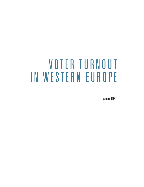# VOTER TURNOUT IN WESTERN EUROPE

since 1945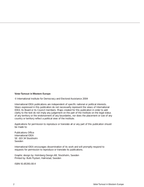### **Voter Turnout in Western Europe**

© International Institute for Democracy and Electoral Assistance 2004

International IDEA publications are independent of specific national or political interests. Views expressed in this publication do not necessarily represent the views of International IDEA, its Board or its Council members. Maps created for this publication in order to add clarity to the text do not imply any judgement on the part of the Institute on the legal status of any territory or the endorsement of any boundaries, nor does the placement or size of any country or territory reflect a political view of the Institute.

Applications for permission to reproduce or translate all or any part of this publication should be made to:

Publications Office International IDEA SE -103 34 Stockholm Sweden

International IDEA encourages dissemination of its work and will promptly respond to requests for permission to reproduce or translate its publications.

Graphic design by: Holmberg Design AB, Stockholm, Sweden Printed by: Bulls Tryckeri, Halmstad, Sweden

ISBN 91-85391-00-X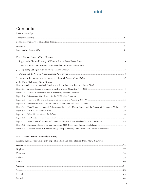# **Content**

# Contents

|             | $Acronyms.$ 7                                                                                                           |  |
|-------------|-------------------------------------------------------------------------------------------------------------------------|--|
|             |                                                                                                                         |  |
|             |                                                                                                                         |  |
|             | Part I: Current Issues in Voter Turnout                                                                                 |  |
|             | 13 Stages in the Electoral History of Western Europe Rafael López Pintor [13] 13                                        |  |
|             | 2. Voter Turnout in the European Union Member Countries Richard Rose [17] 17 17                                         |  |
|             | 3. Compulsory Voting in Western Europe Maria Gratschew <b>Exercise 2018</b> 25                                          |  |
|             | 4. Women and the Vote in Western Europe Nina Seppälä <u>matematic music and the Vote</u> in Western Europe Nina Seppälä |  |
|             | 5. Innovative Technology and its Impact on Electoral Processes Tim Bittiger 27 37                                       |  |
|             | 6. Will New Technology Boost Turnout?                                                                                   |  |
|             |                                                                                                                         |  |
| Figure 2.2. | Turnout in Presidential and Parliamentary Elections Compared <b>Elections</b> 2019 19                                   |  |
| Figure 2.3. | Influences on Voter Turnout in the EU Member Countries <b>ELEANTER 1999</b> 21                                          |  |
| Figure 2.4. | Turnout in Elections to the European Parliament, by Country, 1979-99 <b>Electional Elections</b> 22                     |  |
| Figure 2.5. | Influences on Turnout in Elections to the European Parliament, 1979-99 <b>Electional Strategy 1023</b> 22               |  |
| Figure 3.1. | Voter Turnout at National Parliamentary Elections in Western Europe, and the Practice of Compulsory Voting ______ 27    |  |
| Figure 3.2. |                                                                                                                         |  |
| Figure 4.1. |                                                                                                                         |  |
| Figure 4.2. |                                                                                                                         |  |
| Figure 6.1. |                                                                                                                         |  |
| Figure 6.2. | Percentage Change in Turnout in the May 2003 British Local Election Pilot Schemes <b>Election</b> 246                   |  |
| Figure 6.3. |                                                                                                                         |  |

### Part II: Voter Turnout Country by Country

Electoral System, Voter Turnout by Type of Election and Basic Election Data, Maria Gratschew

| Aust    | 56             |
|---------|----------------|
|         |                |
|         | 58             |
|         | 50             |
| France  |                |
| Germany |                |
| Greece  | 6 <sup>2</sup> |
| tcela.  | 63             |
|         |                |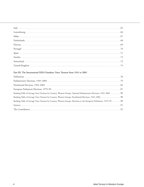| Italy       | 65  |
|-------------|-----|
| Luxembourg  | .66 |
| Malta       |     |
| herlands.   | 68  |
| Norway      | 69  |
| Portugal    |     |
| Spain       |     |
|             |     |
| Switzerland |     |
|             |     |

### Part III: The International IDEA Database: Voter Turnout from 1945 to 2003

| Definitions 278                                                                                                                                                                                                                |  |
|--------------------------------------------------------------------------------------------------------------------------------------------------------------------------------------------------------------------------------|--|
|                                                                                                                                                                                                                                |  |
| 85 Presidential Elections, 1945-2003 Contract and the extra set of the set of the set of the set of the set of the set of the set of the set of the set of the set of the set of the set of the set of the set of the set of t |  |
| European Parliament Elections, 1979–99                                                                                                                                                                                         |  |
|                                                                                                                                                                                                                                |  |
|                                                                                                                                                                                                                                |  |
|                                                                                                                                                                                                                                |  |
| .091 [9] المستقدمات المستقدمات المستقدمات المستقدمات المستقدمات المستقدمات المستقدمات المستقدمات المستقدمات المستقدمات                                                                                                         |  |
|                                                                                                                                                                                                                                |  |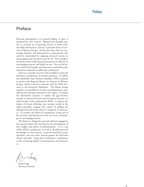

# Preface

Electoral participation is in general falling, at least as measured by voter turnout. Rising levels of public apathy or cynicism are of growing concern in both newer and older democracies, and are a particular focus of concern in Western Europe. At the same time, there are continuing obstacles and disincentives to participation that could be diminished by adapting electoral systems or encouraging easier electoral access for all. Not enough is yet known about which practical measures are effective in encouraging turnout, and which are not. Nor are the factors which breed apathy and discontent with democratic institutions themselves sufficiently understood.

There are currently very few tools available to assist the informed consideration of turnout questions. To follow the worldwide Voter Turnout Database, IDEA is pleased to present this Regional Report on Turnout in Western Europe, which is timed to coincide with the 2004 elections to the European Parliament. The Report brings together an unrivalled set of data on parliamentary, presidential and European elections in the region. It amasses the information necessary to analyse the gap between turnout in national elections and European elections, on which further work is planned by IDEA. It analyses the impact of factors affecting voter turnout trends in the region generally, ranging from choice of polling day through electoral system choice to longevity of democracy. It considers the effects of compulsory voting and of the successes and limitations of the use of new technology in encouraging turnout.

This Report is designed to provide all those engaged in the turnout debate with the basis for the development of new insights and policy recommendations. It is a step within IDEA's programme of work to develop practical knowledge on voter turnout. It puts forward ideas, poses questions, and tests some answers against the hard data which it provides. I hope that it will make a contribution to the continuing debate on participation and democracy.

- Seg

Karen Fogg Secretary-General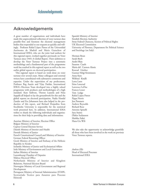# Acknowledgements

A great number of organizations and individuals have made this unprecedented collection of voter turnout data possible−first and foremost the electoral management bodies that responded to our requests so quickly and willingly. Professor Rafael López Pintor of the Universidad Autónoma de Madrid and Maria Gratschew of International IDEA, who are the joint lead authors for this regional report, worked together previously on Voter Turnout since 1945: A Global Report. Their ambition to develop the Voter Turnout Project into a systematic methodology and a fundamental part of the programme work has resulted in this regional report as well as the two earlier global reports on electoral participation.

This regional report is based on work done on voter turnout over several years. Many colleagues and external writers have contributed with substantive comments and expertise. Under the supervision of my predecessors, Professor Reg Austin and Vijay Patidar, International IDEA's Elections Team developed into a highly valued programme with products and methodologies of a high standard. Kate Sullivan, Therese Laanela and Nina Seppälä all helped to lay the groundwork for this and the global reports on electoral participation. Nadia Handal Zander and Eve Johansson have also helped in the production of this report, and Richard Desjardins from Stockholm University is responsible for the statistical work presented here. In addition, International IDEA wishes to thank the following individuals and organizations for their help in providing data and information:

Austrian Ministry of Interior, Election Office Belgian Ministry of Interior Cyprus Central Election Service Danish Ministry of Interior and Health Finnish Ministry of Justice French Constitutional Council and Ministry of Interior German Federal Returning Officer Greek Ministry of Interior and Embassy of the Hellenic Republic in Sweden Icelandic Ministry of Justice and Ecclesiastical Affairs Irish Ministry of Environment and Local Governance Italian Ministry of Interior Luxembourg Chamber of Deputies Maltese Electoral Office Netherlands Ministry of Interior and Kingdom Relations, National Election Board Norwegian Ministry of Local Government and Regional Development Portuguese Ministry of Internal Administration (STAPE, Secretariado Tecnico para Assuntos para Processo Eleitoral)

Spanish Ministry of Interior Swedish Election Authority Swiss Federal Chancery, Section of Political Rights UK Electoral Commission University of Florence, Department for Political Science and Sociology (on Italy)

Herman Beun Sarah Birch André Blais Susanne Caarls Maria del Carmen Alanis Konrad Ginther Gunnar Helgi Kristinsson Anna Katz Wilfried Kindli Lotta Lann Stina Larserud Lawrence LeDuc Frances Lesser Tom Lodge Rafael López Pintor Pippa Norris Jon Pammett Andrew Reynolds Richard Rose Antonio Spinelli Sara Staino Ólafur Stefansson Markku Suksi Hans-Urs Wili

We also take the opportunity to acknowledge gratefully all those who have been involved in the work on previous Voter Turnout reports.

*Andrew Ellis* Head of Electoral Processes International IDEA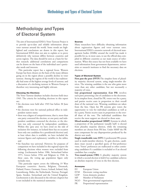# Methodology and Types of Electoral System

The aim of International IDEA's Voter Turnout Project is to provide up-to-date and reliable information about voter turnout around the world. Some trends are highlighted and conclusions are drawn in this report, but International IDEA does not aim to explain or to prove definitively why turnout differs between countries and across regions. The data should be seen as a basis for further research; additional correlations and comparisons can be drawn on the basis of the individual user's particular needs and interests.

This particular report has a regional focus. Western Europe has been chosen on the basis of the many debates going on in the region about a possible decline in voter turnout. Among the regions of the world it has traditionally had some of the highest average levels of turnout, and a discussion of a declining turnout in Western Europe is therefore very interesting and highly relevant.

### **Choosing the Elections**

The Voter Turnout database includes elections held since 1945. The criteria for including elections in this report are:

- the elections were held after 1945 but before 30 June 2003;
- the elections were for national political office in independent nation states;
- there was a degree of competitiveness, that is, more than one party contested the election, or one party and independent candidates contested the election, or the election was only contested by independent candidates. Within this 'grey area' we have erred on the side of inclusion (for instance, in Iceland there has on occasion been only one candidate for a presidential election) and, at least where data is available, we have included the turnout figures and explanatory variables in the tables; and
- the franchise was universal. However, for purposes of comparison we have included in this regional report the following elections when women were excluded from voting: Liechtenstein before 1986, Switzerland before 1971, Greece before 1956 and Belgium in 1948. In these cases, the voting age population figure only includes men.

This particular report covers the following 19 West European countries: Austria, Belgium, Denmark, Finland, France, Germany, Greece, Iceland, Ireland, Italy, Luxembourg, Malta, the Netherlands, Norway, Portugal, Spain, Sweden, Switzerland and the United Kingdom. Liechtenstein is also discussed in the relevant chapters but is not included in the statistical summaries.

### **Sources**

Many researchers have difficulty obtaining information about registration figures and voter turnout rates. International IDEA's extensive network of electoral management bodies (EMBs) around the world has made it possible for us, in most cases, to use the official data compiled in different countries as our main source of information. When this source has not been available we have used information from government departments, universities or research institutes to find the necessary data on elections.

### **Types of Electoral System**

First past the post (FPTP) The simplest form of plurality majority electoral system, using single-member districts. The winning candidate is the one who gains more votes than any other candidate, but not necessarily a majority of votes.

**List proportional representation (List PR)** involves each party presenting a list of candidates to the electorate. In its simplest form, closed list PR, voters vote for a party, and parties receive seats in proportion to their overall share of the national vote. Winning candidates are taken from the lists. Open list PR systems give voters the opportunity to vote for individual candidates as well as for a party. Parties receive seats in proportion to the overall share of the vote. The individual candidates that receive the most support are elected to those seats.

**Mixed member proportional (MMP)** Systems in which a proportion of the parliament (usually half) is elected from plurality majority districts, while the remaining members are chosen from PR lists. Under MMP the PR seats compensate for any disproportion produced by the district seat result.

**Single transferable vote (STV)** A preferential PR system used in multi-member districts. To gain election, candidates must exceed a specified quota of first-preference votes. Voters' preferences are reallocated to other continuing candidates if a candidate is excluded or if an elected candidate has a surplus.

**Two-round system (TRS)** A plurality majority system in which a second election is held if no candidate achieves an absolute majority of votes in the first election.

### **Acronyms**

- EU European Union
- EVM Electronic voting machine
- GDP Gross domestic product
- MP Member of Parliament
- NGO Non-governmental organization

PR Proportional representation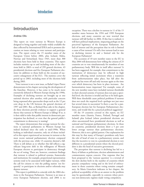# Introduction

### Andrew Ellis

This report on voter turnout in Western Europe is designed to bring together and make widely available the data collected by International IDEA and to promote discussion on issues relating to voter turnout and participation. The report covers the 15 member states of the European Union before 2004, plus Iceland, Malta, Norway and Switzerland. Since 1945, more than 300 elections have been held in these countries. This report includes statistics up to and including most of the elections held in 2003−−a total of 299 general elections, 43 presidential elections and five European Parliament elections (in addition to those held on the occasion of successive enlargement of the EU). The statistics cover the period up to 2003, including most of the elections held during 2003.

Voter turnout is not a new issue, as Rafael López Pintor demonstrates in his chapter surveying the development of the franchise. However, it has come to be much more extensively debated in Western Europe during the 1990s. Examples of declining turnout are brought up at one national election after another, with particular concern being expressed after spectacular drops such as the 12 per cent drop in the UK between the general elections of 1997 and 2001. But, as Richard Rose asks in his chapter, do these elections provide evidence to support a general theory that turnout in Western Europe is falling? If so, is it then valid to infer that public interest in democratic participation has declined, or even that the general public's commitment to democracy is waning?

The report demonstrates that average turnout for elections to national parliaments in Western Europe has indeed declined since the early to mid-1990s. When looking at individual countries, only six of those included in this report experienced an increase in turnout at the most recent national parliamentary election compared with the previous one, while 13 countries showed a fall. There is still debate as to whether this fall reflects a significant long-term shift in the willingness of Western European electors to participate in democracy through the act of voting. There are, however, consistent findings that turnout is related to political systems, frameworks and institutions: for example, proportional representation systems tend to be associated with higher turnout, while the call for citizens to visit the polling station 'too frequently' to participate in elections and/or referenda may depress turnout.

This report is published to coincide with the 2004 elections to the European Parliament. Turnout is an issue at every European Parliament election, and 2004 is no exception. There was a decline in turnout in 11 of the 15 member states between the 1994 and 1999 European elections, and many countries are now worried that turnout will fall further in 2004. If this fear is realized, it will have political implications, impacting perhaps on the perceived legitimacy of the European Parliament. Are lack of interest and the perception that its role is limited a cause of low turnout? Or will a low turnout lead in turn to declining interest in and a limited role for the European Parliament?

The accession of 10 new member states to the EU in May 2004 will demonstrate how willing the citizens of 25 countries are to vote simultaneously for members of one parliamentary body. Will this in itself affect turnout? It has been suggested, for example, that commitment to the institutions of democracy may be reflected in high turnout reflecting initial excitement when a transition from authoritarianism takes place, but fall after the euphoria has worn off and only increase again as the time over which democracy has been in place increases. Are harmonization issues important? For example, some of the new member states have included turnout thresholds in their electoral systems: if turnout does not pass a specified level, the election is invalid and has to be held again. Will these thresholds cause political problems if turnout does not reach the required level--perhaps not just once but several times in succession? Is there a case for a pan-European election law for European Parliamentary elections, and would this be a practical political suggestion?

Of the 19 countries covered in this report, six EU member states (Austria, France, Finland, Portugal and Ireland) plus Iceland (where presidential elections are often uncontested) have presidential elections as well as national and European parliamentary elections. In these six countries, presidential elections show a 5 per cent lower average turnout than parliamentary elections. However, this is not a global pattern. One explanation for this may be that many of Europe's presidents only have the role of head of state in a parliamentary system, and that the incentive to vote in a presidential election is very different in a presidential system where the elected president is also the head of executive government.

The perception that turnout is declining has led to a flurry of debate as politicians, election administrators and commentators express concern. One response that has been proposed to the 'turnout question' is a reversal of the slow decline both in the number of countries which practise compulsory voting and in the level of enforcement in those countries where voting remains compulsory. As Maria Gratschew indicates in her chapter, the political acceptability of this as an answer to the problem may be questionable, especially in contexts where previous non-democratic regimes made voting compulsory.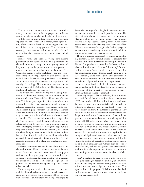The decision to participate or not is, of course, ultimately a personal one; different people, and different groups in society, may take this decision in different ways. The differences in turnout between men and women are explored by Nina Seppälä in her chapter, tracking the history of the women's franchise and looking at some gender differences in voting patterns. This debate may encourage more electoral authorities to collect electoral data which disaggregates the turnout of men and of women.

Remote voting and electronic voting have become prominent on the agenda in Europe as politicians and electoral authorities attempt to attract young voters and busy voters by enabling them to vote at the supermarket, over the Internet or by using their mobile phone. The Council of Europe is in the final stage of drafting recommendations on e-voting. There have been several tests of wider facilities for remote voting, while the UK and some Swiss cantons have taken e-voting one step further and actually tried it. Pippa Norris writes in her chapter about the experience of the UK pilots, and Tim Bittiger about this kind of technology in general.

The assessment of remote voting and e-voting initiatives will address the security and cost implications of their introduction. They will also address their effectiveness. This is not just a question of plain numbers: is it necessarily positive if an increase in overall turnout is achieved because the turnout of some groups in the society increased disproportionately? In addition, as Richard Rose has pointed out, measures to encourage turnout may produce other effects which may not be considered so desirable. There seems little doubt, for example, that elections conducted entirely by post can increase turnout substantially, but do they also have a negative effect on electoral integrity, for instance, through the opportunities they may present for the 'head of the family' to vote for the whole family, or even for outright fraud? And, if there is a problem of trust in institutions, will innovations that demand the confidence of citizens in the integrity and accurate functioning of a 'black box' mechanism necessarily help?

Is there a connection between the role of the media and electoral turnout? There is debate as to whether the existence of more and more television channels, newspapers and radio stations gives people access to more in-depth coverage of elections and politics. Can the vast increase in the choice of media be leading instead to ignorance of politics, lack of interest and apathy as people 'choose other channels'?

Turnout may also be affected as societies become more mobile. Electoral registration may be a much easier exercise when most citizens live at the same address year after year. Election administrators are facing challenges to

devise effective ways of enabling both long-term migrants and short-term travellers to participate in elections. The effect of administrative changes may be important. Making polling day a public holiday may increase turnout; holding elections during periods when many electors take a major holiday may have the reverse effect. Efforts to ensure ease of voting for the disabled, pregnant women and the elderly may increase turnout in addition to promoting equality of electoral access.

There is of course a difference between low and declining turnout. A low turnout means a constant low turnout. Turnout in Switzerland is among the lowest in Western Europe: does this mean that the Swiss are dissatisfied with their model of citizens' democracy? Or does the low turnout in Swiss general elections reflect the limited governmental change that has usually resulted from these elections, while most citizens also participate in votes on those referenda and initiatives which they individually find of personal interest and importance?

On the other hand, a decline in turnout indicates change, and could indicate dissatisfaction or a change of perception of the impact of the political systemalthough this link cannot be assumed.

When any subject is fiercely debated, there is a particular need for reliable data and analysis. International IDEA has already published and maintains a worldwide database of voter turnout, available electronically at <http://www.idea.int> and in handbook form. This report follows on from the database to provide an easily accessible source of data for election administrators and designers as well as for the community of political analysts, and to promote analysis and the exchange of ideas in the field. IDEA has also established an Expert Group on Voter Turnout to encourage further identification of those factors which have a real effect on turnout, positive or negative, and those which do not. Pippa Norris has written that political institutions and legal rules are strongly and significantly associated with voter participation: some of the factors affecting turnout will thus be within the control of legislators, electoral system designers or election administrators. Others, such as social or cultural factors, will not. Analyses of these may better be used to inform the expectations of electoral administrators, participants and commentators in advance of elections.

IDEA is seeking to develop tools which can provide those participating in debate about change and improvement in democracy and electoral arrangements with solid information and knowledge on turnout issues. This report will serve its purpose if it helps to stimulate both work towards such tools and wider debate on participation and democracy itself.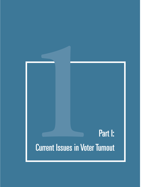# **1**Part I: Current Issues in Voter Turnout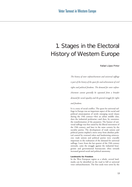# 1. Stages in the Electoral History of Western Europe

Rafael López Pintor

*The history of voter enfranchisement and universal suffrage is part of the history of the quest for and achievement of civil rights and political freedoms. The demand for voter enfranchisement cannot generally be separated from a broader demand for social equality and the general struggle for rights and freedoms.*

It is a story of social conflict. The quest for universal suffrage in Europe was an important aspect of the social and political emancipation of newly emerging social classes during the 19th century−−first an urban middle class, then the industrial proletariat—and then, by extension, the transformation of the peasantry. The banner of universal suffrage was first raised by the liberal movement of the 19th century, and later in the same century by the socialist parties. The development of trade unions and political parties implied a move away from absolute political control by crowned rulers and landowning aristocracies: trade unions and political parties were crucially important in the realization of the demand for universal suffrage. Later, from the last quarter of the 19th century onwards, came the struggle against the industrial bourgeoisie and governmental bureaucratic elites towards increased general social and political autonomy.

### **Landmarks for Freedom**

In the West European region as a whole, several landmarks can be identified on the road to full or universal voter enfranchisement. The first seeds were sown by the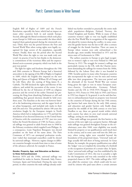English Bill of Rights of 1689 and the French Revolution, especially the latter, which had an impact on many other countries both in and outside Europe. Second, although the liberal revolutions which took place across Europé in 1848 were unsuccessful, the ideas which inspired them gained ground during the nineteenth century. Third, there was the period between the First and Second World Wars when voting rights were legally recognized for large sectors of the population, especially women. Finally, there was the period after the Second World War when the right to vote was made truly universal—in practice if not by law-thanks to the democratic commitment of the victorious Allies and the unprecedented socio-economic prosperity which was built in the post-war period.

The fight for rights and freedoms throughout the 19th and 20th centuries in Western Europe had a historical antecedent in the signing of the Bill of Rights in England in 1689, which the English elite imposed on the new King and Queen of England, William III of Orange and his wife Mary, after the ousting of King James II, a Catholic. The Bill declared the rights and liberties of the subjects, and settled the succession of the crown. It was followed by the Act of Toleration of 1690 on religious practices and the revival of the earlier Triennial Act preventing the King from dissolving Parliament at will and establishing that general elections should be held every three years. The franchise at the time was however limited to the landowning aristocracy and the upper levels of an urban bourgeoisie, and included only males in their mid-20s and over. This predated by almost 100 years the revolution fought by the European émigrés in North America which led to independence in 1776 and laid the foundation of an electoral democracy in the United States of America with the constitution of 1787, just two years before the French Revolution of 1789. In France, universal suffrage was granted to adult French men in 1848 by the February revolution which toppled Louis Philippe. As a consequence, Louis Napoleon Bonaparte was elected president on the basis of his name alone. The Paris Commune of 1871—an attempted proletarian revolution−−ruled that municipal councillors could be elected by universal suffrage. However, regime changes in different countries brought reversals from time to time of some of the advances achieved, for example in France.

### **Gender, Property, Age, and Education as Barriers to Voter Enfranchisement**

Between 1870 and the 1940s, universal suffrage was established for males in Austria, Denmark, Italy, France, Germany, Spain and Switzerland. During the same time period, in other countries the male suffrage already established was further extended to practically the entire male adult population−−Belgium, Finland, Norway, the United Kingdom and Sweden. While in many of these countries women's right to vote was legally established after the First World War in recognition of the supportive role played by women during the conflict, in some countries the gender barrier was the last to fall after a century of struggle for the female franchise. There are states in Europe where women were only enfranchised a few decades ago, most notably Switzerland in 1971 and the micro-state of Liechtenstein in 1984.

The earliest countries in Europe to give legal recognition to women's right to vote were Finland in 1906 and Norway in 1913. The struggle for women's suffrage was particularly intense in the UK, with the Chartist movement demanding the suffrage for women from the 1840s, followed by the Labour Party after it was founded in 1900. Socialist parties in many other European countries also incorporated the right to vote for men and women alike into their programmes. The inter-war period and the aftermath of the Second World War saw women being given the right to vote in many European countries−−Austria, Czechoslovakia, Germany, Poland, Sweden and the UK in 1918-1919; Hungary in 1920; Spain in 1931; France in 1944; Italy in 1945; and Greece in 1952 (see chapter 4). In general, it can be said that barriers to enfranchisement based on property were lowered in the countries of Europe during the late 19th century, age barriers had came down by the early 20th century, and education and gender barriers only finally disappeared by the middle of the 20th century or even later. Needless to say, these are general trends within which each country has taken its own road towards universal suffrage, setting its own landmarks.

Once male suffrage was granted, the first barrier to the exercise of the new right was a property barrier. Although male suffrage was granted throughout Europe in the revolutionary years after 1848, voter eligibility was mostly limited by property or tax qualifications until much later in the century, and in some cases well into the 20th century, when voting rights were extended beyond the boundaries of the propertied classes. 'Universal' male suffrage actually fell well short of being universal. In Great Britain, for example, the property qualification was called the 'lodger' vote as it implied the ownership of a freehold or the occupation of premises of a certain value. In Spain, where 'universal male suffrage' was first established by the Cadiz Constitution of 1812, this was in actuality a right for the bourgeoisie and was only extended to the wider propertied classes in 1837. The wider suffrage after 1837 was called the censitary vote, which could only be exercised by citizens who paid taxes above a certain amount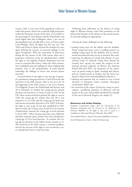(censo). Only 3.5 per cent of the population could vote under this system, which was a relatively high proportion within the European context of the time: it was similar to the percentage in Great Britain and the Netherlands, and much higher than that of Belgium, where 1 per cent of the population were actually able to vote, or France under Louis Philippe, where the figure was 0.67 per cent. The 1844 coup d'état in Spain reversed the situation by once again limiting the exercise of universal suffrage to the upper bourgeoisie. With the restoration of democracy during the last quarter of the 19th century there was a progressive reduction of the tax threshold above which the right to vote applied. Property limitations were less severe in countries like Greece, where the 1844 constitution established universal suffrage for those holding land property. Due to the predominance of small peasant ownership, the suffrage in Greece now became almost universal.

A second barrier to the right to vote was age. In general, a minimum voting age between 23 and 30 was the rule until later in the 20th century, when it was set at 18. At the beginning of the 20th century, it was 24 in Austria, 25 in Belgium, Prussia, the Netherlands and Norway, and 30 in Denmark. In Sweden the voting age for general elections was lowered to 21 from 23 only in 1945. In the UK, where women had been granted the right to vote in 1918, the voting age for women then was 30; it was reduced to 21 in 1928, and the voting age for both men and women was further lowered to 18 in 1969. In France, the right to vote at age 18 was also established in 1969. Most recently, the German state *(Land)* of Lower Saxony *(Niedersachsen)* lowered the voting age in local elections to 16 in 1995. Other German states have since followed, and three Austrian states *(Länder)* have also introduced a voting age of 16 in local elections. In contrast, the voting age for elections to the Italian Senate remains at 25. Also until late in the 20th century, a common qualification for the exercise of the right to vote was literacy: voters should know how to read and write.

Following these reflections on the history of voting rights in Western Europe, some brief comments on the present-day frontiers in the advance of the actual practice of universal suffrage are appropriate.

Among the major challenges are the following:

- *making voting easier* for the elderly and the disabled. Postal voting and easier access to polling stations are making voting easier for the disabled, and an international association has been set up to promote this cause;
- *improving the efficiency* of voting from abroad. A crossnational study of nationals voting from abroad has recently been carried out under the auspices of the national electoral authority of Mexico, the Instituto Federal Electoral (IFE). An assessment of the experiences of postal voting in Spain, Portugal and Austria, and of a mixed system in Sweden, has also been conducted (<http://www.universidadabierta.edu.mx>);
- *allowing non-nationals who are resident* to vote in local elections in European Union countries (European Commission 2002); and
- *the assessment of the impact of electronic voting on participation,* considering questions of efficiency and the quality of the vote, and possible drawbacks for example in the area of electoral integrity (see chapter 5).

### **References and Further Reading**

European Commission, *Report from the Commission to the European Parliament and the Council on the Application of Directive 94/80EC on the Right to Vote and to stand as a Candidate in Municipal Elections* (Brussels, May 2002)

Universidad Abierta, <http://www.universidadabierta.edu.mx>

Inter-Parliamentary Union, <http://www.ipu.org>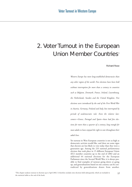# 2. Voter Turnout in the European Union Member Countries<sup>1</sup>

Richard Rose

*Western Europe has more long-established democracies than any other region of the world. Free elections have been held without interruption for more than a century in countries such as Belgium, Denmark, France, Ireland, Luxembourg, the Netherlands, Sweden and the United Kingdom. Free elections were introduced by the end of the First World War in Austria, Germany, Finland and Italy, but interrupted by periods of undemocratic rule. Even the relative latecomers*−−*Greece, Portugal and Spain*−−*have had free elections for more than a quarter of a century, long enough for most adults to have enjoyed the right to vote throughout their adult lives.* 

Yet turnout in West European countries is not as high as democratic activists would like, and there are some signs that electors are less likely to vote today than they were a generation ago. Among the 233 national *parliamentary elections* that took place in 15 different European Union (EU) member countries up to the end of 2002 and an additional 64 national elections for the European Parliament since the Second World War, it is always possible to find examples of turnout going down or going up, and generalizations based on one country can be contradicted by generalizations drawn from another.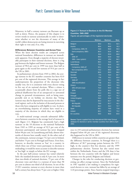Moreover, in half a century turnout can fluctuate up as well as down. Hence, the purpose of this chapter is to review trends in turnout systematically in order to determine whether or not the electorates of many of the world's oldest democracies are losing interest in exercising their right to vote and, if so, why.

### **Differences Between Countries and Across Time**

When the latest election results are compared across national boundaries, differences in turnout are immediately apparent. Even though a majority of electors invariably participate in their national elections, there is a big gap between the highest and lowest turnouts. The Belgian turnout of 90.6 per cent in 1999 was more than half as great again as the record low turnout of 59.4 per cent in the UK in 2001.

In parliamentary *elections* from 1945 to 2002, the average turnout in the EU member countries has been 83.0 per cent of the registered electorate. This average in fact underrepresents the proportion of the electorate who usually vote, for it is consistent with every elector voting in five out of six national elections. When a citizen is occasionally absent from the polls this is a sign not of political disaffection but of an unexpected or unwanted change in personal circumstances, such as being unexpectedly sick or on holiday on election day. Voting turnout may also be depressed by inaccuracies in the electoral register, such as the inclusion of deceased persons or those who have emigrated as still eligible to vote. In short, an overwhelming majority of citizens have voted in a majority of the elections in which they are eligible to vote.

A multi-national average conceals substantial differences between countries in the average level of turnout in each (figure 2.1). Belgium has consistently had a high turnout: in the 18 elections to the national Parliament from 1945 to 1999 an average of 92.5 per cent of the electorate participated, and turnout has never dropped below 90 per cent. In Luxembourg and Italy, almost ninetenths of electors have usually voted. At the other end of the continuum, turnout averages 73.2 per cent in Ireland, and below 75 per cent in Portugal and France. Even here, however, to describe turnout as 'low' in a country in which three out of four voters participate in elections is misleading; it would be more accurate to describe turnout as 'less high' or simply as below the EU average.

In the past half-century turnout has varied relatively little: the standard deviation is only 8.3 per cent. In more than two-thirds of national elections, 75 per cent of the electorate votes and there is a turnout of more than 90 per cent in almost one-third of all elections. In ten of the 15 EU countries, turnout at every election in more than half a century has always been 75 per cent or higher. Only

### **Figure 2.1:Turnout in Elections in the EU Member Countries, 1945**−**2002**

Figures are percentages of the registered electorate.

|                       | <b>Minimum</b>    | <b>Maximum</b> | <b>Mean</b> |
|-----------------------|-------------------|----------------|-------------|
| Belgium               | 90.0              | 95.1           | 92.5        |
| Austria               | 80.4              | 96.8           | 91.3        |
| Compulsory, 1945-79   | 91.8              | 96.8           | 94.0        |
| Semi-compulsory 1983- | 80.4              | 92.6           | 86.3        |
| Italy                 | 81.4              | 93.9           | 89.8        |
| 1946-87               | 88.9              | 93.9           | 91.8        |
| 1992- (new system)    | 81.4              | 87.4           | 84.5        |
| Luxembourg            | 86.5              | 91.6           | 89.7        |
| Netherlands           | 73.2              | 95.6           | 87.2        |
| Compulsory 1945-67    | 93.1              | 95.6           | 94.7        |
| Non-compulsory 1971-  | 73.2              | 88.0           | 81.9        |
| <b>Denmark</b>        | 80.6              | 89.9           | 86.0        |
| Sweden                | 77.4              | 91.4           | 85.7        |
| Germany               | 77.8              | 91.1           | 85.0        |
| 1949-87               | 78.5              | 91.1           | 87.0        |
| 1990 (reunification)  | 77.8              | 82.2           | 79.5        |
| Greece                | 75.0              | 84.5           | 79.9        |
| 1951-64 (pre-coup)    | 75.0              | 83.0           | 78.5        |
| $1974 -$              | 75.0              | 84.5           | 81.0        |
| Finland               | $65.\overline{3}$ | 85.1           | 76.0        |
| Portugal              | 61.0              | 91.7           | 75.7        |
| <b>United Kingdom</b> | 59.4              | 83.6           | 75.2        |
| France                | 60.3              | 82.7           | 74.8        |
| 4th Republic          | 78.8              | 82.7           | 81.1        |
| 5th Republic          | 60.3              | 81.3           | 72.7        |
| Spain                 | 68.1              | 79.8           | 73.6        |
| Ireland               | 66.1              | 76.9           | 73.2        |
| <b>EU</b> countries   | 59.4              | 96.8           | 83.0        |

**Source:** Figures supplied from the International IDEA Voter Turnout database for elections in all EU member countries from 1945 to April 2002.

once in 233 national parliamentary elections has turnout dropped below 60 per cent of the registered electorate; this happened in the UK in 2001.

Differences in turnout within countries are greater than the difference between countries. In Portugal there is a difference of 30.7 percentage points between the 1975 high, in the country's first free election, and the 1999 parliamentary election. Turnout has also varied more within the Netherlands, France and the UK than it has between the two countries with the highest and lowest turnouts over the period, Belgium and Ireland.

Changes in the rules for conducting elections or governing can affect average turnout. Since the Netherlands in 1967 repealed a law making it compulsory for registered electors to vote, turnout has fallen by an average of 12.8 percentage points. Since Austria stopped imposing a

18 Voter Turnout in Western Europe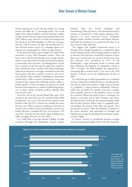federal requirement to vote (see also chapter 3), average turnout has fallen by 7.7 percentage points. The Greek regime that replaced military rule has achieved a higher average turnout than the regime that governed before the 1967 military coup. However, in France the change from the Fourth to the Fifth Republic in 1958 was accompanied by a fall in turnout. In Italy, the introduction of a new electoral system as part of a campaign against corruption was accompanied by a fall in average turnout.

In the past half-century, great changes have affected the electorates in every West European country. There has been a rise in the level of education and average income, which is associated with increased electoral participation. Concurrently, there has been a 'de-ideologization' of politics, as parties of the left and the right have tended to move towards the centre. Insofar as the clash of ideologies reflected an electorate so strongly committed to their different parties that they would be certain to turn out at every election, then a decline in ideological commitment would lead to a fall in turnout. Furthermore, some commentators have argued that declining turnout reflects a healthy apathy, as voters no longer see elections as a clash between rival camps but as a means of influencing all parties to adopt similar, moderate policies offering what most electors want.

From the end of the Second World War until 1959, turnout in the states that were EU members before 2004 averaged 84.7 per cent. In the period of economic boom between 1960 and 1973, turnout was virtually the same, 85.6 per cent. When economic conditions soured due to oil price rises, world recession and inflation, turnout was hardly affected; it averaged 83.9 per cent between 1974 and 1987. Turnout has only shown signs of falling since 1988, averaging 78.0 per cent since then.

It is a half-truth to say that turnout is falling. In eight countries−−Portugal, the Netherlands, France, Austria, Finland, Italy, the United Kingdom and Luxembourg−−there has been a clear downward trend in turnout, as measured by a least squares regression line.<sup>1</sup> However, in seven countries–Greece, Denmark, Belgium, Spain, Sweden, Germany and Ireland−−fluctuations both up and down are so numerous that there is no clear trend in either direction.

The biggest and steadiest downward trend is in Portugal. Even though Portugal has a competitive party system and government often changes hands as a result of an election, there has been a trend fall in turnout of more than 3 per cent between one election and the next since free elections were introduced in 1975. In the Netherlands, a large downward trend in turnout took place following the abolition of compulsory voting in 1967. In France, the Fifth Republic has experienced a continuing fall in turnout from 77 per cent in the 1958 election to 60 per cent in the parliamentary election of 2002.

In a television age in which personalities are considered at least as important as political parties, a *presidential election* may be expected to produce a high turnout, because it is palpably a contest between individuals. However, while every pre-2004 EU member state elects a parliament, popular election of the president occurs in only five countries. Where the head of state is a monarch, no election is necessary and in Italy, Germany and Greece the head of state is chosen by the national assembly rather than by direct election. Where there is a popularly elected president, the powers of the office vary greatly. They are greatest in France, where the president is superior to the prime minister, and substantial in Portugal and Finland, but in Austria and Ireland the president's political role is slight.

In France, turnout in presidential elections averages nine percentage points higher than in the first-round bal-

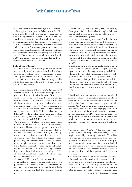lot for the National Assembly (see figure 2.2). However, the French pattern is atypical. In Ireland, where the office is sometimes filled without a contest because there is inter-party agreement about who should hold the ceremonial post, turnout for presidential elections averages 16 percentage points less than the average for elections to the Dail (Parliament). In Portugal, presidential elections produce a turnout 7 percentage points lower than elections to the National Assembly, and there is a significant downward trend. In the first Portuguese presidential election in 1976 three-quarters of the electorate voted, while in 2001 the turnout was even lower than that for the US presidential elections, at 50.0 per cent.

### **Explanations of Turnout**

In Western Europe, the *electoral system* usually reflects laws enacted by a coalition government that depends on two, three or even four parties for support and, as coalitions vary between countries, so too do electoral arrangements. Political scientists have taken advantage of this fact to formulate the following hypotheses. Election turnout will be higher if:

- *Members of parliament* (MPs) *are elected by proportional representation* (PR). In PR elections, once support for a party exceeds a real or implicit threshold of five per cent or less, every vote cast for it helps the voters' choice get into the parliament. By contrast, in first-past-the-post elections, the winner needs just a plurality of the vote, thus causing many votes to be 'wasted'. Advocates of PR claim that it raises turnout by reducing the percentage of wasted votes. Of the 15 EU member countries before 2004, 11 have a PR electoral system and two (the UK and France) do not. Germany and Italy have mixed member proportional (MMP) systems.
- *Voting is compulsory.* Making voting compulsory ought to make turnout higher than it is in countries where it is voluntary. However, the obligation to vote usually involves 'soft compulsion', for penalties can be light or not enforced. Moreover, even if voting is voluntary, many electors may have internalized cultural norms of civic participation, thus reducing the impact of compulsion. Belgium, Luxembourg and Greece have consistently sought to make voting compulsory; the Netherlands had compulsory voting up to and including the 1967 election; and Austria had compulsory voting at the national level up to and including the 1979 election. Italy states that it is a duty of the citizen to vote but sanctions are not effective.
- *Elections are held on a rest day, not a workday.* If an election is held on a Saturday or Sunday, or election day is a public holiday, the free time in which employed electors can vote is greatly increased. At least one day of voting is a rest day in nine pre-2004 EU countries−−Austria,

Belgium, France, Germany, Greece, Italy, Luxembourg, Portugal and Sweden. In the other six, employed electors are expected to make time to vote in addition to meeting their workday obligations.

- *Voters are closer to their representatives.* British politicians often argue that electors are closer to their representatives when votes are cast for an individual candidate in a single-member electoral district under the first-pastthe-post system. However, such districts can have up to 100,000 electors, thus making personal contact 'virtual' at best, and the majority of electors often do not know the name of their MP. A measure that can be used for 'closeness' is the ratio of number of electors to number of MPs.
- *Free elections are long established.* Insofar as socialization into a democratic political system when young encourages citizens to vote, the longer a country has held free elections the more likely citizens are to vote. It is only possible for all electors to have experienced democratic socialization in their youth if a country has had free elections without interruption since the end of the First World War. This criterion is met by seven EU countries, and five more have consistently held free elections since 1945.

Political sociologists assume that a country's social and economic features, such as material prosperity and levels of education, will be the primary influences on electoral participation. Factor analysis shows that gross domestic product (GDP) per capita, employment in non-agricultural sectors, education and the foreign population of a country form a single factor, while government expenditure as a percentage of GDP forms a second factor. For clarity, the multitude of socio-economic influences are therefore reduced to one for each factor, in order to test the next hypotheses−−that election turnout will be higher if:

- *Citizens are materially better off.* For comparative purposes, material well-being can be measured by GDP per capita, adjusted by purchasing power parity. The difference between the most prosperous and the least prosperous EU countries is less than 2 : 1. In more prosperous countries, citizens are more likely to be urbanized and therefore to find it easier to reach a polling station, and to be better educated, having a greater awareness of parties, candidates and the importance of elections in a democracy.
- *Government is important for citizens' material well-being.* Empirically as well as ideologically, governments differ in the extent to which public expenditure pays for citizens' health care, social security and education. The more a government raises in taxes, the more money it is able to spend on welfare policies benefiting large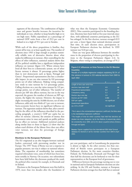segments of the electorate. The combination of higher taxes and greater benefits increases the incentives for individuals to vote, whether to keep benefits high or to cut high taxes. Public expenditure as a percentage of national GDP varies from a low of 29.3 per cent in Ireland to to a high of 55.1 per cent in Sweden.

While each of the above propositions is familiar, they cannot all be true, or at least equally true. The number of elections since 1945 is large enough to produce statistically reliable tests of alternative theories about what makes for differences in turnout. After controlling for the effects of other influences, statistical analysis shows that all five political variables have a significant independent influence on turnout (figure 2.3). Where citizens have lived all their lives in a democratic system, net of other factors turnout is almost 10 percentage points higher than in new democracies such as Spain, Portugal and Greece<sup>2</sup>. Proportional representation also has a considerable impact: its use can raise turnout by 8.8 percentage points net of other influences. Making voting compulsory tends to raise turnout by 5.3 percentage points. Calling elections on a rest day raises turnout by 3.9 percentage points, net of other influences. The number of electors per MP also affects turnout, but not in the way expected: the greater the number of electors an MP represents, the higher the turnout. However, the impact is slight: increasing the ratio by 10,000 electors, net of other influences, adds only two-thirds of 1 per cent to turnout. Socio-economic factors have no significant influence on turnout. The regression analysis shows that, after controlling for the effect of the influences described in the preceding paragraph, a country's GDP per capita has no effect on turnout. Likewise, the amount of money that government raises in taxes and spends on public policies has no effect on turnout. Additional statistical analyses along similar lines to those in figure 2.3 show that the urban−rural division of the labour force does not affect voter turnout, nor does the percentage of foreign migrants.

### **Elections to the European Parliament**

The EU originated as an elite bargain between national leaders concerned with preventing another war in Europe. The 1957 Treaty of Rome was not a response to popular pressures, nor was it subject to national referendums. The expansion of membership has sometimes required referendum votes, some of which have been lost, most notably in Norway. On occasion, two referendums have been held before the electorate produced the result the political elites wanted, for example, in Denmark and in Ireland.

Elections to the European Parliament were first held in 1979, more than two decades after the foundation of what was then the European Economic Community (EEC). Nine countries participated in the founding election. Elections have been held at five-year intervals since then, with additional countries participating as the EU has enlarged. In the first election, turnout averaged 65.9 per cent, a lower figure than national elections around that time. At each election since, participation in European Parliament elections has declined. In 1999 turnout was 52.8 per cent.

There are very great differences between the member states in the proportion of electors participating in elections to the European Parliament (figure 2.4). In Belgium, where voting is compulsory, an average of 91.2

### **Figure 2.3: Influences on Voter Turnout in the EU Member Countries**

Results of a multiple regression analysis explaining 59.1% of the variance in turnout in 233 national elections from 1945 to April 2002

|                                       | p,              | Beta <sup>®</sup> |
|---------------------------------------|-----------------|-------------------|
| Length of time over which free        |                 |                   |
| elections have been held <sup>b</sup> | 4.9             | .44               |
| Proportional representation           | 8.8             | .43               |
| Compulsory voting                     | 5.3             | .29               |
| Election day a rest day               | 3.9             | .23               |
| Electors per MP ('000)                | 0.066           | .22               |
| GDP per capita                        | not significant |                   |
| Government expenditure                |                 |                   |
| as a %% of GDP                        | not significant |                   |

**<sup>a</sup>** The b value is the unstandardized regression coefficient; the Beta value is the standardized regression coefficient.

**<sup>b</sup>**The lengths of time for which countries have held free elections are divided into three categories: (a) for the lifetime of present-day voters; (b) consistently since 1945; and (c) for about a quarter-century (Greece, Portugal and Spain).

**Source:** Figures supplied from the International IDEA Voter Turnout database for elections in all EU member countries from 1945 to April 2002.

per cent participate, and in Luxembourg the proportion is almost as high. At the other extreme, less than onethird of British voters participate in a European Parliament election. In five more countries−−Sweden, Finland, the Netherlands, Denmark and Portugal−−less than half the electorate can be bothered to vote for their representatives at the European level of governance.

Differences between the percentage turning out to vote in national and in European Parliament elections are also striking. In the UK and Sweden, turnout at European Parliament elections averages less than half that at national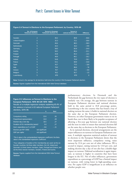# Part I: Current Issues in Voter Turnout

|                | No. of European<br><b>Parliament elections</b> | <b>Turnout in European</b><br>Parliament elections (%) | <b>Turnout in</b><br>national elections (%) | <b>Difference</b> |  |
|----------------|------------------------------------------------|--------------------------------------------------------|---------------------------------------------|-------------------|--|
| Sweden         | $\overline{2}$                                 | 40.2                                                   | 80.8                                        | $-40.6$           |  |
| United Kingdom | 5                                              | 32.3                                                   | 72.1                                        | $-39.8$           |  |
| <b>Denmark</b> | 5                                              | 49.4                                                   | 88.3                                        | $-38.9$           |  |
| Netherlands    | 5                                              | 44.3                                                   | 81.3                                        | $-37.0$           |  |
| Germany        | 5                                              | 58.0                                                   | 82.9                                        | $-24.9$           |  |
| Austria        | $\overline{2}$                                 | 58.3                                                   | 80.4                                        | $-22.1$           |  |
| Finland        | $\overline{2}$                                 | 43.8                                                   | 65.3                                        | $-21.5$           |  |
| Portugal       | $\overline{4}$                                 | 49.9                                                   | 66.1                                        | $-16.2$           |  |
| Ireland        | 5                                              | 54.8                                                   | 70.9                                        | $-16.1$           |  |
| France         | 5                                              | 53.1                                                   | 68.9                                        | $-15.8$           |  |
| Spain          | $\overline{4}$                                 | 61.7                                                   | 73.5                                        | $-11.8$           |  |
| Italy          | 5                                              | 79.0                                                   | 86.6                                        | $-7.6$            |  |
| Greece         | $\overline{4}$                                 | 74.7                                                   | 81.5                                        | $-6.8$            |  |
| Belgium        | 5                                              | 91.2                                                   | 92.7                                        | $-1.5$            |  |
| Luxembourg     | 5                                              | 87.9                                                   | 87.9                                        | $\overline{0}$    |  |

### **Figure 2.4:Turnout in Elections to the European Parliament, by Country, 1979**−**99**

**Note:** Turnout is the average for all elections held since the country's first European Parliament election.

**Source:** Figures supplied from the International IDEA Voter Turnout database

### **Figure 2.5: Influences on Turnout in Elections to the European Parliament, 1979**−**99 (UK 1979**−**1994)**

Results of a multiple regression analysis explaining 65.4% of the variance in turnout in 63 national European Parliament elections, 1979−99. **b Betaa**

| Compulsory voting                              | 22.6            | .50    |
|------------------------------------------------|-----------------|--------|
| Proportional representation                    | 13.0            | .29    |
| Election day a rest day                        | 10.5            | .27    |
| Duration of EU membership (years) <sup>b</sup> | 5.0             | .27    |
| Govt. expenditure as % of GDP                  | $-0.6$          | $-.21$ |
| Electors per MP ('000)                         | not significant |        |
| GDP per capita                                 | not significant |        |

<sup>a</sup> The b value is the unstandardized regression coefficient; the Beta value is the standardized regression coefficient.

b Four categories of duration of EU membership are used: (a) the six founder countries; (b) three older members, the UK, Ireland and Denmark; (c) three newer members, Spain, Portugal and Greece; and (d) the three newest members, Sweden, Finland and Austria.

**Source:** Figures supplied from the International IDEA Voter Turnout database.

parliamentary elections. In Denmark and the Netherlands the gap between the two types of election is similarly vast. On average, the gap between turnout in European Parliament elections and national elections held in the same period is 18.8 percentage points. Luxembourg is the one country that has found a way of making turnout the same: it holds its national election on the same day as the European Parliament election. However, no other European government wants to tie its hands thus, nor is there likely to be popular acceptance of allowing a five-year gap between one national election and the next in order to ensure that national elections fall on the same day as elections to the European Parliament.

As in national elections, electoral arrangements are the major influences on turnout in European Parliament contests. A multiple regression statistical analysis of turnout in elections to the European Parliament shows that the most important influence, compulsory voting, raises turnout by 22.6 per cent net of other influences. PR is second in impact, raising turnout by 13.0 per cent, and making election day a day of rest also has a double-digit impact on turnout. Habitual socialization is again important, as turnout is higher in countries that have been longest in the EU. Net of other influences, government expenditure as a percentage of GDP has a limited impact on turnout, with voting lower in high-spending countries. Per capita GDP is insignificant as an influence on whether people vote.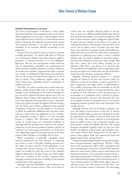### **Political Participation as an Issue**

The level of participation in elections is much higher than the proportion of the population who watch current affairs programmes on television, read newspapers which report political events in detail or are well informed about politics. Moreover, the exigencies of government require most political decisions to be taken by representative assemblies or by executive officials accountable to the parliament.

Voting is the one political activity in which a majority of adults participate. Yet turnout falls short of 100 per cent. Democratic idealists claim that everyone ought to participate in elections because it is a civic obligation. Moreover, 100 per cent participation would avoid the risk of representative assemblies not representing the whole spectrum of public opinion in a country. However, the means most suitable to approach this ideal−−compulsory voting−−is challenged by libertarians who emphasize that in a free society everyone has the right *not* to vote if they so choose. Only totalitarian regimes such as the Soviet Union have compelled citizens to participate in political activities.

Ironically, even where countries have or have had compulsory voting, turnout falls short of 100 per cent. For example, in the Netherlands in the 1950s an average of 5 per cent of the registered electorate did not cast a vote. In Belgium, where voting is still compulsory, almost 10 per cent of the registered electorate does not vote. Libertarian values have gained strength throughout Western Europe, and the Dutch and Austrian parliaments have repealed compulsory voting laws (see also chapter 3). In societies in which the politically indifferent have not been socialized into a sense of the civic obligation to vote, introducing compulsory voting is likely to be less successful because it conflicts with libertarian and laissez-faire norms. It would create very substantial problems of imposing effective penalties and could even be counterproductive if each election produced massive evidence of 'scoff law' non-voters going unpunished−−or, if forced to vote, registering support for extremist parties or frivolous parties of Beer Drinkers or the Right Not To Vote.

While compulsion is politically unpopular today, national parliaments can take measures to encourage non-voters to come to the polls. Holding elections on a day when the great majority of the population is not working does increase turnout. In a secular era when people can usually do what they want on the Sabbath, religious objections to Sunday voting carry little weight. There are a number of EU member countries where changing an election date from a weekday to the weekend would produce little opposition.

Making it easier for individuals to cast an absentee vote can, in principle, increase turnout. This can be done in various ways, for example, allowing people to vote by post, in person at a different polling station than that for their normal home address, or by email or telephone. But each of these measures requires safeguards against fraud. If postal votes are mailed out but there is no means of verifying the identity of the persons who use them, they can be cast by 'ghost' voters. If people vote away from home, they must have a positive means of identification, which does not exist in the UK, where there is principled opposition to requiring every citizen to have a national identity card. An email or telephone vote invites impersonation and subsequent controversy when people find that their names have been falsely invoked by an unknown caller from a pay phone or an Internet café. The introduction of safeguards, such as registering a password for an email vote, would reduce the risk of fraud but would also make absentee voting more difficult.

Arguably, declining electoral turnout is a rational response of citizens to the fact that elections make less difference to the way in which a country is governed, as party competition no longer reflects a *kulturkampf* or class conflict, and parties that are nominally on the left and the right have tended to converge towards the centre in pursuit of votes. Moreover, when the government is accountable to a parliament that is elected by proportional representation, elections may determine the relative strength of parties in parliament but it is inter-party bargaining between political elites that determines who actually governs.

Although elections may be declining in popular concern, the impact of government on the lives of citizens has been steadily rising, as is shown by the growth in public expenditure to two-fifths or more of GDP across the EU as a whole. The money collected is not burned but spent on public services such as education, health care, social security, roads and rubbish collection. The average European household regularly enjoys at least two such benefits. In addition, citizens look to government to prevent unsafe vehicles from being driven on the road, to protect them against bank and commercial fraud and against impure food, and much more.

The growth of government has led to the growth of singleissue non-governmental organizations (NGOs). Some, such as the anti-abortion 'right to life' campaigners and those wanting to give more aid to Third World countries, advocate a moral cause. Others, such as trade unions and business associations, exist to promote material interests. Individual membership of NGOs is invariably a small or even infinitesimal percentage of the national electorate. A 'mass' demonstration of 25,000 people appears big on a television screen, but will constitute far less than 1 per cent of a European country's electorate. The percentage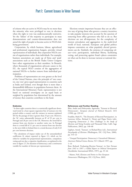# Part I: Current Issues in Voter Turnout

of citizens who are active in NGOs may be no more than the minority who were privileged to vote in elections when the right to vote was undemocratically restrictive. Yet the 'failure' of the majority to participate in mass demonstrations and counter-demonstrations does not annul the right of people to become active in NGOs lobbying government.

Corporatism, by which business, labour, agricultural and professional organizations bargain, provides virtual representation of individuals. But corporatist NGOs consist of organizations rather than individuals. For example, business associations are made up of firms and 'peak' associations such as the British Trades Union Congress have other organizations as their members. In Brussels, where thousands of organizations advocate causes to the EU, the typical NGO consists of the aggregation of national NGOs-a further remove from individual participation.

Problems of representation are even greater at the level of the United Nations, since the principle of 'one country, one vote' gives equal representation to countries such as India and Iceland, even though there is more than a thousandfold difference in population between them. At the International Monetary Fund, representation is not based on national sovereignty on an equal basis or weighted by population but determined by the amount of money that countries contribute to the fund.

### **Endnotes**

<sup>1</sup> In these eight countries there is a statistically significant downward trend in a least squares regression line of turnout over the period within a country and the variance in turnout explained (R2 ) by the passage of time is greater than 25 per cent. However, the 'fit' varies substantially between an  $R^2$  of 95 per cent in Portugal and 28 per cent in the UK. Moreover, the trend fall in turnout from one election to another varies too. In Portugal there is a trend fall of 3.1 per cent in turnout from one election to the next while in Ireland there is a trend decrease of only 0.43 per cent between elections.

**<sup>2</sup>** The calculation of impact makes use of the unstandardized coefficients (b values) reported in figure 2.3, which are for either/or variables for proportional representation, compulsory voting and rest day; a tripartite classification, as explained in the note to figure 2.5, for duration of democracy; and a continuous variable for number of electors per representative.

Elections remain important because they are an effective way of giving those who govern a country incentives to take popular interests into account by the sanction of removing from office governors who fail to do so. But elections are not all-important, for the complexity of interest articulation and aggregation in the multi-level world of local, national, European and global politics imposes constraints on what popularly elected governments can do. Similarly, the existence of competing values--civic participation, individual liberty, facilitating voting, and protecting against fraud−−places constraints on what can be done to increase turnout at national elections.

### **References and Further Reading**

Blais, André and Dobrzynska, Agnieszka, 'Turnout in Electoral Democracies', *European Journal of Political Research,* 33/2 (1998), pp. 239−61

Franklin, Mark N., 'The Dynamic of Electoral Participation', in Lawrence leDuc, Richard G. Niemi and Pippa Norris (eds), *Comparing Democracies 2: New Challenges in the Study of Elections and Voting* (London and Thousand Oaks, Calif.: Sage Publications, 2002), pp. 148−68

Lijphart, Arend, 'Turnout', in Richard Rose (ed.), *International Encyclopedia of Elections* (Washington, DC: CQ Press, 2000), pp. 314−22

− 'Unequal Participation: Democracy's Unresolved Dilemma', *American Political Science Review,* 91/1 (March 1997), pp. 1−14

Rose, Richard, 'Evaluating Election Turnout', in *Voter Turnout from 1945 to 1997: a Global Report on Political Participation* (Stockholm: International IDEA, 1997), pp. 35−46

− Munro, Neil, *Elections and Parties in New European Democracies* (Washington, DC: CQ Press, 2003)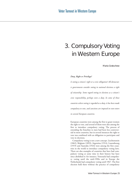# 3. Compulsory Voting in Western Europe

Maria Gratschew

### *Duty, Right or Privilege?*

*Is voting a citizen's right or a civic obligation? All democratic governments consider voting in national elections a right of citizenship. Some regard voting in elections as a citizen's civic responsibility, perhaps even a duty. In some of those countries where voting is regarded as a duty, it has been made compulsory to vote, and sanctions are imposed on non-voters in several European countries.* 

European countries were among the first to grant women the right to vote, and several of them were also among the first to introduce compulsory voting. The process of extending the franchise to men had been less controversial in most countries, but in several instances the right to vote was combined with an obligation to participate and vote in elections.

Compulsory voting is not a new concept. Liechtenstein (1862), Belgium (1893), Argentina (1914), Luxembourg (1919) and Australia (1924) were among the first countries in the world to introduce compulsory voting laws. There are also examples of countries that have had compulsory voting at some time in their history but have since abolished it: for instance, Venezuela had compulsory voting until the mid-1990s and in Europe the Netherlands had compulsory voting until 1967. The first election held there without the practice of compulsory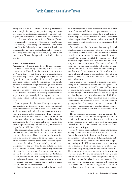voting was that of 1971. Australia is usually brought up as an example of a country that practises compulsory voting. There, the existence and practice of compulsory voting are still controversial. It may come as a surprise to many that currently six countries in Western Europe retain compulsory voting laws (Belgium, Cyprus, Greece, Liechtenstein, Luxembourg and Switzerland) and three more (Austria, Italy and the Netherlands) had such laws in the past but have since abolished compulsory voting or are in the process of doing so. However, only a few of the countries in Western Europe enforce this obligation in practice.

### **Impact on Voter Turnout**

Approximately 30 countries in the world today have regulations that make voting compulsory in their constitutions or electoral laws. Most of them are in Latin America or Western Europe, but there are a few examples from Asia as well (e.g. Thailand and Singapore). However, any figure for the exact number of countries that practise compulsory voting would be misleading. The simple presence or absence of compulsory voting laws in itself is far too simplistic a measure. It is more constructive to analyse compulsory voting as a spectrum, ranging from the existence of a symbolic but basically impotent law to a system that systematically follows up each and every non-voting citizen and implements sanctions against them.

From the perspective of a voter, if voting is compulsory and sanctions are imposed on non-voters, the rational decision is to vote in elections in order to avoid sanctions. With this reasoning in mind, it comes as no surprise that turnout is usually higher in countries where compulsory voting is practised and enforced. Comparisons of the impact compulsory voting has on turnout show that it is approximately 10−15 per cent higher in countries that have compulsory voting and enforce it (Gratschew and López Pintor 2002: 108, 110).

This spectrum reflects the fact that some countries have compulsory voting laws but do not, and have no intention to, enforce them. There are a variety of reasons for this. Not all laws are created to be enforced. Some are passed merely to state the government's position regarding what the citizen's responsibility should be. Compulsory voting laws that do not include sanctions may fall into this category. In fact the law may have some effect on the citizens, even if a government may not enforce it or even have formal sanctions in law for failure to vote. For example, in Austria voting was compulsory in two regions until recently, and sanctions were only weakly enforced, but these regions had a higher average turnout than the national average.

Other possible reasons for not enforcing the laws could

be their complexity and the resources needed to enforce them. Countries with limited budgets may not make the enforcement of compulsory voting laws a high priority but still hope that the existence of the law will encourage citizens to participate. The cost of enforcement may lead some electoral administrations to lower their standards of enforcement.

An examination of the best ways of estimating the level of enforcement of compulsory voting laws and sanctions in a country is relevant here. What information is needed in order to measure whether enforcement is strict or relaxed? Information privided by election (or other) authorities might reflect the intentions but not necessarily the situation in practice. The number of cases of failure to vote that have been followed up after an election or the number of cases taken to court would presumably be the best measures to use. Unless all or at least nearly all cases of failure to vote are followed up after an election, the system can hardly be deemed to be one of strict enforcement.

Can a country be considered to practise compulsory voting if the compulsory voting laws are ignored and irrelevant to the voting habits of the electorate? Is a country practising compulsory voting if there are no penalties for not voting? What if there are penalties for failing to vote but they are never or hardly ever enforced? Or if the penalty is negligible? Many countries offer loopholes, intentionally and otherwise, which allow non-voters to go unpunished. For example, in some countries only registered voters are required to vote but it is not compulsory to register. People might then have incentives not to register.

The diverse forms compulsory voting has taken in different countries suggest that our perception of it should be refocused away from assessing it as a practice that is either present or absent and towards studying the degree to which and the manner in which the government forces its citizens to participate.

Figure 3.1 shows a ranking list of average voter turnout among the countries included in this report. The first four, at the top of the list, have or have had some element of compulsory voting. These are Belgium, Austria, Italy and Luxembourg. The Netherlands, which had compulsory voting until 1967, comes seventh on this ranking list. Switzerland, where only one canton out of 26 practises compulsory voting, is at the very bottom of the list. The country has attracted some attention because of its low turnout and frequent referendums; however, in the canton of Schaffhausen, where compulsory voting is practised, turnout is higher than in other cantons. The two most recent parliamentary elections in Switzerland, in 1999 and 2003, show a much higher voter turnout in Schaffhausen than in the other cantons, and average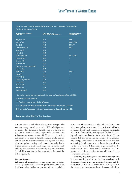# Voter Turnout in Western Europe

Figure 3.1: Voter Turnout at National Parliamentary Elections in Western Europe and the Practice of Compulsory Voting

| <b>Country (no. of elections)</b><br>since 1945 | Votes cast as % of<br>no. of electors registered***** | <b>Compulsory voting</b><br>practised since |
|-------------------------------------------------|-------------------------------------------------------|---------------------------------------------|
|                                                 |                                                       |                                             |
| Belgium (19)                                    | 92.5                                                  | $1893 -$                                    |
| Austria (18)                                    | 90.9                                                  | 1949-1979*                                  |
| Italy $(15)$                                    | 89.8                                                  | $1940s***$                                  |
| Luxembourg (12)                                 | 89.7                                                  | $1919-$                                     |
| Iceland (17)                                    | 89.5                                                  |                                             |
| Malta (14)                                      | 88.2                                                  |                                             |
| Netherlands (18)                                | 86.6                                                  | 1917-1967                                   |
| Denmark (23)                                    | 86.0                                                  |                                             |
| Sweden (18)                                     | 85.7                                                  |                                             |
| Germany (15)                                    | 85.0                                                  |                                             |
| Western Europe (overall 297)                    | 82.1                                                  |                                             |
| Norway (15)                                     | 80.4                                                  | ÷                                           |
| Greece (16)                                     | 79.9                                                  | $1952 -$                                    |
| Spain (8)                                       | 75.7                                                  |                                             |
| Finland (17)                                    | 75.6                                                  |                                             |
| United Kingdom (16)                             | 75.2                                                  |                                             |
| France (16)                                     | 74.8                                                  |                                             |
| Portugal (11)                                   | 73.6                                                  |                                             |
| Ireland (16)                                    | 72.6                                                  |                                             |
| Switzerland (14)                                | 56.6                                                  | $***$                                       |

\* Compulsory voting has been practised in the regions of Vorarlberg and Tirol until 2004.

\*\* Sanctions are not enforced.

\*\*\* Practised in one canton only, Schaffhausen.

\*\*\*\* This column shows the average turnout at parliamentary elections since 1945.

On the impact of compulsory voting on turnout, see also chapter 2 and figure 2.3.

**Source:** International IDEA Voter Turnout database.

turnout there is well above the country average. The country average was 43 per cent in 1999 and 45 per cent in 2003, while turnout in Schaffhausen was 62 and 63 per cent in 1999 and 2003, respectively. In one or two other cantons turnout is up to 50−53 per cent, but this is still much lower than in Schaffhausen. A similar pattern can be seen in Austria where the two regions that practiced compulsory voting until recently normally had a higher turnout at elections. Average turnout in the small country of Liechtenstein is also very high and if it were included it would join the four countries at the top of the list in figure 3.1.

### **For and Against**

Advocates of compulsory voting argue that decisions made by democratically elected governments are more legitimate when higher proportions of the population participate. This argument is often adduced in societies where compulsory voting could be particularly effective in making traditionally marginalized groups participate. Advocates of compulsory voting argue further that voting, voluntarily or otherwise, has an educational effect on citizens. Political parties can save money from compulsory voting, since they do not have to spend resources convincing the electorate that it should in general turn out to vote. Finally, if democracy is government by the people−−and this presumably includes all the people−−then it is every citizen's responsibility to elect his or her representatives.

The leading argument against compulsory voting is that it is not consistent with the freedom associated with democracy. Voting is not an intrinsic obligation and the enforcement of such a law would be an infringement of the citizens' freedom associated with democratic elections.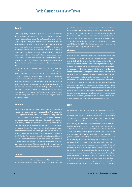# Part I: Current Issues in Voter Turnout

### **Austria**

Compulsory voting is regulated by federal law in Austria. Howe applied to all the regions at that time, although provision for it had been made earlier in the electoral law of 1919 in the region of Vorarlberg and in an article in the electoral law of 1923. Compulsory

By the early or mid-1990s all the regions of the country except two, fines could be applied as a penalty for not voting. The fines were fairly high but in practice usually lower than what the law specifies. The law provided for fines of up to 700 EUR (c. 768 USD as of 10

### **Belgium**

Belgium, so far as is known, was the first country in the world to European Parliament. A non-voter has the opportunity to explain his 15 years he or she is excluded from the electoral register and disenfranchised for ten years. If the non-voter is a civil servant, another

### **Cyprus**

60. Non-voters have the opportunity to explain the reasons why they did not vote in the election before a decision on possible sanctions is taken and do not face sanctions if the reasons are judged to be v

### **Greece**

Compulsory voting was introduced in the Greek Constitution for the Parliament. Voters above the age of 70 and those who are not mobile ause of infirmity are exempted, as are those who are more than the present legislation. Under the old electoral law, which is no longer in force, one possible sanction against non-voters involved restricacter and sanctions are not often applied against non-voters.

### **Italy**

electoral law were introduced. Compulsory voting was introduced as part of this electoral law and remained in the electoral law for alr chists had argued strongly in favour of the introduction of compulsoapplied were similar to those applied in Belgium today, that is, a voter who had abstained for several consecutive elections would be temfor sanctions in the law. Compulsory voting has been a controversial issue for many years. Those who have argued against it have been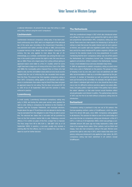### **Liechtenstein**

century, the law only applied to men above the age of 24. (Interestingly, as a contrast, Liechtenstein was among the last counfailed to vote, but this old tradition slowly died out once local councils realized that the cost of enforcing this law exceeded total receipts is. The present law that regulates compulsory voting an approved reason for not voting. The fine does not exceed CHF 20 enforced in practice.

### **Luxembourg**

may be exempted from the obligation to vote if they are able to prove taken to court for further decision.

### **The Netherlands**

With the constitutional change in 1917 which also introduced universal suffrage (for men; women were granted the right to vote in 1919) turnout for the election results to be truly proportional. It is worth

ernment. A number of theoretical as well as practical arguments cise or not; it is difficult to enforce sanctions against non-voters effectively; and party politics might be livelier if the parties had to attract the voters' attention, so that voter turnout would therefore reflect introduction.

### **Switzerland**

tised it for almost 100 years, since 1904. Compulsory voting applied to all elections. The sanction for failure to vote is the same today granted the right to vote only in 1971, which means that when compulsory voting was introduced it only applied to male voters. By 1971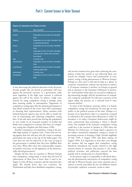# Part I: Current Issues in Voter Turnout

### **Figure 3.2: Sanctions for Failure to Vote**

| <b>Country</b>     | <b>Type of sanction</b>                    |
|--------------------|--------------------------------------------|
|                    |                                            |
| Austria            | Explanation by non-voter but thereafter    |
|                    | fines                                      |
| Belgium            | Explanation by non-voter, thereafter fines |
|                    | or disenfranchisement                      |
| Cyprus             | Explanation by the non-voter, thereafter   |
|                    | fines                                      |
| Greece             | Explanation by the non-voter, thereafter   |
|                    | imprisonment. Earlier other sanctions      |
|                    | (see above)                                |
| Italy              | Currently none                             |
| Liechtenstein      | Explanation by the non-voter, thereafter   |
|                    | fines                                      |
| Luxembourg         | Explanation by the non-voter, thereafter   |
|                    | warning and/or fines                       |
| <b>Netherlands</b> | Currently none                             |
| Switzerland        | Explanation by the non-voter, thereafter   |
|                    | fines                                      |
|                    |                                            |

It may discourage the political education of the electorate because people who are forced to participate will react against the perceived coercion. Is a government really more legitimate if the high voter turnout is achieved against the will of the voters? To achieve a high voter turnout by using compulsory voting is perhaps easier than ensuring quality in participation. Opponents of compulsory voting argue that the optimal participation is that which is based on the voters' own will to participate in choosing their representatives. Many countries with limited financial capacity may not be able to justify the cost of maintaining and enforcing compulsory voting laws. It has also been proved that forcing the population to vote results in an increased number of invalid and blank votes compared to countries that have no compulsory voting laws (Puplick and McGuiness 1998).

Another consequence of compulsory voting is the possible high number of 'random votes'. Voters who are voting against their free will may tick off a name at random, particularly the name at the top of the ballot paper. The voter does not care for whom he or she votes as long as the government is satisfied that they have fulfilled their civic duty. What effect does this unmeasurable category of random votes have on the legitimacy of the democratically elected government?

Despite the fact that six countries in Western Europe have compulsory voting today, it seems that the level of enforcement of these laws is lower than it used to be. Figure 3.2 lists all these countries and the sanctions they apply. We already know that two countries, the Netherlands and Italy, have abolished compulsory voting, and several countries have gone from enforcing the compulsory voting laws strictly to not enforcing them very strictly, for example, Greece and Liechtenstein. Is compulsory voting a dying phenomenon in Western Europe? Perhaps in a few years it will only be kept as a 'ghost' in countries' constitutions, without any intention to enforce it. If turnout continues to decline—in Europe in general and at elections to the European Parliament in particular--and if politics alone does not succeed in making voting interesting enough, will the introduction of compulsory voting be considered? Or will more countries in the region adopt the practice on a national level if voter turnouts decline?

In most of the European countries where it is found, compulsory voting was introduced 50 years ago or even earlier, in the political systems of the time. Perhaps it is because of its long history that it is commonly accepted or tolerated in the countries that still practise it today. To introduce it in today's European democracies might be more controversial than practising it where is already exists. One example of the resistance compulsory voting could face is the reaction in Sweden in 1999 when the Minister for Democracy, on being asked a question on the subject, mentioned compulsory voting as a means of increasing turnout or keeping it high (*Svenska dagbladet* 29 July 1999, 9 August 1999; and *Borås tidning* 18 August 1999). It is important to note that, even though the minister did not suggest that compulsory voting should be introduced, but merely referred to the high turnout shown in countries that practise it, the media, political scientists and politicians rejected the idea quickly and in strong terms in a heated debate.

At the present stage it is impossible to tell which direction the phenomenon and practice of compulsory voting will take in Western Europe, since some countries aim to enforce it strictly and others do not, for different reasons of principle−−political, economic, social or other.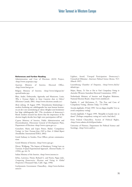### **References and Further Reading**

Administration and Cost of Elections (ACE) Project, <http://www.aceproject.org>

Austrian Ministry of Interior, Electoral Office, <http://www.bmi.gv.at>

Belgian Ministry of Interior, <http://www.belgium.be/ eportal/imdex.jsp>

Blais, André, Dobrzynska, Agnieszka and Massicotte, Louis, *Why is Turnout Higher in Some Countries than in Others?* (Elections Canada, 2003, <http://www.elections.canada.ca>)

*Borås tidning,* 18 August 1999, 'Demokratins blodomlopp: i modern forskning om valdeltagandet har man kunnat konstatera att det i stor utsträckning är valens viktighet som bestämmer hur högt valdeltagandet blir' [The circulation of democracy's blood: modern research has shown that the importance of the election largely decides how high voter participation will be]

Cyprus Ministry of Interior, Public Administration and Decentralisation, Directorate General of Development Plans, Department of Elections <http://www.cyprus.gov.cy>

Gratschew, Maria and López Pintor, Rafael, 'Compulsory Voting', in *Voter Turnout from 1945 to Date: A Global Report* (Stockholm: International IDEA, 2002)

Greek Embassy in Sweden, Press Officer, private communications

Greek Ministry of Interior, <http://www.ypes.gr>

Hirczy, Wolfgang, 'The Impact of Mandatory Voting Laws on Turnout: A Quasi-Experimental Approach', *Electoral Studies*, 13 (1994), pp. 64−76

Italian Ministry of the Interior, <http://www.interno.it>

leDuc, Lawrence, Niemi, Richard G. and Norris, Pippa (eds), *Comparing Democracies: Elections and Voting in Global Perspectives* (Thousand Oaks, Calif.: Sage, 1996)

Liechtenstein Government Chancellery, <http://www.liechten stein.li>

Lijphart, Arend, 'Unequal Participation: Democracy's Unresolved Dilemma', *American Political Science Review,* 91/1 (March 1997)

Luxembourg Chamber of Deputies, <http://www.chd.lu/ default.jsp>

Major, Shaun, *To Vote or Not to Vote? Compulsory Voting in Australia* (Western Australian Electoral Commission, 1995)

Netherlands Ministry of Interior and Kingdom Relations, National Election Board, <http://www.minbzk.nl>

Puplick, C. and McGuiness, P., 'The Pros and Cons of Compulsory Voting', *Elections Today,* 7/3 (1998)

*Svenska dagbladet,* 29 July 1999, 'Låt oss slippa röstplikt' [Let us avoid compulsory voting]

*Svenska dagbladet,* 9 August 1999, 'Röstplikt är kanske inte så dumt?' [Perhaps compulsory voting isn't such a bad idea?]

Swiss Federal Chancellery, Section of Political Rights, <http://www.admin.ch/ch/d/pore/index>

University of Florence, Department for Political Science and Sociology, <http://www.unifi.it>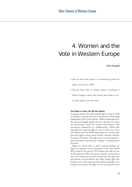# 4. Women and the Vote in Western Europe

Nina Seppälä

- *Did you know that women in Liechtenstein gained the right to vote only in 1984?*
- *Did you know that, as overall turnout is declining in Western Europe, women have become more likely to exercise their right to vote than men?*

### **The Right to Vote: An 80-Year Battle**

European women first achieved the right to vote in 1906 in Finland, a country that was in the process of becoming independent from tsarist Russia. Women participated in the national struggle against the tsar's decision to reverse the autonomous status the country had enjoyed. This movement culminated in a parliamentary reform that extended the universal right to vote to both sexes. Soon after, before the First World War broke out, women were given the right to vote in other Nordic countries, with the exception of Sweden. The right to vote in municipal elections had often preceded the suffrage in parliamentary elections.

Figure 4.1 shows that in many countries female suffrage was achieved in the aftermath of the First World War so that by the end of 1919 women were able to vote in the majority of West European countries. In Germany, two social democratic parties formed the first post-war government and introduced the equal voting right that had been one of the issues on their political agendas. In a number of countries the right to vote was gained in two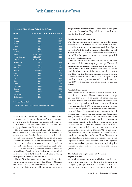### **Figure 4.1: When Women Gained the Suffrage**

| <b>Country</b>        |              | The right to vote The right to stand for election |
|-----------------------|--------------|---------------------------------------------------|
|                       |              |                                                   |
| Finland               | 1906         | 1906                                              |
| Norway                | 1913         | 1907                                              |
| Denmark               | 1915         | 1915                                              |
| Iceland               | 1915         | 1915                                              |
| Austria               | 1918         | 1918                                              |
| Germany               | 1918         | 1918                                              |
| Ireland               | 1918 (1928*) | 1918                                              |
| <b>United Kingdom</b> | 1918 (1928*) | 1918                                              |
| Belgium               | 1919 (1948*) | 1921                                              |
| Luxembourg            | 1919         | 1919                                              |
| <b>Netherlands</b>    | 1919         | 1917                                              |
| Sweden                | 1919         | 1919                                              |
| Portugal              | 1931 (1976*) | 1931                                              |
| Spain                 | 1931         | 1931                                              |
| France                | 1944         | 1944                                              |
| Italy                 | 1945         | 1945                                              |
| Malta                 | 1947         | 1947                                              |
| Greece                | 1952         | 1952                                              |
| San Marino            | 1959         | 1973                                              |
| Monaco                | 1962         | 1962                                              |
| Andorra               | 1970         | 1973                                              |
| Switzerland           | 1971         | 1971                                              |
| Liechtenstein         | 1984         | 1984                                              |

\* All restrictions lifted.

**Source:** <http://www.ipu.org, www.db-decision.de/CoRe>.

stages. Belgium, Ireland and the United Kingdom initially placed restrictions on the women's vote. For example, in the UK the franchise was initially only given to married women, women householders and women university graduates aged 30 years or over.

The next countries to extend the right to vote to women were Portugal and Spain in 1931. A female doctor and a widow, Carolina Beatriz Ângelo, had already voted 20 years earlier in Portugal as the law gave the right to vote to the head of the family without defining the sex of this person. In France, women were given the right to vote in 1944 by decree of General Charles de Gaulle after the Senate had repeatedly blocked proposals aimed at enfranchising French women. Italian women acquired the right to vote in 1945 after the fall of fascism, having participated in the liberation movement.

The last West European countries to grant the vote for women were the micro-states of San Marino, Monaco, Andorra and, finally, Liechtenstein−−the latter in 1984. It had taken nearly 80 years for all European women to gain a right to vote. Some of them will soon be celebrating the centenary of women's suffrage, while others have had the vote for less than 20 years.

### **Gender Differences in Turnout**

Only limited information is available on the differences between men and women where voter turnout is concerned because most countries do not break down figures by gender. Only Finland, Germany, Iceland, Norway and Sweden do so. The available data is thus not representative of West European countries as it is mostly provided by small Nordic countries.

The data shows that the levels of turnout between men and women differ, producing a 'gender gap'. The size of the difference varies across time and countries, but, as figure 4.2 shows, more men than women turned out to vote until the 1980s in most of the countries under comparison. However, the difference between men and women has been modest since the 1960s. Overall, the gender gap has shrunk in the post-war era and reversed since the mid-1980s so that more women than men now turn out to vote.

### **Possible Explanations**

Many factors have been offered to explain gender differences in voter turnout. However, some researchers suggest that there is in fact no gender difference when the fact that women are over-represented in groups with lower levels of participation is taken into consideration (Newman and Sheth 1984). Similarly, some argue that focusing on the gender gap prevents us from understanding that it is certain groups of women, as opposed to all women, that account for the gender gap (Greenberg 1998). Nevertheless, national election surveys conducted in 19 countries worldwide show that level of education has a strong impact on the different voting behaviour as between men and women. Women at lower levels of education are considerably less likely to vote than men with the same level of education (Norris 2002). It can therefore be assumed that an improvement in women's educational level during the post-Second World War era is an important factor in explaining why women's turnout has improved. Work and socio-economic status, among other factors, are weaker explanatory factors in explaining differences in voter turnout between men and women (Norris 2002).

### **The Future and Implications of Women's Higher Turnout**

Women in older age groups are less likely to vote than the men of their age. However, the trend is the reverse in younger age groups (Norris 2002). From this it follows that women's turnout can be expected to rise in the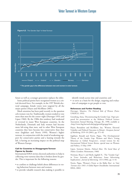# Voter Turnout in Western Europe

**Figure 4.2:** The Gender Gap\* in Voter Turnout 15 10 л 5 Nomen/Men Women/Men -5 -10 **9716** 1949 1965 1969 1973 1989 1993 1953 1961 1985 97. 1981 1997 2001 95 Finland  $\cdot$  Iceland  $\cdot$  Sweden  $\hskip1cm$  Norway  $\hskip1cm$   $\hskip1cm$   $\hskip1cm$  Germany **\* The gender gap is the difference between men and women in voter turnout.** 

future as well as a younger generation replaces the older.

Some political parties have recognized women as a critical electoral force. For example, in the 1997 British electoral campaign, female voters were targeted by all the major parties (Hayes and McAllister 2001).

Much attention has been paid recently to the question *who* women vote for. Traditionally, women tended to vote more than men for the centre−right (Duverger 1955; and Lipset 1960). By the 1980s this tendency had weakened or reversed in many West European countries. In the Netherlands, Denmark and Italy women had become more left-wing than men, and in other West European countries they have become less conservative than they were (Inglehart and Norris 1999). Women's higher turnout, in conjunction with the trend of weakening support for conservative parties and a leaning towards the left, is having an increasing impact on the political map of Western Europe.

### **Call for Countries to Disaggregate Turnout Figures by Gender**

International IDEA invites electoral authorities to help in collecting voter turnout data that is broken down by gender. This is important for the following reasons:

- to confirm or challenge beliefs about differences in voting behaviour between men and women;
- to provide valuable research data making it possible to

identify trends across time and countries; and

• to serve as a basis for the design, targeting and evaluation of campaigns to get people to vote.

### **References and Further Reading**

Duverger, Maurice, *The Political Role of Women* (Paris: UNESCO, 1955)

Greenberg, Anna, 'Deconstructing the Gender Gap', Paper prepared for presentation at the Midwest Political Science Association Annual Meeting, Chicago, Ill., 1998, available at <http://www.ksg.harvard.edu/prg/greenb/gengap.htm>

Hayes, Bernadette and McAllister, Ian, 'Women, Electoral Volatility and Political Outcomes in Britain', *European Journal of Marketing,* 35/9−10 (2001), pp. 971−83

Inglehart, Ronald and Norris, Pippa, 'The Developmental Theory of the Gender Gap: Women and Men's Voting Behaviour in Global Perspective', revised version for the *International Political Science Review,* special issue on Women and Politics, 15 May 1999

Lipset, Seymour Martin, *Political Man: The Social Bases of Politics* (London: Heinemann, 1960)

Newman, Bruce I. and Sheth, Jagdish N., 'The "Gender Gap" in Voter Attitudes and Behaviour: Some Advertising Implications', *Journal of Advertising,* 13/3 (1984), pp. 4−16

Norris, Pippa, 'Women's Power at the Ballot Box', in *Voter Turnout since 1945: A Global Report* (Stockholm: International IDEA, 2002)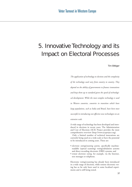# 5. Innovative Technology and its Impact on Electoral Processes

Tim Bittiger

*The application of technology to elections and the complexity of the technology used vary from country to country. They depend on the ability of governments to finance innovations and keep them up to standard given the speed of technological development. While the most complex technology is used in Western countries, countries in transition which have large populations, such as India and Brazil, have been most successful in introducing cost-effective new technologies on an extensive scale.*

A wide range of technology has been developed and introduced in elections in recent years. The Administration and Cost of Elections (ACE) Project provides the most comprehensive overview (http://www.aceproject.org).

Only a limited number of technical innovations are currently being used on a wide scale or have the potential to be introduced in coming years. These are:

- *electronic voting/counting systems, s*pecifically machinereadable (optical scanning) voting/tabulation systems and direct recording electronic (DRE) systems; and
- *remote electronic voting,* for example, via the Internet, text messages or telephone.

Electronic voting/counting has already been introduced in a wide range of elections, while remote electronic voting has so far only been used in some localized experiments and is still being tested.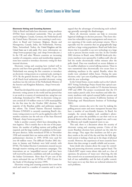### **Electronic Voting and Counting Systems**

Only in Brazil and India have electronic voting machines (EVMs) been introduced nationwide. They are partly used in Belgium, Canada, Germany, the Netherlands and the United States. Electronic vote counting is used everywhere in Brazil and Germany; Belgium, Bosnia and Herzegovina, Canada, India, the Netherlands, Norway, Palau, Switzerland, Turkey, the United Kingdom and the United States use it only partly. (For more information see <http://www.aceproject.org>; and <http://www.idea.int>.) In the UK and other Western countries an increasing number of companies, unions and membership organizations have started to introduce electronic voting for their internal elections.

Electronic voting and counting have worked well in practice and have been generally accepted by voters. The Netherlands was among the first countries to introduce an electronic voting system on a national scale, starting in 1974. By the general election in May 2002, 95 per cent of all Dutch local authorities provided electronic voting machines (see the web site of the Netherlands Ministry of the Interior and Kingdom Relations, <http://www.min bzk.nl>).

Brazil has developed the most modern and sophisticated electronic voting system in the world and has proved that it can work in a country of continental size, using low-cost technology. Introduced in 1996, its electronic voting system covered all 110 million voters in 5,656 municipalities for the first time for the October 2002 elections. The majority of the Brazilian public and politicians support the reform. The United Nations Electoral Assistance Division (UNEAD) is currently examining Brazil's electronic voting system to see if it can be applied in other UN member countries (see the web site of the State Electoral Tribunal, <http://www.tse.gov.br>).

India is another country which faces demanding election logistics. This is mainly due to the size of the population, the number of polling stations and polling staff required, and the large number of candidates in first-pastthe-post districts. India introduced EVMs in November 1998 and extended their use nation-wide in 2004. In the parliamentary elections in 1999, EVMs were used for over 60 million voters. The difficult October 2002 elections in Jammu and Kashmir were held entirely with EVMs. The Indian Election Commission ensured success through massive training and awareness campaigns. The innovations are an 'unqualified success' and have been well received by parties, candidates and staff, according to the Indian Government. More than 95 per cent of the voters welcomed the use of EVMs in 1999 (Centre for the Study of Developing Societies 1999).

Electronic voting and counting systems have now been tried and tested in a number of countries and it can be argued that the advantages of introducing such technology generally outweigh the disadvantages.

Above all, electronic systems can help to overcome logistical challenges in election processes. They leave elections less vulnerable to poor management and ensure correct reporting of the results and prompt returns. This is especially true for countries that are geographically large and have a large voting population. Brazil and India have shown that it is possible to use new technology on a large scale to process election results very fast. In the October 2002 elections in Brazil, some 360,000 kiosk-style electronic machines were operated by 2 million staff, who tallied the results electronically within minutes after the polls closed. Data was transferred on secure diskettes or via satellite telephone to central tallying stations. These in turn transmitted data electronically over secure lines to tabulating machines in the capital, Brasilia, where the results were calculated within hours. During the same elections, only 1 per cent of polling stations had problems with the new technology.

In the United States, recent studies such as the Caltech-MIT Voting Technology Project found that optical scanning had yielded the best results in US elections between 1989 and 2000. The project recommends that the US states replace punch cards, lever machines and older electronic machines with optical scanned ballot systems and tested electronic voting systems (California Institute of Technology and Massachusetts Institute of Technology 2001).

Electronic systems also serve the voter by making the polling process easier and more transparent because they have a number of user-friendly features. In Brazil, for example, the system displays each candidate's photograph, gives voters the possibility to cast their vote in an electoral district other than the assigned one, and is easy for illiterate and visually impaired voters to use.

This said, there is a discussion about the security of electronic voting and counting systems. Critics of the recent Brazilian elections have pointed out the risks for data storage. They argue that machines can fail to produce results at the end of the day and that the fully digitized system is lacking a back-up in the shape of physical records. However, the experiences of most countries have shown that data storage is usually reliable and accurate.

Some doubt also remains about the scope for controlling and protecting electronic systems against fraud. The Caltech-MIT report warns about risks such as a loss of openness, the presence of 'many eyes' observing, the risk that control over an automated process can be abused, the lack of true auditability, and the lack of public control, but it goes on to say that there are technical solutions for such problems.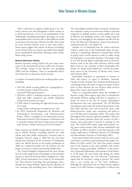There could also be negative implications if an electronic system is not used throughout a whole country or a whole electoral area, or if it is not standardized. In the Netherlands, including Amsterdam, the largest city, some municipalities have not been able to find sufficient funds to automate their elections. This has the effect that results for some electoral districts come in later than others'. Some experts suggest that reform of election technology in the United States can only be successful if state legislation is standardized nationwide, allowing a more streamlined voting system.

### **Remote Electronic Voting**

Remote electronic voting could be the next major innovation in the electoral process but is still in the test phase. This includes voting via the Internet, text messaging (SMS) and the telephone. There is considerable discussion about how to guarantee system security.

A number of research projects are analysing these issues, including:

- *True-Vote,* which is testing public key cryptography as a security feature (<http://www.truevote.net/HTML/project.html>);
- *CyberVote,* which is analysing Internet voting via personal and palm computers and mobile telephones (<http://www.eucybervote.org>);
- *E-Poll,* which is examining the legal and security issues of e-voting

(<http://www.e-poll-project.net/objectives>); and

• *the RTD* (Framework Programme for Research and Technological Development and Demonstration) Project, which is managed by the Information Society Directorate-General of the European Commission and is currently testing web-based voting systems for largescale elections (<http://www.sics.se/arc/evote.html>).

Some countries are already testing remote electronic voting in official elections, including elections for trade unions and other public institutions. Germany aims to introduce Internet voting in 2006 but live tests have already been launched by the University of Osnabrück, where the official election to the student parliament in 2000 was conducted entirely over the Internet (see the project overview at <http://www.internetwahlen.de>).

The United Kingdom implemented the most diverse tests of a wide range of new technologies in electoral pilot schemes at the local elections held in England on 2 May 2002. Several innovations were tested in 30 municipalities. They aimed at increasing voter participation, introducing new voting methods, improving the efficiency of vote counting and providing better voter information.

The technologies included remote electronic voting from any computer, voting via touch-screen kiosks or personal computers in polling stations or other public areas such as libraries and shopping centres, and voting using the Internet, text messaging or the telephone (see the web site of the UK Electoral Commission, <http://www.electoral commission.gov.uk>; and chapter 6).

Another set of substantial tests for remote electronic voting is under way in the Netherlands where the government is conducting a Remote E-voting Project aimed at giving voters several options in order to make voting less dependent on particular locations. The project aims to test and develop digital technology such as electronic identity cards in the June 2004 elections, which would allow voters to vote anywhere in their municipality (for details, see <http://www.minbzb.nl>, and the pre-assessment report by the University of Twente−−Arts, Leenes and Svensson 2001).

Switzerland launched an experiment in Geneva in 2003 and expects to repeat it elsewhere. Australia, Canada, Estonia, Iceland, New Zealand and Romania are considering remote electronic voting as an option in all or some of their elections but not all have made concrete plans (Arts, Leenes and Svensson 2001).

There is a substantial debate about the feasibility of Internet voting. Most experts argue that its introduction will greatly facilitate polling and that its adoption is a matter of course in the face of current technological developments and voter expectations. The UK Electoral Commission reports that the technical innovations in the May 2002 elections were well received by voters, who found electronic voting 'easy, convenient and quick to use' (UK Electoral Commission 2002). The project also had support from election staff and candidates. However, there are serious questions about the security of such a system, and a great deal of research is centring on this issue. The Caltech-MIT report argues that Internet voting 'poses serious security risks' because individuals such as hackers are able to interfere in election processes, with serious implications (California Institute of Technology and Massachusetts Institute of Technology 2001).

Some experts believe that security issues are more a perceived than a real threat and recommend that public confidence be built actively. The True-Vote project named trust in the Internet as the main problem with remote electronic voting, particularly confidence in the protection of personal information and assurance of the identity of the party the voter deals with during the online transaction. Similarly, the UK Electoral Commission argues that for electronic voting in general 'the central issue is not security per se, but voter confidence'. Although the commission has not observed any negative impact of its 2002 Internet voting pilots, it believes that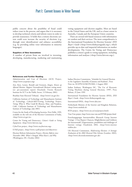### Part I: Current Issues in Voter Turnout

public concern about the possibility of fraud could reduce trust in the process, and argues that it is necessary to develop technical criteria and inform voters in order to provide reassurance. It holds that a remote electronic system could even increase the security of elections (e.g. through voter identification) and enhance accessibility (e.g. by providing online voter information in minority languages).

### **Suppliers of New Innovations**

A number of private firms are involved in inventing, developing, manufacturing, marketing and maintaining voting equipment and election supplies. Most are based in the United States and the UK, and to a lesser extent in Australia, Canada and the European Union countries.

There are several web-based resources with information on vendors and their services. The most comprehensive is the International Foundation for Election Systems' *IFES Buyer's Guide* (<http://www.ifesbuyersguide.org>), which provides up-to-date and impartial information on market developments. The Centre for Voting and Democracy publishes a citizen's guide to voting equipment, including information and analyses (<http://www.fairvote.org>).

### **References and Further Reading**

Administration and Cost of Elections (ACE) Project, <http://www.aceproject.org>

Arts, Kees, Leenes, Ronald and Svensson, Jörgen, *Kiezen op Afstand Monitor. Rapport Vooronderzoek* [Remote voting monitor: pre-assessment report] (Enschede: Twente Research Institute for ICT in the Public Sector, 13 February 2001)

Brazilian State Electoral Tribunal, <http://www1.tse.gov.br>

California Institute of Technology and Massachusetts Institute of Technology, Caltech-MIT/Voting Technology Project, *Voting: What Is, What Could Be* (Boston, Mass. and Pasadena, Calif.: California Institute of Technology and Massachusetts Institute of Technology, July 2001)

Centre for the Study of Developing Societies, New Delhi, 1999, available on the web site of the Election Commission of India, <http://www.eci.gov.in>

Centre for Voting and Democracy, *Citizen's Guide to Voting Equipment,* <http://www.fairvote.org>

CyberVote project, <http://www.eucybervote.org>

E-Poll project, <http://www.e-poll-project.net/objectives>

Election Reform Information Project, *Election Reform since November 2001: What's Changed, What Hasn't, and Why* (Washington, DC, October 2002)

Indian Election Commission, 'Schedule for General Election to the Legislative Assembly of Jammu and Kashmir', Press Note no. ECI/PN/32/MCPS/2002, 2 August 2002

Indian Embassy, Washington DC, 'The Use of Electronic Voting Machines during General Elections, 1999', Press Release, 25 June 1999

International Foundation for Election Systems (IFES), *IFES Buyer's Guide,* <http://www.ifesbuyersguide.org>

International IDEA, <http://www.idea.int>

Netherlands Ministry of the Interior and Kingdom Relations, <http://www.minbzk.nl>

RTD project, <http://www.sics.se/cna/projects.html>

True-Vote project, http://www.true-vote.net/HTML/project.html

Forschungsgruppe Internetwahlen (Research Group Internet Voting), 'i-Vote Report: Chancen, Möglichkeiten und Gefahren der Internetwahl' [Opportunities, possibilities and challenges of Internet voting], Osnabrück, 2002, <http://www.internet wahlen.de>

UK Electoral Commission, *Modernising Elections: A Strategic Evaluation of the 2002 Electoral Pilot Schemes* (London, 2002), <http://www.electoralcommission.gov.uk>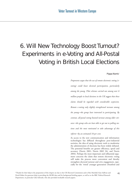# 6. Will New Technology Boost Turnout? Experiments in e-Voting and All-Postal Voting in British Local Elections

Pippa Norris**\***

*Proponents argue that the use of remote electronic voting (evoting) could boost electoral participation, particularly among the young. Pilot schemes carried out among over 6 million people in local elections in the UK suggest that these claims should be regarded with considerable scepticism. Remote e-voting only slightly strengthened turnout among the young*−−*the group least interested in participating. By contrast, all-postal voting boosted turnout among older citizens*−−*the group who are least able to get out to polling stations and the most motivated to take advantage of this reform*−−*by an estimated 18 per cent.* 

As access to the new communication and information technologies has diffused throughout post-industrial societies, the idea of using electronic tools to modernize the administration of elections has been widely debated. The potential benefits are greater efficiency, speed and accuracy (Norris 2001; Norris 2002 (b); and Norris 2004). Perhaps the most important and influential argument concerns the claim that remote electronic voting will make the process more convenient and thereby strengthen electoral turnout and civic engagement, especially for the 'wired' younger generation (Stratford and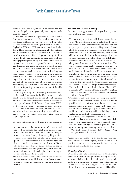Stratford 2001; and Borgers 2002). If citizens will not come to the polls, it is argued, why not bring the polls closer to citizens?

Until recently almost no systematic evidence derived from actual elections was available to allow us to examine this issue. Evidence is, however, available from pilot schemes conducted in local government elections in England in 2000 and 2002, and most recently on 1 May 2003. These contests are characteristically low-salience events where only a third of the electorate usually vote. In constituencies that offered all-postal voting facilities (where the electoral authorities automatically send out ballot papers for postal voting to all those on the electoral register during an extended period before election day, and there is no alternative) turnout was about 50 per cent while, in constituencies in which the pilot schemes used remote e-voting combined with traditional polling stations, remote e-voting proved ineffective in improving overall turnout. There are therefore good reasons to be sceptical about claims that electronic technologies can automatically resuscitate electoral participation. Remote e-voting may expand citizen choice, but it proved far less effective in improving turnout than the use of the oldfashioned post.

In its July 2003 report, *The Shape of Elections to Come*, the Electoral Commission in the UK recommended allpostal votes as standard practice for all local elections, with further evaluation before the practice is extended to other types of election (UK Electoral Commission 2003). With regard to e-voting it was more cautious, suggesting that it should continue to be tested, but with the overall aim of using it as a way of providing citizens with more choice of ways of casting their votes rather than of improving turnout.

Electronic voting can be subdivided into two categories.

- remote e-voting−−the transmission of a secure and secret official ballot to electoral officials via various electronic information and communication technologies from a site located away from the polling station, whether from home, the workplace or a public access point. It is sometimes taken to mean only voting by the Internet, but here includes the use of many different electronic devices which are capable of transmitting an electronic ballot, including computers, touch-tone terrestrial telephones, cell (mobile) phones, text messaging devices and digital television; and
- on-site electronic voting used within the traditional polling station, exemplified by touch-activated screens, dedicated computer terminals or electronic counting devices.

### **The Pros and Cons of e-Voting**

Its proponents suggest many advantages that may come from implementing e-voting.

- The most important is the added convenience for the voter. Allowing citizens to cast a ballot from home or the workplace could reduce the time and effort required to participate in person at the polling station. It may also help overcome problems of social exclusion, especially for those with limited mobility, such as the elderly, carers confined to the home by dependent relatives, or employees and shift workers with little flexibility in their work hours, as well as for those who are travelling away from home and for overseas residents. The use of remote e-voting can be regarded in many respects as an extension of the use of other familiar and well tested facilities already widely available in many countries, including postal, absentee, overseas or advance voting. (For the best discussion of the administrative arrangements for registration and voting found around the world see the web site of the Administration and Cost of Elections project at <http://www.aceproject.org>. For further detail see Maley 2000; Blais 2000; Massicotte 2000; Blais and Dobrzynska 1998; Lijphart 1997; Jackman and Miller 1995; Jackman 1987; Powell 1986; and Crewe 1981.)
- Both remote and on-site electronic voting could potentially reduce the 'information costs' of participation by providing relevant information at the time people are actually casting their vote, for example, by incorporating an optional web page display of standardized biographies of candidates or providing a briefing synopsis explaining each side of a referendum issue.
- For officials, well designed and effective electronic technologies, either remote or on-site, could potentially improve and streamline the process of electoral administration, by increasing the efficiency, speed and accuracy of recording and counting votes (see e.g. Barber 1998; Rash 1997; Schwartz 1996; Budge 1996; Rheingold 1993; and Arterton 1987).

Against these arguments, sceptics counter that many current limitations−−technological, socio-economic and practical−−combine to create substantial barriers to the effective implementation of e-voting.

### *Technological Barriers*

Democratic electoral systems must meet certain stringent standards of security, data protection, secrecy, reliability, accuracy, efficiency, integrity and equality, and public confidence in the integrity of the electoral system must be maintained to ensure the legitimacy of the outcome. Electronic votes cast in a general election could be a high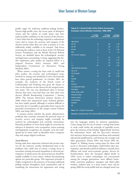profile target for malicious publicity-seeking hackers. Various high-profile cases, the recent spate of disruptive viruses and the volume of e-mail 'spam' may have reduced public confidence in the security of the Internet. Critics claim that the technology required to authenticate voters and to ensure the accuracy and integrity of the election system either does not exist at present or is not sufficiently widely available to be assessed. Task forces reviewing the evidence, such as those of the US National Science Foundation and the British Electoral Reform Society, are doubtful about the technological, security and legal issues surrounding e-voting, suggesting that further exploratory pilot studies are required before it is adopted (Internet Policy Institute 2001; and Independent Commission on Alternative Voting Methods 2002).

When remote e-voting has been tried in small-scale pilot studies, the security and technological issues involved in casting even hundreds of votes electronically have often proved problematic. In October 2001, for example, the residents of the Dutch towns of Leidschendam and Voorburg were given the chance to vote via the Internet on the choices for the merged towns' new name. The vote was abandoned when it became obvious that more votes had been cast than there were electors (British Broadcasting Corporation 7 January 2002). The Arizona Democratic primary election of 2000, which also experienced many technical glitches, has been widely quoted, although it remains difficult to assess how far it is possible to generalize from it given the particular circumstances of this unique contest (Gibson 2002; and Solop 2001).

It remains unclear whether the purely administrative problems that currently surround the practical issues of security, secrecy and integrity might eventually be resolved by technological and scientific innovations. Potential problems of voter fraud might be overcome by advances in biometric voice recognition, retina scanning and fingerprint recognition, for example, or by the widespread use of 'smart cards' as identifiers with a computer chip and unique digital certificates.

### *Social Barriers*

Setting aside these important technical and security matters for the moment, another fundamental issue is the problems that could arise if remote e-voting serves to exacerbate existing structural inequalities in electoral participation. In democracies the electoral process should be equally available to every citizen, without discriminating against any particular group. This important principle is widely recognized in the practices of locating traditional polling stations throughout local communities and of translating the instructions for registration and voting

**Figure 6.1: Social Profile of the Online Community, European Union Member Countries, 1996**−**2000** 

|                        | % online<br>spring 1996 | % online<br>spring 2000 | Change<br>1996-2000 |
|------------------------|-------------------------|-------------------------|---------------------|
|                        |                         |                         |                     |
| Age group              |                         |                         |                     |
| $15 - 25$              | 9                       | 28                      | $+ 19$              |
| $26 - 44$              | $\overline{7}$          | 28                      | $+21$               |
| $45 - 64$              | 5                       | 21                      | $+16$               |
| $65+$                  | $\overline{1}$          | 6                       | $+5$                |
| HH income category     |                         |                         |                     |
| ÷.                     | $\overline{4}$          | 12                      | $+8$                |
|                        | 3                       | 15                      | $+ 12$              |
| $+$                    | 5                       | 24                      | $+ 19$              |
| $+ +$                  | 10                      | 44                      | $+34$               |
| Age finished education |                         |                         |                     |
| Up to 15               | $\mathbf{1}$            | $\overline{7}$          | $+6$                |
| $16 - 19$ years        | $\overline{4}$          | 19                      | $+15$               |
| $20+$                  | 9                       | 38                      | $+29$               |
| Gender                 |                         |                         |                     |
| Men                    | 6                       | 25                      | $+ 19$              |
| Women                  | $\overline{4}$          | 21                      | $+ 17$              |
| Occupational status    |                         |                         |                     |
| Managers               | 14                      | 44                      | $+30$               |
| Other white collar     | 8                       | 29                      | $+21$               |
| Manual worker          | $\overline{3}$          | 15                      | $+ 12$              |
| Home worker            | $\overline{2}$          | 8                       | $+6$                |
| Unemployed             | 3                       | 10                      | $+7$                |
| Student                | 13                      | 44                      | $+31$               |
| All                    | 5                       | 22                      | $+ 17$              |

**Note:** HH = Head of household.

**Sources:** Eurobarometer 44.2 (spring 1996) and 53.0 (spring 2000).

into the languages spoken by minority populations. Critics charge that the use of remote e-voting from home or work could violate the principle of equitable access, given the existence of the familiar 'digital divide' between the information 'haves' and the 'have-nots'−−between rich and poor, between graduates and those with minimal educational qualifications, and between the younger and older generations (Norris 2001; and Norris 2002 (b), chapter 5). Making remote voting easier for those with access to electronic technologies could further skew participation, and therefore political influence, towards more affluent and wired socio-economic groups. Surveys by Eurobarometer show the European digital divide in 1996: access to online technologies was concentrated among the younger generations, more affluent households, university graduates, managers and white-collar workers, students and, to a lesser extent, men; and by spring 2000 the social profile had not changed much (see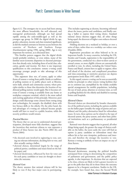figure 6.1). The strongest rise in access had been among the most affluent households, the well educated, and managerial professionals, although use had spread rapidly among the early-middle-aged as well as the youngest age group. In 2000 the digital divide by age, gender, education, income and class remained significant, as did the marked contrasts in Internet access between the countries of Northern and Southern Europe (Eurobarometer spring 1996, spring 2000). Age is very important for turnout, as is discussed later.

This familiar pattern suggests that the digital divide would probably reinforce, or even widen, many of the familiar socio-economic disparities in electoral participation that already exist, including those of social class, education, gender and income. Yet there is one important qualification to this conclusion: remote e-voting could encourage younger people to take advantage of this opportunity.

This argument does not, of course, apply to other forms of remote e-voting from public kiosks at traditional polling stations or in public places such as libraries, town halls, schools and community centres, where principles similar to those that determine the location of traditional polling stations would apply. But it becomes relevant if remote e-voting is available from any home or workplace computer terminal, which is the most radical and exciting application of this principle. Moreover, poor design could discourage some citizens from voting using new technologies, for example, the disabled, those with low literacy skills or the elderly. On the other hand, the real advantages of e-voting are reduced because people would still have to travel to a public location, while the security problems would remain.

### *Practical Barriers*

The theory that we can use to understand electoral participation, developed more fully elsewhere, suggests that the incentives that motivate citizens to vote represent a product of three factors (see also Norris 2002 (b); and Norris 2004):

- the electoral costs involved in registering to vote, sorting out relevant information, deciding how to vote, and then actually casting a ballot;
- electoral choices, determined largely by the range of political parties, candidates and issues listed on the ballot paper; and
- electoral decisiveness, influenced by how far votes cast for each party, candidate or issue are thought to determine the outcome.

### *Electoral Costs*

The theory assumes that rational citizens will be less likely to vote if they face major costs in participating. This includes registering as electors, becoming informed about the issues, parties and candidates, and finally casting a ballot to express their voting choice. Standard rational choice theories suggest that, all other things being equal, the deterrent of higher costs reduces electoral participation.

Holding elections on a weekend or holiday, or over a series of days, rather than on a workday can reduce costs (Franklin 2004).

Registration procedures are often believed to be an important hurdle. In many countries, including the UK, Sweden and Canada, registration is the responsibility of the government, conducted via a door-to-door canvas or annual census, so most eligible citizens are automatically enrolled to vote. In others, including the United States, France and Brazil, citizens have to apply to register, often well ahead of the election, and complicated procedures and time-consuming or restrictive practices can depress participation levels (Katz 1997, table 13.2).

In this regard, remote e-voting can be seen as essentially similar in principle to other remote voting facilities that are in common use, exemplified by the widely available special arrangements for mobile populations, including the use of mail, proxy, absentee or overseas votes, as well as polling facilities for the elderly and disabled in nursing homes and hospitals.

### *Electoral Choices*

Electoral choices are determined by broader characteristics of the political system, including the options available on the ballot paper (notably the range of parties and candidates) and the policy alternatives listed for referendum issues. In turn, these options can be related to the type of electoral system, the party system, and other basic political institutions such as a parliamentary or presidential system.

Rational voter theories suggest that in general, all other things being equal, the greater the range of choices available on the ballot, the more easily the voter will find an option (a party, candidate or referendum issue) that reflects his or her own viewpoint, preferences and interests, and therefore the stronger the incentive to vote. Remote e-voting is unlikely to have an impact on any of these factors.

### *Electoral Decisiveness*

Electoral decisiveness, meaning the political benefits anticipated from voting in determining the composition of parliament and government, and the public policy agenda, is also important. In elections that are expected to be close, citizens are likely to feel a greater incentive to get to the polls than they do in those where the outcome appears to be a foregone conclusion. Studies in the UK, for example, have found that, since the Second World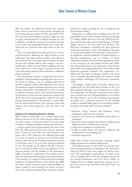War, the smaller the difference between the national shares of the vote for the two major parties, the higher the level of electoral participation (Heath and Taylor 1999). Of course the actual benefits of casting a single vote may, on purely rational grounds, be illusory, because one vote is unlikely to decide the outcome of an election, but this is not to deny the psychological belief that in close elections each vote counts for more than it does in safe contests.

There are trade-offs between electoral choice and electoral decisiveness. Widening the range of choice on the ballot paper may allow citizens to find a closer match to their interests. But if the party system becomes too fragmented with multiple choices, then casting a vote for a smaller party will be even less likely to influence the outcome. Moreover a wider range of choices increases the costs of becoming informed about alternative candidates, parties and issues.

The introduction of remote e-voting from the home or workplace would probably marginally reduce the costs to the elector of casting a vote at a polling station but it would be unlikely to affect other important costs, such as the significant cognitive demands required to sort out the relevant information in deciding how to vote, nor would it influence electoral choices and electoral decisiveness. The Internet as such cannot be regarded as a panacea for all the ills of electoral participation, which are the result of many deep-seated forces. In particular, it cannot affect how far citizens feel that they have a genuine choice that matches their prior preferences and that their vote counts.

### **Evidence for Evaluating Remote e-Voting**

What evidence would allow us to evaluate these issues? Here we can turn to the UK, which has gone further than any other country in testing the impact of a wide variety of remote e-voting technologies during actual elections.

Concern about electoral participation has risen in the UK. The 2001 general election saw turnout plummet, from 71.5 per cent to 59.4 per cent of the electorate−−the lowest since 1918. Moreover, this followed historically low levels of turnout at successive local elections from 1998 to 2000 and in the European Parliament elections of 1999 when only 27 per cent of the electorate bothered to vote. (For details, see the tables in Part III.) This pattern is worrying for democracy as the legitimacy of the electoral process, and the mandate of the government, might eventually be undermined. The Labour government has proposed modernizing electoral administration in the attempt to re-engage the electorate. Recent changes enabled by the Representation of the People Acts 2000 and 2001 include universal postal voting (available on request without a reason having to be given), an extension of the traditional polling hours, and more modern

methods of voting, including the use of telephone and Internet-based voting.

Innovations in polling places, polling hours and allpostal ballots were tested in 38 pilot schemes used among 3.5 million eligible electors in the May 2000 local elections and 30 more pilot schemes tried among 2.5 million eligible electors in the May 2002 local elections. The Electoral Commission concluded that these generated interesting preliminary results, with significant increases in turnout (particularly from all-postal voting schemes), no significant technical problems of implementation or electoral management, and no evidence of fraud. Following evaluation, the government signalled its desire to use e-voting by the next general election after 2006, and substantial resources were allocated to fund further pilot studies at local government level. Nevertheless many significant questions remained. The commission concluded that the initial conclusions needed to be tested more extensively, especially facilities for remote e-voting using multiple technologies (UK Electoral Commission 2002).

Accordingly a further series of 59 pilot schemes were conducted in the May 2003 local elections. In all 17 of them explored innovative ways of using remote e-voting. For comparison, the Electoral Commission also continued to examine the use of all-postal ballots in over half of the pilot schemes,**<sup>1</sup>** and in the remaining constituencies the public cast a traditional in-person vote by marking crosses on standard ballot papers in local polling stations. Examples of the May 2003 initiatives included:

- all-postal voting, Internet and telephone voting throughout, and electronic counting;
- voting via the Internet, by telephone and by SNS text messaging;
- all-postal voting, voting by the Internet, telephone and digital television, and electronic counting;
- voting from terminals in local libraries;
- voting via public kiosks, the Internet, telephone and mobile phone text messaging; and
- extended voting hours.

Other pilot schemes used electronic counting, mobile polling stations and extended polling hours.

The political context in May 2003 was a low-key one, with a strong government in Parliament, the news dominated by events in Iraq, and a degree of 'election overload'. Not surprisingly, overall turnout was down 9 per cent in Scotland (from 1999, the inaugural election for the Scottish Parliament), and 8 per cent in Wales. In England, however, despite expectations, turnout was 37 per cent, a rise of 5 per cent from 1999 and of 3 per cent from 2002.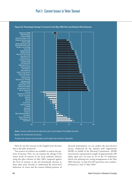# Part I: Current Issues in Voter Turnout



**Figure 6.2: Percentage Change in Turnout in the May 2003 UK Local Election Pilot Schemes**

How far was the increase in the English local elections due to the pilot initiatives?

Two sources of evidence are available to analyse the patterns of turnout. First, we can examine the change in the macro levels of turnout in the local authority districts using the pilot schemes in May 2003 compared against the level of turnout in the last benchmark election in these same areas. Second, to understand the micro-level behaviour of voters and the reasons behind patterns of electoral participation, we can analyse the post-election survey conducted by the opinion poll organization MORI on behalf of the Electoral Commission. MORI interviewed a representative sample of approximately 200 adults aged over 18 years in 29 of the 59 authorities which were piloting new voting arrangements at the May 2003 elections. A total of 6,185 interviews were conducted between 2 and 12 May 2003.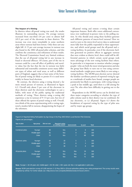### **The Impact of e-Voting**

In districts where all-postal voting was used, the results illustrate its outstanding success. On average turnout increased from one-third (34 per cent) to almost half (49.3 per cent) of the electorate in these districts. The increase was even more remarkable in some northern areas where turnout had been lowest. Only three saw any slight fall. A 15 per cent average increase in turnout was also found in the 2002 all-postal pilot schemes, and this confirms the consistency and robustness of these results. The Electoral Commission found very limited evidence that the use of all-postal voting led to any increase in fraud or electoral offences. Of course, part of the rise in turnout could be a one-off effect of publicity and novelty value; but the fact that the rise in turnout was fairly substantial and reasonably consistent across many different types of urban and rural areas, as well as different parts of England, suggests that at least some of the benefits of postal voting are likely to persist if it is used more widely in future local elections.

By contrast, the districts using e-voting showed a far more mixed picture of turnout, as illustrated in figure 6.2. Overall only about 9 per cent of the electorate in these districts used the electronic technologies to cast a ballot, with most of the public opting for traditional methods of voting. Three districts using e-voting did experience a rise in turnout of 9−13 per cent, but two of these offered the option of postal voting as well. Overall, two-thirds of the areas experimenting with e-voting registered a modest fall in turnout, disappointing the hopes of the reformers.

All-postal voting and remote e-voting share certain important features. Both offer voters additional convenience over traditional in-person visits to the polling station. So why should areas using these facilities generate such different patterns of macro-level turnout? Here we need to turn to the micro-level survey data to understand more fully how the public responded to these opportunities, and which social groups used the all-postal and evoting facilities. In particular, even if the electronic facilities generated no positive effects in aggregate turnout that were evident at district level, there could still be differential patterns in which certain social groups took more advantage of the new voting facilities than others. In particular it is important to monitor whether younger people−−who are both the most wired generation and also the group least likely to turn out to vote using conventional methods−−might prove more likely to vote using evoting facilities. The MORI post-election survey showed the familiar curvilinear pattern of reported voting by age: as a multitude of studies have found, younger people are persistently less likely to participate, with voting rising to a peak in late middle age, until there is a fall among the over-70s, who often have difficulty in getting out to the polls.

Respondents in the MORI survey can be divided into three major categories according to whether the type of pilot scheme used in their district was (a) combined, (b) any electronic, or (c) all-postal. Figure 6.3 shows the breakdown of reported voting by the type of pilot area and by major age groups.

Figure 6.3: Reported Voting Participation by Age Group in the May 2003 British Local Election Pilot Schemes Figures are percentages.

| Type of pilot     | Age group   | Did not vote | <b>Reported voting</b><br>at a polling station | electronically | by post      | <b>Total</b> |
|-------------------|-------------|--------------|------------------------------------------------|----------------|--------------|--------------|
|                   |             |              |                                                |                |              |              |
| Combined pilots   | Younger     | 84           | N/a                                            | 8              | 8            | 100          |
|                   | Middle-aged | 61           | N/a                                            | 9              | 30           | 100          |
|                   | Older       | 25           | N/a                                            | $\overline{7}$ | 68           | 100          |
|                   |             |              |                                                |                |              |              |
| Electronic pilots | Younger     | 84           | 10                                             | 5              | $\mathbf{1}$ | 100          |
|                   | Middle-aged | 70           | 20                                             | 8              | 3            | 100          |
|                   | Older       | 47           | 38                                             | 8              | 8            | 100          |
|                   |             |              |                                                |                |              |              |
| All-postal pilots | Younger     | 81           | N/a                                            | N/a            | 19           | 100          |
|                   | Middle-aged | 58           | N/a                                            | N/a            | 42           | 100          |
|                   | Older       | 29           | N/a                                            | N/a            | 71           | 100          |

**Note:** Younger = 18−29 years old; middle-aged = 30−59; older = 60+ years old. N/a = not applicable in pilot area.

**Source:** MORI post-election survey of 6,185 electors 2−12 May 2003 in 29 local authorities piloting new voting arrangement. The survey results were weighted by wtfinal. For further details see <http://www.mori.com/polls/2003/electoralcommission.shtml>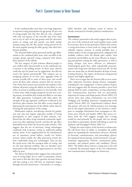In the combined pilot areas there were huge disparities in reported voting participation by age group: 84 per cent of young people said that they did not vote, compared with only one-quarter of the over-60s. Just fewer than one in ten in each of the age groups used the electronic means of voting, and this pattern was fairly similar among young and old. But postal voting proved by far the most popular among the older group, who often have limited mobility.

The all-postal ballot pilots generated similar age differentials to the combined pilot areas: only one-fifth of the younger group reported voting compared with almost three-quarters of the elderly.

The last category of pilot schemes allowed people to cast a ballot either electronically or in the traditional way in person at the polling station. In these areas, electors could also opt for postal vote by application, but did not receive the option automatically. This category saw an intriguing pattern: as we have seen, aggregate levels of turnout actually fell in some of these areas, and overall across all these pilot schemes turnout did not increase. One of the main reasons uncovered by this analysis is that without all-postal voting the elderly are less likely to vote either in person at polling stations or electronically. And in these areas, while younger people do use the new e-voting means, nevertheless they remain less likely to vote than the older generation. Compared with other pilots, the strength of the age regression coefficient is reduced in the electronic pilot schemes, but this effect occurs mainly by depressing the participation of the elderly, rather than by boosting the participation of the young.

Multivariate analysis, introducing controls for gender, race and class into logistic regression models of voting participation in each category of pilot schemes, confirmed that the effect of age remained consistently significant even after applying controls, and that the age effect diminished most under the electronic pilot schemes. This suggests that the use of electronic voting technologies combined with in-person voting in traditional polling stations alone, if not supplemented by the simultaneous use of automatic postal ballots, would not bolster turnout. Quite simply, the older generation remain the least comfortable using new technologies. They are also the social sector with the strongest habit of voting, and yet the least physical mobility, who are therefore most motivated to take advantage of opportunities to cast their ballot by post.

The theory developed earlier suggests that reducing the costs of voting helps, but in order to participate citizens also need to feel that they have genuine electoral choices and that casting a vote will have an important impact through electoral decisiveness. Convenience in casting a ballot therefore only facilitates action if citizens are already motivated by broader political considerations.

### **Conclusions**

The evidence presented in this study suggests that at present, even if the technical and social equality issues could be overcome, there are few grounds to believe that remote e-voting from home or from work on a large scale would radically improve turnout. It would probably have a modest impact on the younger generation, judging by the available evidence from the British pilot studies. And automatic postal ballots are far more effective in improving participation among the older generation, as well as being cheaper and more efficient to administer. Technological quick fixes, while superficially attractive, cannot solve long-term and deep-rooted civic ills. Yet this does not mean that we should abandon all hope of modernizing elections. The impact of all-postal voting proved positive and highly significant.

This is not to argue that the Internet fails to serve many other important functions during election campaigns, including for civic engagement. Content analysis of party web sites suggests that the Internet provides a more level playing field for party competition, serving information and communication functions that are particularly important for minor and fringe parties (Norris 2003). US surveys show that online communities can serve both 'bridging' and 'bonding' functions, strengthening social capital (Norris 2002 (a)). Experimental evidence shows that parties' web sites do indeed promote civic learning, and in this regard information on the Internet is analogous to campaign information from newspapers or television news (Norris and Sanders 2004). But survey evidence from the USA suggests strongly that e-voting would be used primarily by the people who are already most likely to participate, thereby still failing to reach the apathetic and disengaged (Norris 2002 (c)).

Perhaps the main impact of the Internet on democratic life will derive from its ability to strengthen the public sphere by expanding the information resources, channels of electronic communication, and networking capacity for organized interest groups, social movements, non-governmental organizations (NGOs), transnational policy networks, and political parties and candidates (Norris 2001). The debate about remote e-voting may in fact fail to identify the principal impact of the new information and communication technologies on democracy.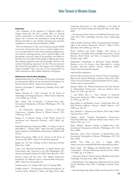### Voter Turnout in Western Europe

### **Endnotes**

<sup>1</sup> One evaluation of the experience of all-postal ballots in Oregon found that this had a modest effect on electoral turnout, particularly in low-salience contests, but the main impact was to increase voter participation among the groups already most likely to vote, thereby increasing socio-economic inequalities in turnout (Karp and Banducci, 2000).

**<sup>2</sup>**There are limitations in what can be analysed using the MORI survey data. In particular, there was no 'control' sample of voters in non-pilot districts. None of the standard attitudinal measures used for analysing turnout, such as political efficacy and partisanship, were used. Many of the questions were filtered so that they were only asked of sub-samples in different pilot areas, thus making comparison across areas impossible. Moreover, the method of classifying 'pensioners' into the DE socio-economic class skewed the age profile in this category, thus making class analysis unreliable. There were also too few representatives of ethnic minorities to allow reliable analysis by racial group.

### **References and Further Reading**

Administration and Cost of Elections (ACE) project, developed by International IDEA and the International Foundation for Election Systems (IFES), <http://www.aceproject.org>

Arterton, Christopher F., *Teledemocracy* (Newbury Park, Calif.: Sage, 1987)

Barber, Benjamin R., 'Three Scenarios for the Future of Technology and Strong Democracy', *Political Science Quarterly,* 113/4 (1998), pp. 573−90

Blais, André, 'Day of Election', in Richard Rose (ed.), *International Encyclopedia of Elections* (Washington, DC: CQ Press, 2000)

−− and Dobrzynska, Agnieszka, 'Turnout in Electoral Democracies', *European Journal of Political Research,* 33/2 (1998), pp. 239−61

Borgers, T., 'Is Internet Voting a Good Thing?', *Journal of Institutional and Theoretical Economics,* 156/4 (2002), pp. 531−47

British Broadcasting Corporation (BBC), 'E-voting: A Load of Old Ballots?', 7 January 2002, <http://news.bbc.co.uk/hi/eng lish/in\_depth/sci\_tech/2000/dot\_life/newsid\_1746000/17469  $02$ .stm>

British Government, Office of the e-Envoy, *In the Service of Democracy,* July 2002*,* <http://www.edemocracy.gov.uk>

Budge, Ian, *The New Challenge of Direct Democracy* (Oxford: Polity Press, 1996)

Crewe, Ivor, 'Electoral Participation', in Austin Ranney and David Butler (eds), *Democracy at the Polls* (Washington, DC: American Enterprise Institute for Public Policy Research, 1981)

Dictson, Derek and Ray, Dan, 'The Modern Democratic Revolution: An Objective Survey of Internet-Based Elections', 2000, <http://www.Securepoll.com>

Eurobarometer, 44.2 (spring 1996) and 53.0 (spring 2000)

Franklin, Mark N., 'The Dynamic of Electoral Participation', in Lawrence leDuc, Richard G. Niemi and Pippa Norris (eds), *Comparing Democracies 2: New Challenges in the Study of Elections and Voting* (London and Thousand Oaks, Calif.: Sage, 2002)

−−*The Dynamics of Voter Turnout in Established Democracies since 1945* (New York: Cambridge University Press, forthcoming 2004)

Gibson, Rachel, 'Elections Online: Assessing Internet Voting in Light of the Arizona Democratic Primary', *Political Science Quarterly,* 116/4 (2002), pp. 561−83

Heath, Anthony and Taylor, Bridget, 'New Sources of Abstention?', in Geoffrey Evans and Pippa Norris (eds), *Critical Elections: British Parties and Voters in Long-term Perspective* (London: Sage, 1999)

Independent Commission on Alternative Voting Methods, *Elections in the 21st Century: From Paper-Ballot to e-Voting* (London: Electoral Reform Society, February 2002), <http://www.electoralreform.org.uk/

topstories/elecvoting.htm>

Internet Policy Institute for the National Science Foundation, *Report of the National Workshop on Internet Voting,* Mar. 2001, <http://www.electionline.org/site/docs/html/internet\_policy\_ institute\_report\_summary.htm>

Jackman, Robert W., 'Political Institutions and Voter Turnout in Industrialized Democracies', *American Political Science Review*, 81 (1987), pp. 405−23

−− and Miller, Ross A., 'Voter Turnout in Industrial Democracies during the 1980s', *Comparative Political Studies*, 27 (1995), pp. 467−92

Karp, Jeffrey A. and Banducci, Susan, 'Going Postal: How All-Mail Elections Influence Turnout', *Political Behavior*, 22/3 (2000), pp. 223−39

Katz, Richard S., *Democracy and Elections* (New York: Oxford University Press, 1997)

Lijphart, Arend, 'Unequal Participation: Democracy's Unresolved Dilemma', *American Political Science Review*, 91/1 (March 1997), pp. 1−14

Maley, Michael, 'Absentee Voting', in Richard Rose (ed.), *International Encyclopedia of Elections* (Washington, DC: CQ Press, 2000)

Massicotte, Louis, 'Day of Election', in Richard Rose (ed.), *International Encyclopedia of Elections* (Washington, DC: CQ Press, 2000)

MORI, 'New Ways to Vote', 1 August 2003, <http://www.mori.com/polls/2003/electoralcommission.shtml>

Norris, Pippa, 'The Bridging and Bonding Role of Online Communities', *Harvard International Journal of Press Politics,* 7/3 (2002), pp. 3−8 (2002 a)

−−*Democratic Phoenix: Political Activism Worldwide* (New York: Cambridge University Press, 2002) (2002 b)

−−*Digital Divide: Civic Engagement, Information Poverty and the Internet Worldwide* (New York: Cambridge University Press, 2001)

−−*Electoral Engineering: Electoral Rules and Voting Choices* (New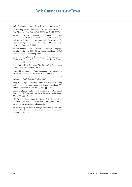York: Cambridge University Press, forthcoming spring 2004)

−− 'Preaching to the Converted? Pluralism, Participation and Party Websites', *Party Politics,* 9/1 (2003), pp. 21−45 (2003)

−− 'Who Surfs? New Technology, Old Voters and Virtual Democracy in US Elections 1992−2000', in Elaine Kamarck and Joseph S. Nye (Jr), *Governance.com? Democracy in the Information Age,* revised edn (Washington, DC: Brookings Institution Press, 2002) (2002 c)

−− and Sanders, David, 'Medium or Message? Campaign Learning during the 2001 British General Election', *Political Communications* (forthcoming 2004)

Powell, G. Bingham (Jr), 'American Voter Turnout in Comparative Perspective', *American Political Science Review, 80/1* (1986), pp. 17−43

Rash, Wayne (Jr), *Politics on the Net: Wiring the Political Process* (New York: W. H. Freeman, 1997)

Rheingold, Howard, *The Virtual Community: Homesteading on the Electronic Frontier* (Reading, Mass.: Addison Wesley, 1993)

Schwartz, Edward, *Netactivism: How Citizens Use the Internet* (Sebastapol, Calif.: Songline Studios, 1996)

Solop, F. I., 'Digital Democracy Comes of Age: Internet Voting and the 2000 Arizona Democratic Primary Election', *PS-Political Science and Politics,* 34/2 (2001), pp. 289−93

Stratford, J. S. and Stratford, J., 'Computerized and Networked Government Information', *Journal of Government Information,* 28/3 (2001), pp. 297−301

UK Electoral Commission, *The Shape of Elections to Come* (London: Electoral Commission, 31 July 2003), <http://www.electoralcommission.gov.uk>

−− *Modernising Elections: A Strategic Evaluation of the 2002 Electoral Pilot Schemes* (London, 2002), <http://www.electoral commission.gov.uk>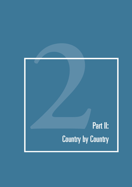# **2**<br>**2** Part II:<br>**2** Country by Country **Country by Country**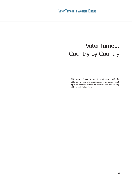# Voter Turnout Country by Country

This section should be read in conjunction with the tables in Part III, which summarize voter turnout in all types of elections country by country, and the ranking tables which follow them.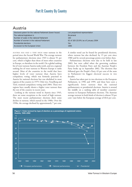# Austria

| Electoral system for the national Parliament (lower house) | List proportional representation     |
|------------------------------------------------------------|--------------------------------------|
| The national legislature is                                | <b>Bicameral</b>                     |
| Number of seats in the national Parliament                 | 183                                  |
| Number of women in the national Parliament                 | 62 of 183 (33.9%) as of January 2004 |
| Presidential elections                                     | Yes                                  |
| Accession to the European Union                            | 1995                                 |
|                                                            |                                      |

AUSTRIA HAS HAD A VERY HIGH voter turnout in the period since the Second World War. The average turnout for parliamentary elections since 1945 is almost 91 per cent, which is higher than those of most other countries in Europe, or elsewhere in the world. On a global ranking list of voter turnout Austria ranks tenth, and on a regional ranking list of voter turnout in Western Europe it ranks second. Most of the countries in the world that have higher levels of voter turnout than Austria have compulsory voting, which was formerly practised in Austria for national elections but was abolished in most regions of the country in 1979. Only two, Vorarlberg and Tirol, retained compulsory voting until 2004. These two regions have usually shown a higher voter turnout than the rest of the country in recent years.

Looking at the turnout trend in Austria since 1945, there are some exceptions to the trend of high turnout. The most recent parliamentary elections show some decline in turnout, which started in the 1980s. Over the 1990s, the average declined by approximately 7 per cent. A similar trend can be found for presidential elections, where turnout has also declined, by 15 per cent since 1980 and by several percentage points even before then.

Parliamentary elections were due to be held in late 2003, but were called when the governing coalition between the Freedom Party and the Austrian People's Party broke up in September 2002. The elections that followed gave the People's Party 43 per cent of the seats in Parliament−−its biggest electoral success in two decades.

Austria has taken part in two elections to the European Parliament, in 1996 and 1999, and these have seen a significantly lower turnout than the national parliamentary or presidential elections. Austria is around the middle on a ranking table of member countries' turnout in European Parliament elections. The Austrian average turnout in both kinds of election is almost 59 per cent−−just below the European average of 60.6 per cent.

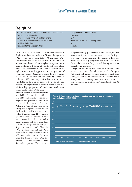### Belgium

| Electoral system for the national Parliament (lower house) | List proportional representation     |
|------------------------------------------------------------|--------------------------------------|
| The national legislature is                                | <b>Bicameral</b>                     |
| Number of seats in the national Parliament                 | 150                                  |
| Number of women in the national Parliament                 | 53 of 150 (35.3%) as of January 2004 |
| Presidential elections                                     | No.                                  |
| Accession to the European Union                            | Founder                              |
|                                                            |                                      |

AVERAGE VOTER TURNOUT IN national elections in Belgium has been the highest in Western Europe since 1945: it has never been below 90 per cent. Only Liechtenstein (which is not covered in the statistical summaries in this report) has a higher average turnout in national elections. Belgium also ranks fifth on a global ranking list of average turnout. The main reason for the high turnout would appear to be the practice of compulsory voting. Belgium was one of the first countries in the world to introduce compulsory voting, doing so as early as 1893, and any unjustified abstention is punishable by fines or by removal from the electoral register. This high turnout is, however, accompanied by a relatively high proportion of invalid and blank votes,

among the largest in Western Europe. Nineteen parliamentary elections have been held in Belgium since 1945.

The 1999 parliamentary election in Belgium took place at the same time as the election to the European Parliament. One of the main issues during the campaign focused on the dioxin-in-food crisis resulting from polluted animal feed. The outgoing government had had a certain success, for example, in reducing unemployment and the public debt, and the country joined the European single currency in 2002. After the 1999 election the Liberal Party became the leading force in the House of Representatives for the first time since the Second World War, but formed a coalition government with five other parties. The electoral campaign leading up to the most recent election, in 2003, was mainly focused on tax issues and tax cuts. During its four years in government the coalition had also introduced some very progressive legislation. The Liberal Party and the Socialist Party renewed their agreement and formed a new coalition.

Belgium is a founding member of the European Union. It has experienced five elections to the European Parliament and turnout for these elections is the highest among all the member states−−above 91 per cent, which is only one one percentage point lower than the average turnout in national elections in Belgium (a little over 92 per cent).

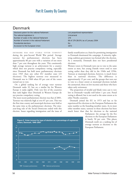# Denmark

| Electoral system for the national Parliament | List proportional representation     |
|----------------------------------------------|--------------------------------------|
| The national legislature is                  | Unicameral                           |
| Number of seats in the national Parliament   | 179                                  |
| Number of women in the national Parliament   | 68 of 179 (38.0%) as of January 2004 |
| Presidential elections                       | <b>No</b>                            |
| Accession to the European Union              | 1973                                 |

DENMARK HAS HAD STABLE VOTER TURNOUT during the post-Second World War period. Average turnout for parliamentary elections has been approximately 86 per cent with a variation of not more than 7 per cent throughout the years. This consistently high average turnout is an achievement for a country which does not practise compulsory voting, especially since Denmark has held more parliamentary elections since 1945 than any other EU member state (23 elections). The highest turnout ever measured in Denmark was in 1968 when 89 per cent of the voters turned out to vote.

On a global ranking list of average voter turnout Denmark ranks 32, but on a similar list for Western Europe it ranks eighth. Only very few of the countries that rank higher than Denmark in Western Europe do not practise compulsory voting.

The most recent parliamentary election was that of 2001. Turnout was relatively high at over 87 per cent. This was the first time county and municipal elections were held at the same time as the parliamentary elections. The nineyear-long rule of the Social Democrats ended with this election. Issues regarding immigration and the issue of family reunification as a basis for permitting immigration to Denmark dominated the campaign. A minority rightwing coalition government was formed after the election. As a monarchy, Denmark does not have presidential elections.

Women voters in Denmark turn out to vote to the same extent as men, but young Danish voters tend to start voting earlier than they did in the 1940s and 1950s. Turnout at municipal elections, however, is much lower than in national elections. The difference is approximately 15 per cent, and the groups that turn out to vote to a lesser extent at municipal elections include the unmarried, those on low incomes and those who have taken early retirement.

The proportion of invalid and blank votes cast is very low in Denmark−−usually well below 1 per cent. Postal voting is allowed, but is not used to the same extent as in other Nordic countries.

Denmark joined the EU in 1973 and has so far experienced five elections to the European Parliament-the same number as the founding member states. As in most other member states, turnout in these elections has been much lower than that for elections to the national

> Parliament: the average for the five elections to the European Parliament is barely 50 per cent. This places Denmark tenth on a ranking list of average turnout at elections to the European Parliament.



58 Voter Turnout in Western Europe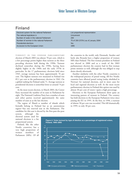# Finland

| Electoral system for the national Parliament | List proportional representation     |  |
|----------------------------------------------|--------------------------------------|--|
| The national legislature is                  | Unicameral                           |  |
| Number of seats in the national Parliament   | 200                                  |  |
| Number of women in the national Parliament   | 75 of 200 (37.5%) as of January 2004 |  |
| Presidential elections                       | Yes                                  |  |
| Accession to the European Union              | 1995                                 |  |
|                                              |                                      |  |

TURNOUT IN THE FINNISH PARLIAMENTARY election of March 2003 was almost 70 per cent, which is a few percentage points higher than turnout at the three preceding elections held during the 1990s. Turnout declined somewhat during the 1990s, having been slightly higher in the 1960s and the early 1970s in particular. In the 17 parliamentary elections held since 1945, average turnout has been approximately 76 per cent. The highest turnout ever measured in Finland was 85.1 per cent at the parliamentary election in 1962. On a global ranking list Finland ranks 71. Average turnout at presidential elections is somewhat lower at around 74 per cent.

At the most recent election, in March 2003, the Center Party increased the number of its seats in Parliament by eight. The National Coalition Party lost a number of seats and other parties received approximately the same number of seats as at the last election.

The region of Åland- a number of islands which formally belong to Finland but as an autonomous region−−has one reserved seat in the Parliament. The candidate for this seat is elected by the first-past-the-post the countries in the world, only Denmark, Sweden and lately also Rwanda have a higher proportion of women MPs than Finland. The first woman president in Finland was elected in 2000 and as a result of the 2003 parliamentary election the country had its first woman prime minister as well, although she was obliged to step down shortly afterwards.

Another similarity with the other Nordic countries is the widespread practice of postal voting. All five Nordic countries have allowed postal voting (today abolished in Norway) for national elections, and in most cases for local and regional elections as well. At the most recent parliamentary election in Finland this option was used by almost 30 per cent of voters−−quite a high percentage.

Elections to the European Parliament show quite an interesting pattern of turnout in Finland. The country has held elections to the European Parliament twice since joining the EU in 1995. At the first, in 1996, a turnout of almost 58 per cent was recorded. This fell dramatically in 1999, to only 30 per cent.

system, although the electoral system used for national elections is a list proportional system.

Finland, like the other Nordic countries, has a very high proportion of women members of Parliament (MPs). Of all

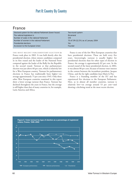# France

| Electoral system for the national Parliament (lower house) | Two-round system                     |
|------------------------------------------------------------|--------------------------------------|
| The national legislature is                                | <b>Bicameral</b>                     |
| Number of seats in the national Parliament                 | 574                                  |
| Number of women in the national Parliament                 | 70 of 574 (12.2%) as of January 2004 |
| Presidential elections                                     | Yes                                  |
| Accession to the European Union                            | Founder                              |
|                                                            |                                      |

THE MOST RECENT PARLIAMENTARY ELECTION in France took place in 2002. It was held shortly after the presidential election, where sixteen candidates competed in its first round and the leader of the National Front competed against the leader of the Rally for the Republic in the second round. Turnout at that parliamentary election was just above 60 per cent, which is relatively low for a West European country. Turnout for parliamentary elections in France has traditionally been higher−−on average approximately 75 per cent since 1945. Only three other West European countries examined in this report show a lower average turnout than France. Turnout has declined throughout the years in France, but the average is still higher than that of many countries in, for example, Latin America and Africa.

France is one of the few West European countries that have presidential elections. These are held every five years. Interestingly, turnout is usually higher for presidential elections than for other types of election in France: the average is approximately 82 per cent. In the second round of the latest presidential election, in 2002, it was almost 80 per cent, because of intense voter interest in the contest between the incumbent president, Jacques Chirac, and the far right candidate Jean-Marie le Pen.

France is a founding member of the EU and has experienced five elections to the European Parliament. Here, as in almost all member countries, turnout is relatively low−−on average around 53 per cent−−and showing a declining trend at the most recent election.

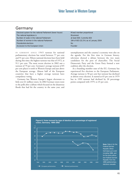### Germany

| Electoral system for the national Parliament (lower house) | Mixed member proportional             |
|------------------------------------------------------------|---------------------------------------|
| The national legislature is                                | <b>Bicameral</b>                      |
| Number of seats in the national Parliament                 | at least 600. Currently 603           |
| Number of women in the national Parliament                 | 194 of 603 (32.2%) as of January 2004 |
| Presidential elections                                     | No.                                   |
| Accession to the European Union                            | Founder                               |
|                                                            |                                       |

IN GERMANY SINCE 1945 turnout for national parliamentary elections has varied between 77 per cent and 91 per cent. Fifteen national elections have been held during this time; the highest turnout was that of 1972, at 91.1 per cent. The most recent election in 2002 saw a turnout of 79 per cent. Germany's average turnout of 85 per cent places it tenth in Western Europe and just above the European average. Almost half of the European countries that have a higher average turnout have compulsory voting.

Germany has Western Europe's largest electorate−−a little over 61 million voters. In 2002 German voters went to the polls after a debate which focused on the disastrous floods that had hit the country in the same year, and unemployment and the country's economy were also on the agenda. For the first time in German history, television showed a debate between the two main candidates for the post of chancellor. The Social Democratic Party and the Green Party formed a new coalition after the election.

As a founding member state of the EU, Germany has experienced five elections to the European Parliament. Average turnout is 58 per cent but turnout has declined at almost every election. It started at 65 per cent in 1979 but in 1999 turnout had declined by 20 percentage points compared with 1979, to 45 per cent.

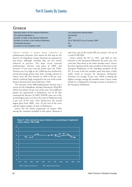### **Greece**

| Electoral system for the national Parliament | List proportional representation     |
|----------------------------------------------|--------------------------------------|
| The national legislature is                  | Unicameral                           |
| Number of seats in the national Parliament   | 300                                  |
| Number of women in the national Parliament   | 26 of 300 (8.67%) as of January 2004 |
| Presidential elections                       | No.                                  |
| Accession to the European Union              | 1981                                 |
|                                              |                                      |

GREECE SHOWS A FAIRLY HIGH TURNOUT at parliamentary elections. One reason for this may be the practice of compulsory voting. Sanctions are imposed on non-voters, although currently they are not strictly enforced in practice. The most recent national parliamentary election took place in 2000, and turnout−−75 per cent−−was the lowest since the 1950s. Turnout was very high in the 1980s but has declined by several percentage points since then. Average turnout in Greece since the first election in 1946 is 80 per cent, which is relatively high compared to the rest of the world. Sixteen elections have been held since 1946.

The outcome of the 2000 parliamentary election was a victory for the Panhellenic Socialist Movement (PASOK) which won almost 44 per cent of the seats. Four different parties are represented in Parliament, out of 26 that contested the election. In 2004, PASOK came out as the second largest party as it lost a few seats in Parliament and 4 per cent of the votes. New Democracy, the second largest party from 2000, won 45 per cent of the votes and the largest number of seats in Parliament.

Greece has the lowest proportion of women MPs among the countries included in this report. Between 8 and 9 per cent of the Greek MPs are women−−26 out of a total of 300 MPs.

Greece joined the EU in 1981, and held its first elections to the European Parliament the same year, two years later than those in the other member states. Greece has thus experienced the same number of elections to the European Parliament as the founding members of the EU. It is one of the few member states that show a fairly stable trend in turnout for European Parliament elections−−on average 78 per cent, which is among the highest averages among the member states. Greece ranks fourth on a ranking list of average turnout at elections to the European Parliament.

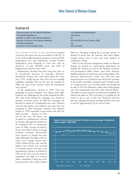### Iceland

| Electoral system for the national Parliament | List proportional representation    |
|----------------------------------------------|-------------------------------------|
| The national legislature is                  | Unicameral                          |
| Number of seats in the national Parliament   | 63                                  |
| Number of women in the national Parliament   | 19 of 63 (30.2%) as of January 2004 |
| Presidential elections                       | Yes                                 |
| Accession to the European Union              | Not a member                        |
|                                              |                                     |

THIS ISLAND NATION IS ONE out of four countries covered in this report that are not members of the EU. It is one of the smaller European countries in terms of both geographical size and population. Iceland became independent from Denmark in 1944 and, with an electorate of only 200,000 voters, has held 18 parliamentary elections since 1946.

Parliamentary elections take place every four years, as do presidential elections in principle. However, presidential elections have only taken place five times since 1952, usually because there have not been enough candidates standing. This was the case, for example, in 2000, the most recent occasion when the presidential term expired.

At the parliamentary election in 1999, some new groupings of parties emerged. The ruling centre−right coalition was challenged by the newly founded left bloc. The main issues during the campaign were related to domestic economic issues. In 2003 the campaign was focused on mainly EU membership and taxes. Iceland's economy had grown, and inflation and taxes were low compared to other European countries. The coalition formed in 1999 continued in government also after the

2004 elections. Turnout in 1999 was 84 per cent, the lowest ever recorded at a parliamentary election in Iceland, although this should not be considered low in comparative terms. In 2003, turnout increased to 87 per cent which is closer to average Icelandic standard. Historically, voter turnout in Iceland has been high. Although it has fallen a little in recent years, average turnout since 1946 is almost 90 per cent, and the highest voter turnout ever recorded in a Nordic country was that at the parliamentary election in Iceland in 1956. At 92.1 per cent, this must be considered very high in a country where compulsory voting has never been practised, and it places Iceland fifth on a European ranking list of average turnout. It should be noted that all countries that show higher average turnout have or have had some element of compulsory voting.

Most of the electoral management bodies in Western Europe are located in a government department. In Iceland the elections are run by the Ministry of Justice and Ecclesiastical Affairs which, apart from elections, handles judicial issues and issues concerning religion. The electoral administration works very well and runs elections at low cost. Iceland was one of the first countries in the world to introduce voting by mail. Voting by mail, or 'voting by letter', as it was first called, was introduced as early as 1914 for fishermen, sailors and similar groups who were temporarily away from their electoral district. The right to vote by mail was extended to the disabled, the elderly and others in 1923, and today it is possible for all voters to opt to vote in this way. Voting by mail has become a popular alternative among Icelandic voters and is used by approximately 20 per cent of voters.

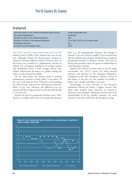# Ireland

| Electoral system for the national Parliament (lower house) | Single transferable vote             |
|------------------------------------------------------------|--------------------------------------|
| The national legislature is                                | <b>Bicameral</b>                     |
| Number of seats in the national Parliament                 | 166                                  |
| Number of women in the national Parliament                 | 22 of 166 (13.3%) as of January 2004 |
| Presidential elections                                     | Yes                                  |
| Accession to the European Union                            | 1973                                 |

THE MOST RECENT PARLIAMENTARY ELECTION in Ireland is that of 2002. Voter turnout then was 62 per cent. Although Ireland has showed great variation in turnout as between different kinds of election, this was the lowest ever recorded at a parliamentary election in Ireland. On a European ranking list of average turnout only Switzerland shows a lower average turnout than Ireland. Ireland does far better on a global ranking list where it ranks around the middle.

On the other hand, the turnout trend at national parliamentary elections is fairly stable. It was above 70 per cent at all elections from 1948 up to and including the 1987 election, and since the 1989 election it has been below 70 per cent. However, the differences are not extreme and the average turnout over the past half-decade is 72.6 per cent.

Ireland has had six presidential elections since 1945. Turnout is usually much lower for presidential elections than it is for parliamentary elections: the average is around 57 per cent, which is roughly 15 per cent less than that for parliamentary elections and the lowest average for presidential elections in Western Europe. This may be because the president enjoys less power in Ireland than in most European countries.

Ireland is the only EU member state to use the single transferable vote (STV) system for both national elections and elections to the European Parliament. Compared to the other European countries covered in this report, it also has very low numbers of invalid or blank votes−−usually well below 1 per cent.

Interestingly, at some elections to the European Parliament Ireland has shown a higher turnout than many other member states. However, its turnout at elections to the European Parliament has been the most unpredictable of all the member countries. For some elections it has been well below the European average.

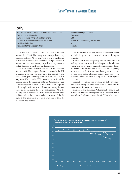### Italy

| Electoral system for the national Parliament (lower house) | Mixed member proportional            |
|------------------------------------------------------------|--------------------------------------|
| The national legislature is                                | <b>Bicameral</b>                     |
| Number of seats in the national Parliament                 | 630                                  |
| Number of women in the national Parliament                 | 71 of 630 (11.5%) as of January 2004 |
| Presidential elections                                     | No.                                  |
| Accession to the European Union                            | Founder                              |

ITALY SHOWS A FAIRLY STABLE TREND in voter turnout since 1946. The average turnout at parliamentary elections is almost 90 per cent. This is one of the highest in Western Europe and in the world. A slight decline in turnout has been seen recently, at parliamentary elections and at elections to the European Parliament.

The most recent parliamentary election in Italy took place in 2001. The outgoing Parliament was only the fifth to complete its five-year term since the Second World War. Fifteen parliamentary elections have been held in Italy since 1945. In the 2001 election the parties of the far right under the leadership of Silvio Berlusconi won an absolute majority of seats in the Chamber of Deputies and a simple majority in the Senate as a newly formed group under the name the House of Freedoms. After the EU imposed sanctions on Austria after the election there in 2000, when the country included a party of the far right in the government, concern increased within the EU about Italy as well.

The proportion of women MPs in the new Parliament in Italy is quite low compared to other European countries.

In recent years Italy has greatly reduced the number of polling stations as a result of changes in the electoral system and the system of electoral administration during the 1990s. This has resulted in crowds of voters queuing up to vote, not all of whom have been given the chance to cast their ballot, although voting hours have been extended. This was noted mainly at the 2000 regional elections.

Compulsory voting was practised in Italy previously but today voting is only considered a duty and no sanctions are imposed on non-voters.

Elections to the European Parliament also show a high turnout in Italy−−on average almost 80 per cent, which places Italy third on a ranking list of EU member states.

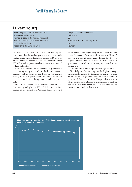### Luxembourg

| Electoral system for the national Parliament | List proportional representation    |
|----------------------------------------------|-------------------------------------|
| The national legislature is                  | Unicameral                          |
| Number of seats in the national Parliament   | 60                                  |
| Number of women in the national Parliament   | 10 of 60 (16.7%) as of January 2004 |
| Presidential elections                       | No.                                 |
| Accession to the European Union              | Founder                             |
|                                              |                                     |

OF THE COUNTRIES EXAMINED in this report, Luxembourg has the smallest parliament and the secondsmallest electorate. The Parliament consists of 60 seats, of which 10 are held by women. The electorate is just above 200,000, which is approximately the same size as those of Iceland and Malta.

Turnout in Luxembourg has remained very stable and high during the past decade in both parliamentary elections and elections to the European Parliament. Average turnout in parliamentary elections is almost 90 per cent. It has declined during recent years but only very little.

The most recent parliamentary election in Luxembourg took place in 1999. It led to some minor changes in government. The Christian Social Party held on to power as the largest party in Parliament, but the liberal Democratic Party overtook the Socialist Workers' Party as the second-largest party. Except for the two largest parties, which formed a new coalition government, four others are currently represented in the Parliament.

Luxembourg has had compulsory voting since 1919.

After Belgium, Luxembourg has the highest average turnout at elections to the European Parliament−−almost 88 per cent on average since 1979 and never less than 85 per cent. All five elections to the European Parliament in which Luxembourg, a founding member state of the EU, has taken part have taken place on the same day as elections to the national Parliament.

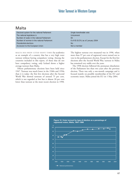### Malta

| Electoral system for the national Parliament                              | Single transferable vote          |
|---------------------------------------------------------------------------|-----------------------------------|
| The national legislature is<br>Number of seats in the national Parliament | Unicameral<br>65                  |
| Number of women in the national Parliament                                | 6 of 65 (9.2%) as of January 2004 |
| Presidential elections                                                    | No.                               |
| Accession to the European Union                                           | Not a member                      |

MALTA HAS BEEN CITED MANY TIMES by academics as an example of a country that has a very high voter turnout without having compulsory voting. Among the countries included in this report, of those that do not have compulsory voting, only Iceland shows a higher average turnout than Malta.

Fifteen parliamentary elections have been held since 1947. Turnout was much lower in the 1940s and 1950s than it is today: the first few elections after the Second World War showed turnouts of around 75 per cent, which is not regarded as low but is almost 20 per cent lower than turnout at the most recent election in 1998. The highest turnout ever measured was in 1996, when more than 97 per cent of registered voters turned out to vote in the parliamentary election. Except for the first few elections after the Second World War, turnout in Malta has remained very stable over the years.

The 1998 election followed the premature dissolution of the Parliament less than two years after the previous election. There was only a one-month campaign and it focused mainly on possible membership of the EU and economic issues. Malta joined the EU on 1 May 2004.

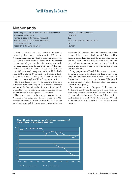# **Netherlands**

| Electoral system for the national Parliament (lower house)<br>The national legislature is | List proportional representation<br><b>Bicameral</b> |
|-------------------------------------------------------------------------------------------|------------------------------------------------------|
| Number of seats in the national Parliament                                                | 150                                                  |
| Number of women in the national Parliament                                                | 55 of 150 (36.7%) as of January 2004                 |
| Presidential elections                                                                    | No.                                                  |
| Accession to the European Union                                                           | Founder                                              |

IT WAS COMPULSORY FOR CITIZENS to vote in national parliamentary elections until 1967 in the Netherlands, and this has left clear traces in the history of the country's voter turnout. Before 1970 the average turnout was 95 per cent, but after voting was made voluntary, starting with the next election in 1971, a clear decline in turnout is apparent. The average fell to 82 per cent. Still, the overall average turnout in the Netherlands since 1946 is almost 87 per cent, which places it fairly high up on a global ranking list of voter turnout and seventh on a ranking list of West European countries.

The Netherlands is one of the countries that have introduced new technology in their electoral processes and one of the first to introduce it on a national basis. It is possible today to vote using voting machines at the polling stations in most regions of the country.

The most recent parliamentary election in the Netherlands (in 2003) and the one before (in 2002) attracted international attention since the leader of one anti-immigration political party was shot dead a few days before the 2002 election. The 2003 election was called because of the premature dissolution of Parliament. This time the Labour Party increased the number of its seats in the Parliament, one less party is represented, and the party whose leader was assassinated, the List Pim Fortuyn, also lost a large share of its voters compared with the 2002 election.

A large proportion of Dutch MPs are women−−almost 37 per cent, which is the fifth-largest share in the world. Only the Scandinavian countries Sweden, Denmark and Finland have a higher proportion of women MPs (as well as the African country Rwanda, after the recent introduction of quotas).

At elections to the European Parliament the Netherlands also shows a declining trend, but it has never been compulsory to vote at these elections. Turnout has fallen at each election to the European Parliament since the first took place in 1979. At 58 per cent in 1979 and 30 per cent in 1999, it has fallen by 5−10 per cent at each election.

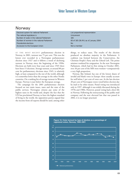### Norway

| Electoral system for national Parliament   | List proportional representation     |
|--------------------------------------------|--------------------------------------|
| The national legislature is                | Unicameral                           |
| Number of seats in the national Parliament | 165                                  |
| Number of women in the national Parliament | 60 of 165 (36.4%) as of January 2004 |
| Presidential elections                     | No.                                  |
| Accession to the European Union            | Not a member                         |
|                                            |                                      |

AT THE MOST RECENT parliamentary election in Norway, in 2001, turnout was 75 per cent. This was the lowest ever recorded in a Norwegian parliamentary election since 1927 and it follows a trend of declining turnout in Norway since the beginning of the 1990s. Elections are held every four years and since 1945 there have been 15 elections. Average turnout, at around 80 per cent for parliamentary elections since 1945, is relatively high, at least compared to the rest of the world, although it is somewhat lower than the average in the other Nordic countries. On a ranking list of average turnout in Western Europe, Norway is just below the European average.

The campaign for the 2001 parliamentary election focused on two main issues, taxes and the state of the public services. Norwegian citizens pay some of the highest taxes in the world and, despite the fact that the UN has proclaimed Norway to have the highest standard of living in the world, the opposition parties argued that the income from oil exports should be used, among other things, to reduce taxes. The results of the election produced no absolute majority in the Parliament. A coalition was formed between the Conservatives, the Christian People's Party and the Liberal Left. The prime minister tendered his resignation. In the new Norwegian Parliament, which had its first sitting in October 2001, over 36 per cent of the MPs were women−−comparatively a very high proportion.

Norway, like Ireland, has one of the lowest shares of invalid and blank votes in Europe: these usually account for well below 1 per cent of votes cast. At the last election 20 per cent of Norwegian voters voted before election day by mail or by other means. Postal voting was introduced only in 1997, although it was widely discussed during the 1970s and 1980s. However, postal voting had a short life in Norway. Following the restructuring of the public mail company and the new electoral law that was passed in 2002, it is no longer practised.

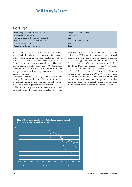### Portugal

| Electoral system for the national Parliament | List proportional representation     |
|----------------------------------------------|--------------------------------------|
| The national legislature is                  | Unicameral                           |
| Number of seats in the national Parliament   | 230                                  |
| Number of women in the national Parliament   | 44 of 230 (19.1%) as of January 2004 |
| Presidential elections                       | Yes                                  |
| Accession to the European Union              | 1986                                 |
|                                              |                                      |

PORTUGAL ACHIEVED A VERY HIGH voter turnout at its first election following the restoration of democracy in 1975. At 92 per cent it was among the highest levels in Europe since 1945. Since then, however, turnout has declined at almost every national election. The most obvious decline took place during the 1990s. At the most recent election, in 2002, turnout was 62 per cent. The average turnout at parliamentary elections since 1975 is almost 74 per cent.

Presidential elections in Portugal show lower turnouts than parliamentary elections. In the most recent presidential election in 2001 turnout was only 50 per cent. The average is approximately 69 per cent.

The most recent parliamentary election in 2002 was held following the premature dissolution of the Parliament in 2001. The prime minister had suddenly resigned in 2001 after his party was defeated in local elections the same year. During the campaign, perhaps not surprisingly, the focus was on economic issues: Portugal is still one of the poorest countries in the EU. The Social Democrats together with the People's Party formed a coalition as a result of the election.

Portugal has held four elections to the European Parliament since joining the EU in 1986. The average turnout at these elections is lower than that at national elections, at 50 per cent, but Portugal is one the few countries where turnout actually increased at the most recent election to the European Parliament, in 1999.

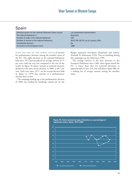# Spain

| Electoral system for the national Parliament (lower house) | List proportional representation     |
|------------------------------------------------------------|--------------------------------------|
| The national legislature is                                | <b>Bicameral</b>                     |
| Number of seats in the national Parliament                 | 350                                  |
| Number of women in the national Parliament                 | 99 of 350 (28.3%) as of January 2004 |
| Presidential elections                                     | No.                                  |
| Accession to the European Union                            | 1986                                 |

SPAIN HAS ONE OF THE LOWER LEVELS of turnout for parliamentary elections among the member states of the EU. The eight elections to the national Parliament held since 1977 have produced an average turnout of 75 per cent−−still not very low compared to the rest of the world. As figure 16 shows, turnout at national elections declined at the most recent election, in 2000, to 68.7 per cent. Only once since 1977—at the second election held in Spain, in 1979−−has turnout at a parliamentary election been so low.

The campaign leading up to the parliamentary election of 2000 was marked by bombings carried out by the Basque separatist movement Homeland and Liberty (Euzkadi Ta Azkatasuna, ETA). The car bombing during this campaign was the third since 1999.

The average turnout at the four elections to the European Parliament since 1986, when Spain joined the EU, is lower than that for national elections, at approximately 62 per cent, but still places Spain fifth on a ranking list of average turnout among the member states.

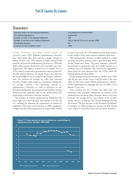### Sweden

| Electoral system for the national Parliament | List proportional representation      |
|----------------------------------------------|---------------------------------------|
| The national legislature is                  | Unicameral                            |
| Number of seats in the national Parliament   | 349                                   |
| Number of women in the national Parliament   | 158 of 349 (45.3%) as of January 2004 |
| Presidential elections                       | No                                    |
| Accession to the European Union              | 1995                                  |
|                                              |                                       |

VOTER TURNOUT HAS BEEN FAIRLY HIGH IN SWEDEN since 1945. Eighteen parliamentary elections have been held since then and the average turnout is almost 86 per cent. The pattern of high turnout held until the most recent parliamentary elections in 1998 and 2002, when turnout decreased to 81.4 and 80.1 per cent, respectively. The highest turnout ever in Sweden was in 1976, when a conservative government came to power for the first time in 40 years. At almost 92 per cent, this was the second-highest ever recorded in the Nordic countries, after the election in Iceland in 1963. For national elections Sweden ranks ninth on a European ranking list of average turnout. The declining turnout at parliamentary elections, as well as elections to the European Parliament, has generated much debate among politicians and academics and in the media about low participation and how to increase turnout.

The number of women represented in Parliament has been high over recent decades, and Sweden is at the top of a ranking list showing the proportion of women in parliament. The most recent election, in 2002, resulted in a slight increase in the proportion of women MPs, which is now 45 per cent. In 1999 Sweden was the first country in the world to have more women ministers than men.

The parliamentary election in 2002 resulted in a third term for the prime minister, who is also the leader of the Social Democratic Party. The party formed a minority government as agreement with the smaller parties on a coalition was not possible. The conservative opposition party faced its worst election since the 1970s, while the Liberals did better than before.

Postal voting has been practised in Sweden since 1942 and 30 per cent of the voters voted by mail at the post office in the most recent (2002) parliamentary election. In the referendum on adopting the euro in 2003, it was almost 32 per cent.

Since joining the EU, Sweden has held only two elections to the European Parliament. In contrast to the parliamentary elections, these elections show a very low turnout−−on average 40 per cent, which is the secondlowest turnout in Europe (the United Kingdom having the lowest). The last election to the European Parliament in Sweden, in 1999, produced a turnout of only 38 per cent, which is one of the lowest ever for these elections.

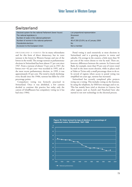### Switzerland

| Electoral system for the national Parliament (lower house) | List proportional representation     |
|------------------------------------------------------------|--------------------------------------|
| The national legislature is                                | <b>Bicameral</b>                     |
| Number of seats in the national parliament                 | 200                                  |
| Number of women in the national parliament                 | 46 of 200 (23.0%) as of January 2004 |
| Presidential elections                                     | No                                   |
| Accession to the European Union                            | Not a member                         |
|                                                            |                                      |

SWITZERLAND IS FAMOUS for its many referendums and for this form of direct democracy, but its voter turnout is the lowest in Western Europe and one of the lowest in the world. The average turnout at parliamentary elections in Switzerland has been almost 57 per cent since 1947. From a turnout of almost 72 per cent in 1947, the lowest ever−−42 per cent−−was recorded in 1995, and at the most recent parliamentary election, in 1999, it was approximately 45 per cent. The trend is clearly declining: every decade since the 1940s, turnout has fallen by a few percentage points.

Compulsory voting was formerly practised in Switzerland. Once it was abolished, a few cantons decided to continue this practice but today only the canton of Schaffhausen has compulsory voting (as it has had since 1904).

Postal voting is used extensively at most elections in Switzerland, and is a growing practice in towns and suburbs. On average in the country, a little more than 50 per cent of the voters choose to vote by mail. There are, however, differences between the cantons. In Geneva and Basle, for example, more than 95 per cent of voters voted by mail in the most recent election, while in places such as Valais or Ticino only a small percentage chose to do so. In several of regions where access to postal voting was simplified ten years ago, turnout has increased.

Switzerland has recently completed pilot projects trying out e-voting. This includes voting on the Internet, by using the telephone, by SMS/text messages and so on. This has mainly been tried at elections in Geneva, but other regions such as Zurich and Neuchatel have also started to test new technology in the electoral process.

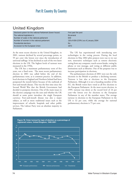## United Kingdom

| Electoral system for the national Parliament (lower house) | First past the post                   |
|------------------------------------------------------------|---------------------------------------|
| The national legislature is                                | Bicameral                             |
| Number of seats in the national parliament                 | 659                                   |
| Number of women in the national parliament                 | 118 of 659 (17.9%) as of January 2004 |
| Presidential elections                                     | No                                    |
| Accession to the European Union                            | 1973                                  |
|                                                            |                                       |

At the most recent election in the United Kingdom, in 2001, turnout declined by several percentage points, to 59 per cent−−the lowest ever since the introduction of universal suffrage. It has declined at each of the two latest elections in the UK. The highest levels of turnout were measured in the 1950s.

The UK has a maximum parliamentary term of five years, not a fixed term. The most recent parliamentary election in 2001 was called before the end of the parliamentary term, as is common practice. In addition, local elections in England and Northern Ireland had been postponed the month before because of the outbreak of foot-and-mouth disease. This was the first time since the Second World War that the British Government had decided to postpone elections. One of the main issues in the election campaign was the euro and whether the UK should at some point introduce the single European currency. Foot-and-mouth disease was also a major subject, as well as more traditional issues such as the improvement of schools, hospitals and other public services. The Labour Party won an absolute majority in Parliament.

The UK has experimented with introducing new technologies in the voting process. During the local elections in May 2002 pilot projects were run to try out new, innovative techniques such as remote electronic voting from any computer, touch-screen kiosks, voting by phone or text message, and voting at different public institutions such as libraries. One of the purposes was to increase participation in elections.

The parliamentary elections of 2001 were not the only elections in the British to produce a declining turnout. Turnout is low also at elections to the European Parliament. Although it is not a founding member of the EU, the British voters have voted at all five elections to the European Parliament. At the most recent election, in 1999, turnout was down at the record level of 24 per cent−−the lowest ever for elections to the European Parliament in any of the member states. The average turnout in elections to the European Parliament in the UK is 32 per cent, while the average for national parliamentary elections is 75 per cent.

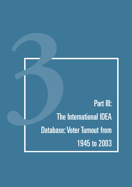Part III:<br>
The International IDEA<br>
Database: Voter Turnout from<br>
1945 to 2003 The International IDEA Database: Voter Turnout from 1945 to 2003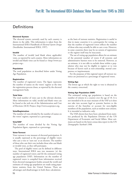## **Definitions**

### **Electoral System**

The electoral system currently used by each country is shown in the table. This information is taken from the International IDEA Handbook of *Electoral System Design* (Stockholm: International IDEA, 1997).

### **Invalid**

The number of invalid (and blank where applicable) votes, as reported by each country. More information on invalid and blank votes can be found at <http://www.ace project.org>.

### **Population**

The total population as described below under Voting Age Population.

### **Registration**

The number of registered voters. The figure represents the number of names on the voters' register at the time the registration process closes, as reported by the electoral management body.

### **Total Vote**

The total number of votes cast in the relevant election. More information on valid, invalid and blank votes can be found at the web site of the Administration and Cost of Elections (ACE) Project, http://www.aceproject.org.

### **Vote/Registration**

The number of votes divided by the number of names on the voters' register, expressed as a percentage.

### **Vote/VAP**

The number of votes divided by the Voting Age Population figure, expressed as a percentage.

### **Voter Turnout**

Voter turnout is one measure of electoral participation. It is usually expressed as the percentage of eligible voters who cast a vote or 'turn out' at an election. The number of those who cast their vote includes those who cast blank or invalid votes, as they still participate.

The pool of eligible voters can be defined in different ways. International IDEA uses two measures: (a) the number of registered voters; and (b) the estimated voting age population (VAP). Information on the number of registered voters is compiled from information received from electoral management bodies around the world and estimates of voting age population are made using population statistics from the United Nations. There are advantages and disadvantages in both these calculations

as the basis of turnout statistics. Registration is useful in that in many countries it is a prerequisite for voting, so that the number of registered voters reflects the number of those who may actually be able to cast a vote. However, in some countries there may be no system of registration or the register itself may be inaccurate.

The use of voting age population allows for an estimate of the potential number of voters if all systemic and administrative barriers were to be removed. However, as an estimate, it is not able to exclude those within a population who may not be eligible to register or to vote because of factors such as non-citizenship, mental competence or imprisonment.

For the purposes of this regional report all turnout statistics are presented as a percentage of registered voters.

### **Voting Age**

The lowest age at which the right to vote is obtained in the country concerned.

### **Voting Age Population (VAP)**

The estimated voting age population is based on the number of citizens in a country over the age of 18. It is not intended to be an exact measure of the VAP as it does not take into account legal or systemic barriers to the exercise of the franchise or account for non-eligible members of the population, such as resident non-citizens. It is intended as indicative only.

The VAPs shown here have been calculated from statistics produced by the Population Division of the UN Department of Economic and Social Affairs. Most estimates are based on the latest census data report in the UN *Demographic Yearbook 1998.*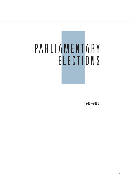# PARLIAMENTARY ELECTIONS

1945−2003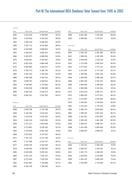| ٧ | <b>STEP</b> | e s |
|---|-------------|-----|

| YEAR           | TOTAL VOTE    | REGISTRATION        | VOTE/REG | YEAR           | TOTAL VOTE   | <b>REGISTRATION</b> | VOTE/REG |
|----------------|---------------|---------------------|----------|----------------|--------------|---------------------|----------|
| 1945           | 3 253 329     | 3 449 605           | 94.3%    | 1999           | 6 652 005    | 7 343 464           | 90.6%    |
| 1949           | 4 250 616     | 4 391 815           | 96.8%    | 2003           | 6 936 801    | 7 570 637           | 91.6%    |
| 1953           | 4 395 519     | 4 586 870           | 95.8%    |                |              |                     |          |
| 1956           | 4 427 711     | 4 614 464           | 96.0%    | <b>Denmark</b> |              |                     |          |
| 1959           | 4 4 2 4 6 5 8 | 4 696 603           | 94.2%    | YEAR           | TOTAL VOTE   | <b>REGISTRATION</b> | VOTE/REG |
| 1962           | 4 506 007     | 4 805 351           | 93.8%    | 1945           | 2 055 315    | 2 381 983           | 86.3%    |
| 1966           | 4 583 970     | 4 886 818           | 93.8%    | 1947           | 2 089 015    | 2 435 306           | 85.8%    |
| 1970           | 4 630 851     | 5 045 841           | 91.8%    | 1950           | 2 059 944    | 2 516 118           | 81.9%    |
| 1971           | 4 607 616     | 4 984 448           | 92.4%    | 1953           | 2 172 036    | 2 695 554           | 80.6%    |
| 1975           | 4 662 684     | 5 019 277           | 92.9%    | 1953           | 2 077 615    | 2 571 311           | 80.8%    |
| 1979           | 4 784 173     | 5 186 735           | 92.2%    | 1957           | 2 321 097    | 2 772 159           | 83.7%    |
| 1983           | 4 922 454     | 5 316 436           | 92.6%    | 1960           | 2 439 936    | 2 842 336           | 85.8%    |
| 1986           | 4 940 298     | 5 461 414           | 90.5%    | 1964           | 2 640 856    | 3 088 269           | 85.5%    |
| 1991           | 4 848 741     | 5 628 912           | 86.1%    | 1966           | 2 802 304    | 3 162 352           | 88.6%    |
| 1994           | 4 760 987     | 5 774 000           | 82.5%    | 1968           | 2 864 805    | 3 208 646           | 89.3%    |
| 1995           | 4 959 539     | 5 768 009           | 86.0%    | 1971           | 2 904 096    | 3 3 3 2 0 4 4       | 87.2%    |
| 1999           | 4 695 192     | 5 838 373           | 80.4%    | 1973           | 3 070 253    | 3 460 737           | 88.7%    |
| 2002           | 4 982 261     | 5 912 592           | 84.3%    | 1975           | 3 068 302    | 3 477 621           | 88.2%    |
|                |               |                     |          | 1977           | 3 124 967    | 3 552 904           | 88.0%    |
| <b>Belgium</b> |               |                     |          | 1979           | 3 194 967    | 3 730 650           | 85.6%    |
| YEAR           | TOTAL VOTE    | <b>REGISTRATION</b> | VOTE/REG | 1981           | 3 3 14 4 2 4 | 3 776 333           | 87.8%    |
| 1946           | 2 460 796     | 2 724 796           | 90.3%    | 1984           | 3 386 733    | 3 829 600           | 88.4%    |
| 1949           | 5 320 263     | 5 635 452           | 94.4%    | 1987           | 3 389 201    | 3 907 454           | 86.7%    |
| 1950           | 5 219 276     | 5 635 452           | 92.6%    | 1988           | 3 352 651    | 3 991 897           | 84.0%    |
| 1954           | 5 463 130     | 5 863 092           | 93.2%    | 1990           | 3 265 420    | 3 941 499           | 82.8%    |
| 1958           | 5 575 127     | 5 954 858           | 93.6%    | 1994           | 3 360 637    | 3 988 787           | 84.3%    |
| 1961           | 5 573 861     | 6 036 165           | 92.3%    | 1998           | 3 431 926    | 3 993 009           | 85.9%    |
| 1965           | 5 578 876     | 6 091 534           | 91.6%    | 2001           | 3 484 957    | 3 998 957           | 87.1%    |
| 1968           | 5 5 5 4 6 5 2 | 6 170 167           | 90.0%    |                |              |                     |          |
| 1971           | 5 741 270     | 6 271 240           | 91.5%    | Finland        |              |                     |          |
| 1974           | 5 711 996     | 6 322 227           | 90.3%    | YEAR           | TOTAL VOTE   | <b>REGISTRATION</b> | VOTE/REG |
| 1977           | 6 005 195     | 6 316 292           | 95.1%    | 1945           | 1 710 251    | 2 2 8 4 2 4 9       | 74.9%    |
| 1978           | 6 0 39 9 16   | 6 366 652           | 94.9%    | 1948           | 1893837      | 2 420 287           | 78.2%    |
| 1981           | 6 504 056     | 6 878 141           | 94.6%    | 1951           | 1 825 779    | 2 448 239           | 74.6%    |
| 1985           | 6 552 234     | 7 001 297           | 93.6%    | 1954           | 2 019 042    | 2 526 969           | 79.9%    |
| 1987           | 6 573 045     | 7 039 250           | 93.4%    | 1958           | 1 954 397    | 2 606 258           | 75.0%    |
| 1991           | 6 623 897     | 7 144 884           | 92.7%    | 1962           | 2 310 090    | 2 714 838           | 85.1%    |
| 1995           | 6 5 6 2 1 4 9 | 7 199 440           | 91.1%    |                |              |                     |          |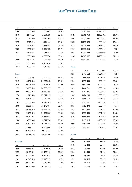## Voter Turnout in Western Europe

| YEAR    | TOTAL VOTE | <b>REGISTRATION</b> | VOTE/REG | YEAR    | TOTAL VOTE | REGISTRATION        | VOTE/REG |
|---------|------------|---------------------|----------|---------|------------|---------------------|----------|
| 1966    | 2 378 583  | 2 800 461           | 84.9%    | 1972    | 37 761 589 | 41 446 302          | 91.1%    |
| 1970    | 2 544 510  | 3 0 9 4 3 5 9       | 82.2%    | 1976    | 38 165 753 | 42 058 015          | 90.7%    |
| 1972    | 2 587 060  | 3 178 169           | 81.4%    | 1980    | 38 292 176 | 43 231 741          | 88.6%    |
| 1975    | 2 761 223  | 3 741 460           | 73.8%    | 1983    | 39 279 529 | 44 088 935          | 89.1%    |
| 1979    | 2 906 066  | 3 858 553           | 75.3%    | 1987    | 38 225 294 | 45 327 982          | 84.3%    |
| 1983    | 2 992 970  | 3 951 932           | 75.7%    | 1990    | 46 995 915 | 60 436 560          | 77.8%    |
| 1987    | 2 895 488  | 4 018 248           | 72.1%    | 1994    | 47 737 999 | 60 452 009          | 79.0%    |
| 1991    | 2 776 984  | 4 060 778           | 68.4%    | 1998    | 49 947 087 | 60 762 751          | 82.2%    |
| 1995    | 2 803 602  | 4 088 358           | 68.6%    | 2002    | 48 582 761 | 61 432 868          | 79.1%    |
| 1999    | 2 710 095  | 4 152 430           | 65.3%    |         |            |                     |          |
| 2003    | 2 797 596  | 4 015 552           | 69.7%    | Greece  |            |                     |          |
|         |            |                     |          | YEAR    | TOTAL VOTE | <b>REGISTRATION</b> | VOTE/REG |
| France  |            |                     |          | 1951    | 1 717 012  | 2 2 2 4 2 4 6       | 77.2%    |
| YEAR    | TOTAL VOTE | <b>REGISTRATION</b> | VOTE/REG | 1952    | 1 600 172  | 2 123 150           | 75.4%    |
| 1945    | 19 657 603 | 24 622 862          | 79.8%    | 1956    | 3 379 445  | 4 507 907           | 75.0%    |
| 1946    | 20 215 200 | 24 696 949          | 81.9%    | 1958    | 3 863 982  | 5 119 148           | 75.5%    |
| 1951    | 19 670 655 | 24 530 523          | 80.2%    | 1961    | 4 640 512  | 5 668 298           | 81.9%    |
| 1956    | 22 138 046 | 26 772 255          | 82.7%    | 1963    | 4 702 791  | 5 662 965           | 83.0%    |
| 1958    | 21 026 543 | 27 244 992          | 77.2%    | 1964    | 4 626 290  | 5 662 965           | 81.7%    |
| 1962    | 18 918 154 | 27 540 358          | 68.7%    | 1974    | 4 966 558  | 6 241 066           | 79.6%    |
| 1967    | 22 910 839 | 28 242 549          | 81.1%    | 1977    | 5 193 891  | 6 403 738           | 81.1%    |
| 1968    | 22 500 524 | 28 178 087          | 79.9%    | 1981    | 5 753 478  | 7 059 778           | 81.5%    |
| 1973    | 24 299 210 | 29 883 738          | 81.3%    | 1985    | 6 421 466  | 7 661 588           | 83.8%    |
| 1978    | 24 658 645 | 34 424 388          | 71.6%    | 1989    | 6 799 485  | 8 0 6 1 8 0 3       | 84.3%    |
| 1981    | 25 182 623 | 35 536 041          | 70.9%    | 1989    | 6 669 228  | 7892904             | 84.5%    |
| 1986    | 28 736 080 | 36 614 738          | 78.5%    | 1993    | 7 019 925  | 8 462 636           | 83.0%    |
| 1988    | 24 472 329 | 36 977 321          | 66.2%    | 1996    | 6 952 938  | 9 107 766           | 76.3%    |
| 1993    | 26 860 177 | 38 968 660          | 68.9%    | 2000    | 7 027 007  | 9 373 439           | 75.0%    |
| 1997    | 26 649 818 | 39 215 743          | 68.0%    |         |            |                     |          |
| 2002    | 22 186 165 | 36 783 746          | 60.3%    | Iceland |            |                     |          |
|         |            |                     |          | YEAR    | TOTAL VOTE | <b>REGISTRATION</b> | VOTE/REG |
| Germany |            |                     |          | 1946    | 67895      | 77 670              | 87.4%    |
| YEAR    | TOTAL VOTE | <b>REGISTRATION</b> | VOTE/REG | 1949    | 73 432     | 82 481              | 89.0%    |
| 1949    | 24 495 614 | 31 207 620          | 78.5%    | 1953    | 78 754     | 87 601              | 89.9%    |
| 1953    | 28 479 550 | 33 120 940          | 86.0%    | 1956    | 84 355     | 91 618              | 92.1%    |
| 1957    | 31 072 894 | 35 400 923          | 87.8%    | 1959    | 86 147     | 95 050              | 90.6%    |
| 1961    | 32 849 624 | 37 440 715          | 87.7%    | 1959    | 86 426     | 95 637              | 90.4%    |
| 1965    | 33 416 207 | 38 510 395          | 86.8%    | 1963    | 90 958     | 99 798              | 91.1%    |
| 1969    | 33 523 064 | 38 677 235          | 86.7%    | 1967    | 97 855     | 107 101             | 91.4%    |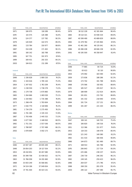| YEAR    | TOTAL VOTE | REGISTRATION        | VOTE/REG | YEAR       | TOTAL VOTE | REGISTRATION                    | VOTE/REG |
|---------|------------|---------------------|----------|------------|------------|---------------------------------|----------|
| 1971    | 106 975    | 118 289             | 90.4%    | 1979       | 38 112 228 | 42 181 664                      | 90.4%    |
| 1974    | 115 575    | 126 388             | 91.4%    | 1983       | 39 114 321 | 43 936 534                      | 89.0%    |
| 1978    | 124 377    | 137 782             | 90.3%    | 1987       | 40 599 490 | 45 689 829                      | 88.9%    |
| 1979    | 126 929    | 142 073             | 89.3%    | 1992       | 41 479 764 | 47 435 964                      | 87.4%    |
| 1983    | 133 764    | 150 977             | 88.6%    | 1994       | 41 461 260 | 48 135 041                      | 86.1%    |
| 1987    | 154 438    | 171 402             | 90.1%    | 1996       | 40 496 438 | 48 846 238                      | 82.9%    |
| 1991    | 160 142    | 182 768             | 87.6%    | 2001       | 40 195 500 | 49 358 947                      | 81.4%    |
| 1995    | 167 751    | 191 973             | 87.4%    |            |            |                                 |          |
| 1999    | 169 431    | 201 525             | 84.1%    | Luxembourg |            |                                 |          |
| 2003    | 184 813    | 211 289             | 87.5%    | YEAR       | TOTAL VOTE | REGISTRATION                    | VOTE/REG |
|         |            |                     |          | 1948       | 77 865     | 84 724                          | 91.9%    |
| Ireland |            |                     |          | 1951       | 83 613     | 92 110                          | 90.8%    |
| YEAR    | TOTAL VOTE | <b>REGISTRATION</b> | VOTE/REG | 1954       | 170 092    | 183 590                         | 92.6%    |
| 1948    | 1 336 628  | 1 800 210           | 74.2%    | 1959       | 173 836    | 188 286                         | 92.3%    |
| 1951    | 1 343 616  | 1 785 144           | 75.3%    | 1964       | 173 702    | 191 788                         | 90.6%    |
| 1954    | 1 347 932  | 1763209             | 76.4%    | 1968       | 170 566    | 192 601                         | 88.6%    |
| 1957    | 1 238 559  | 1 738 278           | 71.3%    | 1974       | 185 527    | 205 817                         | 90.1%    |
| 1961    | 1 179 738  | 1 670 860           | 70.6%    | 1979       | 188 909    | 212 614                         | 88.9%    |
| 1965    | 1 264 666  | 1 683 019           | 75.1%    | 1984       | 191 651    | 215 792                         | 88.8%    |
| 1969    | 1 334 963  | 1 735 388           | 76.9%    | 1989       | 191 332    | 218 940                         | 87.4%    |
| 1973    | 1 366 474  | 1 783 604           | 76.6%    | 1994       | 191 724    | 217 131                         | 88.3%    |
| 1977    | 1 616 770  | 2 118 606           | 76.3%    | 1999       | 191 267    | 221 103                         | 86.5%    |
| 1981    | 1 734 379  | 2 275 450           | 76.2%    |            |            |                                 |          |
| 1982    | 1 701 385  | 2 335 153           | 72.9%    | Malta      |            |                                 |          |
| 1987    | 1 793 406  | 2 445 515           | 73.3%    | YEAR       | TOTAL VOTE | REGISTRATION                    | VOTE/REG |
| 1989    | 1 677 592  | 2 448 810           | 68.5%    | 1947       | 106 141    | 140 703                         | 75.4%    |
| 1992    | 1 751 351  | 2 557 036           | 68.5%    | 1950       | 106 820    | 140 516                         | 76.0%    |
| 1997    | 1788 997   | 2 707 498           | 66.1%    | 1951       | 113 366    | 151 977                         | 74.6%    |
| 2002    | 1878 609   | 3 002 173           | 62.6%    | 1953       | 119 333    | 148 478                         | 80.4%    |
|         |            |                     |          | 1955       | 121 243    | 149 380                         | 81.2%    |
| Italy   |            |                     |          | 1962       | 151 533    | 166 936                         | 90.8%    |
| YEAR    | TOTAL VOTE | REGISTRATION        | VOTE/REG | 1966       | 144 873    | 161 490                         | 89.7%    |
| 1946    | 24 947 187 | 28 005 449          | 89.1%    | 1971       | 168 913    | 181 768                         | 92.9%    |
| 1948    | 26 854 203 | 29 117 554          | 92.2%    | 1976       | 206 843    | 217 724                         | 95.0%    |
| 1953    | 28 410 851 | 30 267 080          | 93.9%    | 1981       | 225 466    | 238 237                         | 94.6%    |
| 1958    | 30 399 708 | 32 436 022          | 93.7%    | 1987       | 236 719    | 246 292                         | 96.1%    |
| 1963    | 31 766 058 | 34 201 660          | 92.9%    | 1992       | 249 145    | 259 423                         | 96.0%    |
| 1968    | 33 003 249 | 35 566 681          | 92.8%    | 1996       | 264 037    | 271 746                         | 97.2%    |
| 1972    | 34 524 106 | 37 049 654          | 93.2%    | 1998       | 268 150    | 281 078                         | 95.4%    |
| 1976    | 37 741 404 | 40 423 131          | 93.4%    | 2003       | 285 122    | 297 390                         | 95.7%    |
| 82      |            |                     |          |            |            | Voter Turnout in Western Europe |          |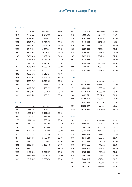## Voter Turnout in Western Europe

| <b>Netherlands</b> |               |                     |          | Portugal    |               |                     |
|--------------------|---------------|---------------------|----------|-------------|---------------|---------------------|
| YEAR               | TOTAL VOTE    | <b>REGISTRATION</b> | VOTE/REG | <b>YEAR</b> | TOTAL VOTE    | <b>REGISTRATION</b> |
| 1946               | 4 913 015     | 5 275 888           | 93.1%    | 1975        | 5 666 696     | 6 177 698           |
| 1948               | 5 089 582     | 5 433 633           | 93.7%    | 1976        | 5 393 853     | 6 477 619           |
| 1952               | 5 501 728     | 5 792 679           | 95.0%    | 1979        | 5 915 168     | 6 757 152           |
| 1956               | 5 849 652     | 6 125 210           | 95.5%    | 1980        | 5 917 355     | 6 925 243           |
| 1959               | 6 143 409     | 6 427 864           | 95.6%    | 1983        | 5 629 996     | 7 159 349           |
| 1963               | 6 419 964     | 6 748 611           | 95.1%    | 1985        | 5 744 321     | 7 621 504           |
| 1967               | 7 076 328     | 7 452 776           | 94.9%    | 1987        | 5 623 128     | 7 741 149           |
| 1971               | 6 364 719     | 8 048 726           | 79.1%    | 1991        | 5 674 332     | 8 322 481           |
| 1972               | 7 445 287     | 8 9 16 9 4 7        | 83.5%    | 1995        | 5 904 854     | 8 906 608           |
| 1977               | 8 365 829     | 9 506 318           | 88.0%    | 1999        | 5 406 946     | 8 8 5 7 1 7 3       |
| 1981               | 8 738 238     | 10 040 121          | 87.0%    | 2002        | 5 5 8 2 1 4 6 | 8 8 8 2 5 6 1       |
| 1982               | 8 273 631     | 10 216 634          | 81.0%    |             |               |                     |
| 1986               | 9 199 621     | 10 727 701          | 85.8%    | Spain       |               |                     |
| 1989               | 8 9 19 7 8 7  | 11 112 189          | 80.3%    | YEAR        | TOTAL VOTE    | REGISTRATION        |
| 1994               | 9 0 21 144    | 11 455 924          | 78.7%    | 1977        | 18 175 327    | 23 616 421          |
| 1998               | 8 607 787     | 11 755 132          | 73.2%    | 1979        | 18 284 948    | 26 836 500          |
| 2002               | 9 5 1 5 2 2 6 | 12 035 935          | 79.1%    | 1982        | 21 439 152    | 26 855 301          |
| 2003               | 9 666 602     | 12 076 711          | 80.0%    | 1986        | 20 489 651    | 29 117 613          |
|                    |               |                     |          | 1989        | 20 788 160    | 29 694 055          |
| Norway             |               |                     |          | 1993        | 23 907 495    | 31 030 511          |
| YEAR               | TOTAL VOTE    | <b>REGISTRATION</b> | VOTE/REG | 1996        | 24 985 097    | 32 007 554          |
| 1945               | 1 498 194     | 1 961 977           | 76.4%    | 2000        | 23 339 490    | 33 969 640          |
| 1949               | 1 770 897     | 2 159 005           | 82.0%    |             |               |                     |
| 1953               | 1 790 331     | 2 2 5 6 7 9 9       | 79.3%    | Sweden      |               |                     |
| 1957               | 1 800 155     | 2 2 9 3 3 7 6       | 78.3%    | YEAR        | TOTAL VOTE    | <b>REGISTRATION</b> |
| 1961               | 1850548       | 2 340 495           | 79.1%    | 1948        | 3 895 161     | 4 707 783           |
| 1965               | 2 056 091     | 2 406 866           | 85.4%    | 1952        | 3 801 284     | 4 805 216           |
| 1969               | 2 162 596     | 2 579 566           | 83.8%    | 1956        | 3 902 114     | 4 902 114           |
| 1973               | 2 155 734     | 2 686 676           | 80.2%    | 1958        | 3 864 963     | 4 992 421           |
| 1977               | 2 304 496     | 2 780 190           | 82.9%    | 1960        | 4 271 610     | 4 972 177           |
| 1981               | 2 462 142     | 3 003 093           | 82.0%    | 1964        | 4 273 595     | 5 0 9 5 8 5 0       |
| 1985               | 2 605 436     | 3 100 479           | 84.0%    | 1968        | 4 861 901     | 5 445 333           |
| 1989               | 2 653 173     | 3 190 311           | 83.2%    | 1970        | 4 984 207     | 5 645 804           |
| 1993               | 2 472 551     | 3 259 957           | 75.8%    | 1973        | 5 168 996     | 5 690 333           |
| 1997               | 2 583 809     | 3 3 1 2 1 5         | 78.0%    | 1976        | 5 457 043     | 5 947 077           |
| 2001               | 2 517 497     | 3 3 5 8 8 5 6       | 75.0%    | 1979        | 5 480 126     | 6 040 461           |
|                    |               |                     |          | 1982        | 5 606 603     | 6 130 993           |

1985 5 615 242 6 249 445 89.9%

VOTE/REG 91.7% 83.3% 87.5% 85.4% 78.6% 75.4% 72.6% 68.2% 66.3% 61.0% 62.8%

VOTE/REG 77.0% 68.1% 79.8% 70.4% 70.0% 77.0% 78.1% 68.7%

VOTE/REG 82.7% 79.1% 79.6% 77.4% 85.9% 83.9% 89.3% 88.3% 90.8% 91.8% 90.7% 91.4%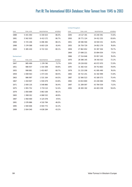| YFAR | <b>TOTAL VOTE</b> | <b>REGISTRATION</b> | <b>VOTE/REG</b> |
|------|-------------------|---------------------|-----------------|
| 1988 | 5 441 050         | 6 330 023           | 86.0%           |
| 1991 | 5 562 920         | 6 413 172           | 86.7%           |
| 1994 | 5725246           | 6 496 365           | 88.1%           |
| 1998 | 5 374 588         | 6 603 129           | 81.4%           |
| 2002 | 5 385 430         | 6 722 152           | 80.1%           |

### Switzerland

| YFAR | <b>TOTAL VOTE</b> | <b>REGISTRATION</b> | VOTE/REG |
|------|-------------------|---------------------|----------|
| 1947 | 985 499           | 1 374 740           | 71.7%    |
| 1951 | 986 937           | 1 414 308           | 69.8%    |
| 1955 | 998 881           | 1 453 807           | 68.7%    |
| 1959 | 1 008 563         | 1 473 155           | 68.5%    |
| 1963 | 986 997           | 1 531 164           | 64.5%    |
| 1967 | 1 019 907         | 1 559 479           | 63.8%    |
| 1971 | 2 000 135         | 3 548 860           | 56.4%    |
| 1975 | 1 955 752         | 3 7 3 3 1 1 3       | 52.4%    |
| 1979 | 1856689           | 3 863 169           | 48.1%    |
| 1983 | 1 990 012         | 4 068 532           | 48.9%    |
| 1987 | 1958469           | 4 125 078           | 47.5%    |
| 1991 | 2 076 886         | 4 510 784           | 46.0%    |
| 1995 | 1 940 646         | 4 593 772           | 42.2%    |
| 1999 | 2 004 540         | 4 638 284           | 43.2%    |

|      | <b>United Kingdom</b> |                     |          |  |  |
|------|-----------------------|---------------------|----------|--|--|
| YEAR | TOTAL VOTE            | <b>REGISTRATION</b> | VOTE/REG |  |  |
| 1945 | 24 117 191            | 33 240 391          | 72.6%    |  |  |
| 1950 | 28 771 124            | 34 412 255          | 83.6%    |  |  |
| 1951 | 28 596 594            | 34 919 331          | 81.9%    |  |  |
| 1955 | 26 759 729            | 34 852 179          | 76.8%    |  |  |
| 1959 | 27 862 652            | 35 397 304          | 78.7%    |  |  |
| 1964 | 27 698 221            | 35 894 054          | 77.2%    |  |  |
| 1966 | 27 314 646            | 35 957 245          | 76.0%    |  |  |
| 1970 | 28 386 145            | 39 342 013          | 72.2%    |  |  |
| 1974 | 29 226 810            | 40 072 970          | 72.9%    |  |  |
| 1974 | 31 382 414            | 39 753 863          | 78.9%    |  |  |
| 1979 | 31 233 208            | 41 095 490          | 76.0%    |  |  |
| 1983 | 30 722 241            | 42 192 999          | 72.8%    |  |  |
| 1987 | 32 566 523            | 43 180 573          | 75.4%    |  |  |
| 1992 | 33 653 800            | 43 240 084          | 77.8%    |  |  |
| 1997 | 31 289 097            | 43 784 559          | 71.5%    |  |  |
| 2001 | 26 365 192            | 44 403 238          | 59.4%    |  |  |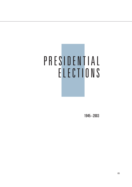## PRESIDENTIAL ELECTIONS

1945−2003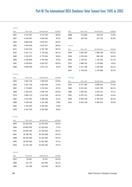### Austria

| <b>YEAR</b> | <b>TOTAL VOTE</b> | <b>REGISTRATION</b> | <b>VOTE/REG</b> |
|-------------|-------------------|---------------------|-----------------|
| 1951        | 4 513 597         | 4 373 194           | 96.9%           |
| 1957        | 4 630 997         | 4 499 565           | 97.2%           |
| 1963        | 4 869 928         | 4 654 657           | 95.6%           |
| 1965        | 4 874 928         | 4 679 427           | 96.0%           |
| 1971        | 5 024 324         | 4 787 706           | 95.3%           |
| 1974        | 5 031 772         | 4 733 016           | 94.1%           |
| 1980        | 5 215 875         | 4 779 054           | 91.6%           |
| 1986        | 5436846           | 4 745 849           | 87.3%           |
| 1992        | 5 676 903         | 4 592 927           | 80.9%           |
| 1998        | 5 848 584         | 4 351 272           | 74.4%           |

| YFAR | TOTAL VOTE | <b>REGISTRATION</b> | VOTE/REG |
|------|------------|---------------------|----------|
| 1988 | 173 800    | 126 535             | 72.8%    |
| 1996 | 194 784    | 167 319             | 85.9%    |

| Ireland |                   |                     |          |
|---------|-------------------|---------------------|----------|
| YEAR    | <b>TOTAL VOTE</b> | <b>REGISTRATION</b> | VOTE/REG |
| 1945    | 1 803 463         | 1 086 338           | 60.2%    |
| 1959    | 1 678 450         | 980 168             | 58.4%    |
| 1966    | 1 709 161         | 1 116 915           | 65.3%    |
| 1973    | 2688316           | 1 279 688           | 47.6%    |
| 1990    | 2 471 308         | 1 584 095           | 64.1%    |
| 1997    | 2 739 529         | 1 279 688           | 46.7%    |

### Finland

| <b>YEAR</b> | <b>TOTAL VOTE</b> | <b>REGISTRATION</b> | VOTE/REG |
|-------------|-------------------|---------------------|----------|
| 1950        | 2 487 230         | 1 585 835           | 63.8%    |
| 1956        | 2 597 738         | 1 905 449           | 73.4%    |
| 1962        | 2 714 883         | 2 2 11 4 4 1        | 81.5%    |
| 1968        | 2 930 635         | 2048784             | 69.9%    |
| 1978        | 3 844 279         | 2 470 339           | 64.3%    |
| 1982        | 3 921 005         | 3 188 056           | 81.3%    |
| 1988        | 4 036 169         | 3 141 360           | 77.8%    |
| 1994        | 4 150 000         | 3 193 825           | 77.0%    |
| 2000        | 4 167 204         | 3 200 580           | 76.8%    |
|             |                   |                     |          |

### Portugal

| YFAR | <b>TOTAL VOTE</b> | <b>REGISTRATION</b> | VOTE/REG |
|------|-------------------|---------------------|----------|
| 1976 | 6 477 484         | 4 885 624           | 75.4%    |
| 1980 | 6 931 641         | 5834789             | 84.2%    |
| 1986 | 7 600 001         | 5 939 311           | 78.1%    |
| 1991 | 8 2 3 5 1 5 1     | 5 099 092           | 61.9%    |
| 1996 | 8 693 636         | 5762978             | 66.3%    |
| 2001 | 8 932 106         | 4 468 442           | 50.0%    |

### France

| <b>YEAR</b> | <b>TOTAL VOTE</b> | <b>REGISTRATION</b> | VOTE/REG |
|-------------|-------------------|---------------------|----------|
| 1965        | 28 200 000        | 23 744 400          | 84.2%    |
| 1969        | 28 800 000        | 22 200 000          | 771%     |
| 1974        | 29 800 000        | 25 100 000          | 84 2%    |
| 1981        | 36 398 762        | 30 350 568          | 834%     |
| 1988        | 38 200 000        | 32 164 400          | 84 2%    |
| 1995        | 39 976 944        | 31 852 695          | 79.7%    |
| 2002        | 41 191 169        | 32 832 295          | 79.7%    |

### Iceland

| <b>YEAR</b> | TOTAL VOTE | <b>REGISTRATION</b> | <b>VOTE/REG</b> |
|-------------|------------|---------------------|-----------------|
| 1952        | 85 887     | 70457               | 82.0%           |
| 1968        | 112 737    | 103 900             | 92.2%           |
| 1980        | 143 196    | 129 595             | 90.5%           |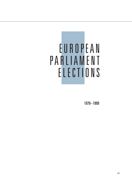## EUROPEAN PARLIAMENT ELECTIONS

1979−1999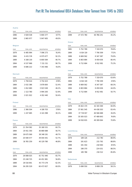### Austria

| YEAR           | <b>TOTAL VOTE</b> | <b>REGISTRATION</b> | VOTE/REG | YEAR               | TOTAL VOTE | <b>REGISTRATION</b> | VOTE/REG |
|----------------|-------------------|---------------------|----------|--------------------|------------|---------------------|----------|
| 1996           | 3 928 538         | 5 800 377           | 67.7%    | 1999               | 27 472 760 | 60 766 241          | 45.2%    |
| 1999           | 2 865 977         | 5 847 605           | 49.0%    |                    |            |                     |          |
|                |                   |                     |          | Greece             |            |                     |          |
| <b>Belgium</b> |                   |                     |          | YEAR               | TOTAL VOTE | REGISTRATION        | VOTE/REG |
| YEAR           | TOTAL VOTE        | <b>REGISTRATION</b> | VOTE/REG | 1981               | 5 752 789  | 7 319 070           | 78.6%    |
| 1979           | 6 485 994         | 7 096 273           | 91.4%    | 1984               | 6 014 119  | 7 790 309           | 77.2%    |
| 1984           | 6 431 574         | 6 975 677           | 92.2%    | 1989               | 6 669 562  | 8 347 387           | 79.9%    |
| 1989           | 6 168 130         | 6 800 584           | 90.7%    | 1994               | 6 803 884  | 8 459 636           | 80.4%    |
| 1994           | 6 537 968         | 7 211 311           | 90.7%    | 1999               | 6 712 684  | 8 912 901           | 75.3%    |
| 1999           | 6 686 222         | 7 343 466           | 91.0%    |                    |            |                     |          |
|                |                   |                     |          | Ireland            |            |                     |          |
| <b>Denmark</b> |                   |                     |          | YEAR               | TOTAL VOTE | <b>REGISTRATION</b> | VOTE/REG |
| YEAR           | TOTAL VOTE        | <b>REGISTRATION</b> | VOTE/REG | 1979               | 5 752 789  | 7 319 070           | 63.6%    |
| 1979           | 1 794 614         | 3 754 423           | 47.8%    | 1984               | 6 014 119  | 7 790 309           | 47.6%    |
| 1984           | 2 0 3 2 3 8 6     | 3 878 600           | 52.4%    | 1989               | 6 669 562  | 8 347 387           | 68.3%    |
| 1989           | 1 812 680         | 3 923 549           | 46.2%    | 1994               | 6 803 884  | 8 459 636           | 44.0%    |
| 1994           | 2 113 780         | 3 994 200           | 52.9%    | 1999               | 6 712 684  | 8 912 901           | 50.7%    |
| 1999           | 2 021 922         | 4 012 440           | 50.4%    |                    |            |                     |          |
|                |                   |                     |          | Italy              |            |                     |          |
| <b>Finland</b> |                   |                     |          | YEAR               | TOTAL VOTE | REGISTRATION        | VOTE/REG |
| YEAR           | TOTAL VOTE        | <b>REGISTRATION</b> | VOTE/REG | 1979               | 35 822 170 | 42 193 369          | 84.9%    |
| 1996           | 2 366 504         | 4 108 703           | 57.6%    | 1984               | 37 061 545 | 44 438 303          | 83.4%    |
| 1999           | 1 247 685         | 4 141 098           | 30.1%    | 1989               | 37 719 017 | 46 566 688          | 81.0%    |
|                |                   |                     |          | 1994               | 35 505 023 | 47 489 843          | 74.8%    |
| <b>France</b>  |                   |                     |          | 1999               | 34 910 815 | 49 309 064          | 70.8%    |
| YEAR           | TOTAL VOTE        | REGISTRATION        | VOTE/REG |                    |            |                     |          |
| 1979           | 21 354 582        | 35 180 531          | 60.7%    |                    |            |                     |          |
| 1984           | 20 911 350        | 36 880 688          | 56.7%    | Luxembourg         |            |                     |          |
| 1989           | 18 675 569        | 38 348 191          | 48.7%    | YEAR               | TOTAL VOTE | REGISTRATION        | VOTE/REG |
| 1994           | 20 590 577        | 39 044 441          | 52.7%    | 1979               | 189 126    | 212 740             | 88.9%    |
| 1999           | 18 765 259        | 40 129 780          | 46.8%    | 1984               | 191 623    | 215 792             | 88.8%    |
|                |                   |                     |          | 1989               | 191 354    | 218 940             | 87.4%    |
| Germany        |                   |                     |          | 1994               | 198 370    | 224 031             | 88.5%    |
| YEAR           | TOTAL VOTE        | <b>REGISTRATION</b> | VOTE/REG | 1999               | 185 768    | 216 512             | 85.8%    |
| 1979           | 28 088 025        | 42 751 940          | 65.7%    |                    |            |                     |          |
| 1984           | 25 248 725        | 44 451 981          | 56.8%    | <b>Netherlands</b> |            |                     |          |
| 1989           | 28 516 691        | 45 773 179          | 62.3%    | YEAR               | TOTAL VOTE | REGISTRATION        | VOTE/REG |
| 1994           | 36 295 529        | 60 473 927          | 60.0%    | 1979               | 5 698 550  | 9 808 176           | 58.1%    |

88 Voter Turnout in Western Europe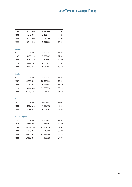## Voter Turnout in Western Europe

| <b>TOTAL VOTE</b> | <b>REGISTRATION</b> | <b>VOTE/REG</b> |
|-------------------|---------------------|-----------------|
| 5 300 856         | 10 476 000          | 50.6%           |
| 5 249 337         | 11 121 477          | 47.2%           |
| 4 133 309         | 11 620 300          | 35.6%           |
| 3 544 408         | 11 855 000          | 29.9%           |
|                   |                     |                 |

### Portugal

| <b>YEAR</b> | <b>TOTAL VOTE</b> | <b>REGISTRATION</b> | <b>VOTE/REG</b> |
|-------------|-------------------|---------------------|-----------------|
| 1987        | 5 638 225         | 7 787 603           | 72.4%           |
| 1989        | 4 151 139         | 8 107 694           | 51.2%           |
| 1994        | 3 044 001         | 8 565 822           | 35.5%           |
| 1999        | 3 460 777         | 8 572 953           | 40.4%           |

### Spain

| <b>YEAR</b> | TOTAL VOTE | <b>REGISTRATION</b> | <b>VOTE/REG</b> |
|-------------|------------|---------------------|-----------------|
| 1987        | 19 593 304 | 28 437 306          | 68.9%           |
| 1989        | 15 989 054 | 29 283 982          | 54.6%           |
| 1994        | 18 664 055 | 31 558 724          | 59.1%           |
| 1999        | 21 209 685 | 32 944 451          | 64.4%           |
|             |            |                     |                 |

### Sweden

| <b>YEAR</b> | TOTAI VOTE | <b>REGISTRATION</b> | VOTE/REG |
|-------------|------------|---------------------|----------|
| 1995        | 2 683 151  | 6449882             | 41.6%    |
| 1999        | 2 588 514  | 6 664 205           | 38.8%    |

### United Kingdom

| <b>YEAR</b> | <b>TOTAL VOTE</b> | <b>REGISTRATION</b> | VOTE/REG |
|-------------|-------------------|---------------------|----------|
| 1979        | 13 446 091        | 41 573 897          | 32.3%    |
| 1984        | 13 998 190        | 42 984 998          | 32.6%    |
| 1989        | 15 829 054        | 43 710 568          | 36.2%    |
| 1994        | 15 827 417        | 43 443 944          | 36.4%    |
| 1999        | 10 689 847        | 44 499 329          | 24.0%    |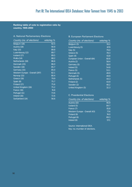### **Ranking table of vote to registration ratio by country, 1945-2003**

### A. National Parliamentary Elections

| Country (no. of elections)     | vote/reg % |
|--------------------------------|------------|
| Belgium (18)                   | 92.5       |
| Austria (18)                   | 90.9       |
| Italy (15)                     | 89.8       |
| Luxembourg (12)                | 89.7       |
| Iceland (17)                   | 89.5       |
| Malta (14)                     | 88.2       |
| Netherlands (18)               | 86.6       |
| Denmark (23)                   | 86.0       |
| Sweden (18)                    | 85.7       |
| Germany (15)                   | 85.0       |
| Western Europe - Overall (297) | 82.1       |
| Norway (15)                    | 80.4       |
| Greece (16)                    | 79.9       |
| Spain (8)                      | 75.7       |
| Finland (17)                   | 75.6       |
| United Kingdom (16)            | 75.2       |
| France (16)                    | 74.8       |
| Portugal (11)                  | 73.6       |
| Ireland (16)                   | 72.6       |
| Switzerland (14)               | 56.6       |

### B. European Parliament Elections

| Country (no. of elections)    | vote/reg % |
|-------------------------------|------------|
| Belgium (5)                   | 91.2       |
| Luxembourg (5)                | 87.9       |
| Italy $(5)$                   | 79.0       |
| Greece (5)                    | 78.3       |
| Spain (4)                     | 61.8       |
| European Union - Overall (64) | 60.6       |
| Austria (2)                   | 58.4       |
| Germany (5)                   | 58.0       |
| Ireland (5)                   | 54.8       |
| France (5)                    | 53.1       |
| Denmark (5)                   | 49.9       |
| Portugal (4)                  | 49.9       |
| Netherlands (5)               | 44.3       |
| Finland (2)                   | 43.9       |
| Sweden (2)                    | 40.2       |
| United Kingdom (5)            | 32.3       |

### C. Presidential Elections

| Country (no. of elections)    | vote/reg % |
|-------------------------------|------------|
| Austria (10)                  | 90.9       |
| Iceland (5)                   | 84.7       |
| France (7)                    | 81.8       |
| Western Europe - Overall (43) | 77.4       |
| Finland (9)                   | 74.0       |
| Portugal (6)                  | 69.3       |
| Ireland (6)                   | 57.1       |

Source: International IDEA. Key: no.=number of elections.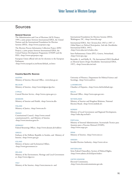### Sources

### **General Sources**

The Administration and Cost of Elections (ACE) Project, 1999, a joint project between International IDEA, the United Nations and the International Foundation for Election Systems (IFES), <http://www.aceproject.org>

The Election Process Information Collection Project (EPIC Project), a joint project between International IDEA, the United Nations Development Programme (UNDP) and the IFES, <http://www.epicproject.org>

European Union official web site for elections to the European Parliament, <http://www.europarl.eu.int/home/default\_en.htm>

#### **Country-Specific Sources**

**AUSTRIA** Ministry of Interior, Electoral Office, <www.bmi.gv.at>

BELGIUM Ministry of Interior, <http://www.belgium.fgov.be>

**CYPRUS** Central Election Service, <http://www.cyprus.gov.cy>

DENMARK Ministry of Interior and Health, <http://www.im.dk>

FINLAND Ministry of Justice, <http://www.om.fi>

### FRANCE

Constitutional Council, <http://www.conseil constitutionnel.fr>, and Ministry of Interior, <http://www.interieur.gouv.fr>

GERMANY Federal Returning Officer, <http://www.destatis.de/wahlen>

GREECE Embassy of the Hellenic Republic in Sweden, and Ministry of Interior, <http://www.ypes.gr>

ICELAND Ministry of Justice and Ecclesiastical Affairs, <http://www.government.is>

### IRELAND

Ministry of the Environment, Heritage and Local Government at <http://www.irlgov.ie>

### **ITALY**

Ministry of the Interior, <http://www.interno.it> and

International Foundation for Election Systems (IFES), Washington, DC, <http://www.ifes.org>

International IDEA, *Voter Turnout from 1945 to 1997: A Global Report on Political Participation,* 2nd edn (Stockholm: International IDEA, 1997), <http://www.idea.int/vt/index.cfm>

Inter-Parliamentary Union (IPU), Geneva, Switzerland, <http://www.ipu.org>

Reynolds, A. and Reilly, B., *The International IDEA Handbook on Electoral System Design* (Stockholm: International IDEA, 1997), <http://www.idea.int/esd>

University of Florence, Department for Political Science and Sociology, <http://www.unifi.it>

LUXEMBOURG Chamber of Deputies, <http://www.chd.lu/default.jsp>

**MALTA** Electoral Office, <http://www.opm.gov.mt>

### NETHERLANDS

Ministry of Interior and Kingdom Relations, National Election Board, <http://www.minbzk.nl>

### **NORWAY**

Ministry of Local Government and Regional Development, <http://odin.dep.no/krd/>

### PORTUGAL

Ministry of Internal Administration, Secretariado Tecnico para Assuntos para o Processo Eleitoral (STAPE), <http://www.stape.pt>

### **SPAIN** Ministry of Interior, <http://www.mir.es>

SWEDEN Swedish Election Authority, <http://www.val.se>

### SWITZERLAND

Swiss Federal Chancellery, Section of Political Rights, <http://www.admin.ch/ch/d/pore/index>

UNITED KINGDOM Electoral Commission, <http://www.electoralcommission.gov.uk>